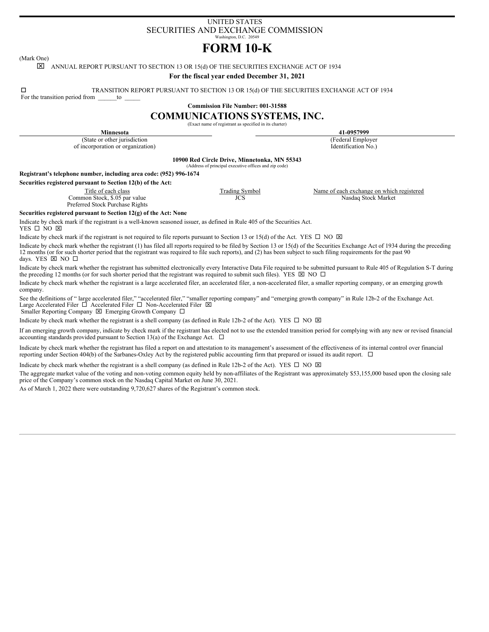# UNITED STATES SECURITIES AND EXCHANGE COMMISSION Washington, D.C. 2054

# **FORM 10-K**

(Mark One)

 $\boxtimes$  ANNUAL REPORT PURSUANT TO SECTION 13 OR 15(d) OF THE SECURITIES EXCHANGE ACT OF 1934

# **For the fiscal year ended December 31, 2021**

o TRANSITION REPORT PURSUANT TO SECTION 13 OR 15(d) OF THE SECURITIES EXCHANGE ACT OF 1934 For the transition period from to

**Commission File Number: 001-31588**

**COMMUNICATIONS SYSTEMS, INC.**

(Exact name of registrant as specified in its charter)

(State or other jurisdiction of incorporation or organization) Identification No.)

**Minnesota 41-0957999**<br> **41-0957999**<br> **41-0957999**<br> **41-0957999**<br> **41-0957999** 

**10900 Red Circle Drive, Minnetonka, MN 55343** (Address of principal executive offices and zip code)

**Registrant's telephone number, including area code: (952) 996-1674**

**Securities registered pursuant to Section 12(b) of the Act:**  $Common Stock, $.05$  par value  $JCS$ Preferred Stock Purchase Rights

Trading Symbol Name of each exchange on which registered<br>
Trading Symbol Name of each exchange on which registered<br>
Name of each exchange on which registered<br>
Nasdaq Stock Market

**Securities registered pursuant to Section 12(g) of the Act: None**

Indicate by check mark if the registrant is a well-known seasoned issuer, as defined in Rule 405 of the Securities Act.  $YES \Box NO \boxtimes$ 

Indicate by check mark if the registrant is not required to file reports pursuant to Section 13 or 15(d) of the Act. YES  $\Box$  NO  $\boxtimes$ 

Indicate by check mark whether the registrant (1) has filed all reports required to be filed by Section 13 or 15(d) of the Securities Exchange Act of 1934 during the preceding 12 months (or for such shorter period that the registrant was required to file such reports), and (2) has been subject to such filing requirements for the past 90 days. YES  $\boxtimes$  NO  $\square$ 

Indicate by check mark whether the registrant has submitted electronically every Interactive Data File required to be submitted pursuant to Rule 405 of Regulation S-T during the preceding 12 months (or for such shorter period that the registrant was required to submit such files). YES  $\boxtimes$  NO  $\Box$ 

Indicate by check mark whether the registrant is a large accelerated filer, an accelerated filer, a non-accelerated filer, a smaller reporting company, or an emerging growth company.

See the definitions of " large accelerated filer," "accelerated filer," "smaller reporting company" and "emerging growth company" in Rule 12b-2 of the Exchange Act. Large Accelerated Filer  $\overline{\Box}$  Accelerated Filer  $\overline{\Box}$  Non-Accelerated Filer  $\overline{\boxtimes}$ Smaller Reporting Company  $\boxtimes$  Emerging Growth Company  $\Box$ 

Indicate by check mark whether the registrant is a shell company (as defined in Rule 12b-2 of the Act). YES  $\Box$  NO  $\boxtimes$ 

If an emerging growth company, indicate by check mark if the registrant has elected not to use the extended transition period for complying with any new or revised financial accounting standards provided pursuant to Section 13(a) of the Exchange Act.  $\Box$ 

Indicate by check mark whether the registrant has filed a report on and attestation to its management's assessment of the effectiveness of its internal control over financial reporting under Section 404(b) of the Sarbanes-Oxley Act by the registered public accounting firm that prepared or issued its audit report.  $\Box$ 

Indicate by check mark whether the registrant is a shell company (as defined in Rule 12b-2 of the Act). YES  $\Box$  NO  $\boxtimes$ 

The aggregate market value of the voting and non-voting common equity held by non-affiliates of the Registrant was approximately \$53,155,000 based upon the closing sale price of the Company's common stock on the Nasdaq Capital Market on June 30, 2021.

As of March 1, 2022 there were outstanding 9,720,627 shares of the Registrant's common stock.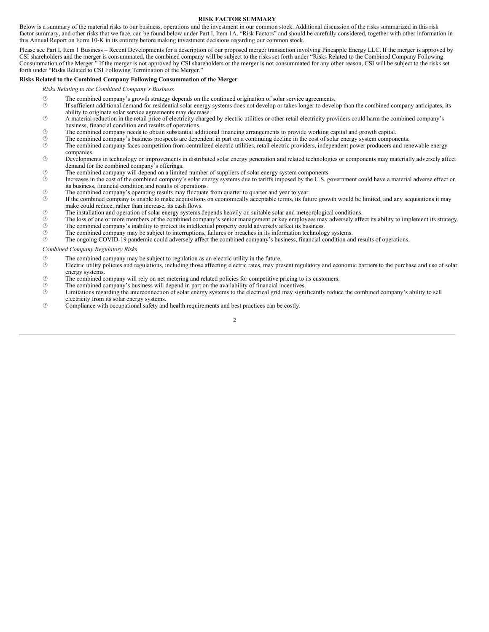# **RISK FACTOR SUMMARY**

Below is a summary of the material risks to our business, operations and the investment in our common stock. Additional discussion of the risks summarized in this risk factor summary, and other risks that we face, can be found below under Part I, Item 1A. "Risk Factors" and should be carefully considered, together with other information in this Annual Report on Form 10-K in its entirety before making investment decisions regarding our common stock.

Please see Part I, Item 1 Business – Recent Developments for a description of our proposed merger transaction involving Pineapple Energy LLC. If the merger is approved by CSI shareholders and the merger is consummated, the combined company will be subject to the risks set forth under "Risks Related to the Combined Company Following Consummation of the Merger." If the merger is not approved by CSI shareholders or the merger is not consummated for any other reason, CSI will be subject to the risks set forth under "Risks Related to CSI Following Termination of the Merger."

#### **Risks Related to the Combined Company Following Consummation of the Merger**

*Risks Relating to the Combined Company's Business*

- $\circ$  The combined company's growth strategy depends on the continued origination of solar service agreements.<br>
If sufficient additional demand for residential solar energy systems does not develop or takes longer to devel
- If sufficient additional demand for residential solar energy systems does not develop or takes longer to develop than the combined company anticipates, its ability to originate solar service agreements may decrease.
- · A material reduction in the retail price of electricity charged by electric utilities or other retail electricity providers could harm the combined company's business, financial condition and results of operations.
- $\circled{r}$  The combined company needs to obtain substantial additional financing arrangements to provide working capital and growth capital.<br>The combined company's business prospects are dependent in part on a continuing de
- $\circ$  The combined company's business prospects are dependent in part on a continuing decline in the cost of solar energy system components.<br> $\circ$  The combined company faces competition from centralized electric utilities,
- The combined company faces competition from centralized electric utilities, retail electric providers, independent power producers and renewable energy companies.
- · Developments in technology or improvements in distributed solar energy generation and related technologies or components may materially adversely affect demand for the combined company's offerings.
- $\circ$  The combined company will depend on a limited number of suppliers of solar energy system components.<br> $\circ$  Increases in the cost of the combined company's solar energy systems due to tariffs imposed by the U.S.
- Increases in the cost of the combined company's solar energy systems due to tariffs imposed by the U.S. government could have a material adverse effect on its business, financial condition and results of operations.
- $\circ$  The combined company's operating results may fluctuate from quarter to quarter and year to year.<br>
If the combined company is unable to make acquisitions on economically acceptable terms, its future
- If the combined company is unable to make acquisitions on economically acceptable terms, its future growth would be limited, and any acquisitions it may make could reduce, rather than increase, its cash flows.
- $\degree$  The installation and operation of solar energy systems depends heavily on suitable solar and meteorological conditions.<br> $\degree$  The loss of one or more members of the combined company's senior management or key employee
- $\circ$  The loss of one or more members of the combined company's senior management or key employees may adversely affect its ability to implement its strategy.<br>The combined company's inability to protect its intellectual pr
- $\degree$  The combined company's inability to protect its intellectual property could adversely affect its business.<br> $\degree$  The combined company may be subject to interruptions, failures or breaches in its information technology
- $\circ$  The combined company may be subject to interruptions, failures or breaches in its information technology systems.<br>The ongoing COVID-19 pandemic could adversely affect the combined company's business, financial condit The ongoing COVID-19 pandemic could adversely affect the combined company's business, financial condition and results of operations.

*Combined Company Regulatory Risks*

- $\circ$  The combined company may be subject to regulation as an electric utility in the future.<br> $\circ$  Electric utility policies and regulations, including those affecting electric rates, may pre
- Electric utility policies and regulations, including those affecting electric rates, may present regulatory and economic barriers to the purchase and use of solar energy systems.
- $\degree$  The combined company will rely on net metering and related policies for competitive pricing to its customers.<br> $\degree$  The combined company's business will depend in part on the availability of financial incentives.
- $\degree$  The combined company's business will depend in part on the availability of financial incentives.<br> $\degree$  Limitations regarding the interconnection of solar energy systems to the electrical grid may signi
- Limitations regarding the interconnection of solar energy systems to the electrical grid may significantly reduce the combined company's ability to sell electricity from its solar energy systems.
- · Compliance with occupational safety and health requirements and best practices can be costly.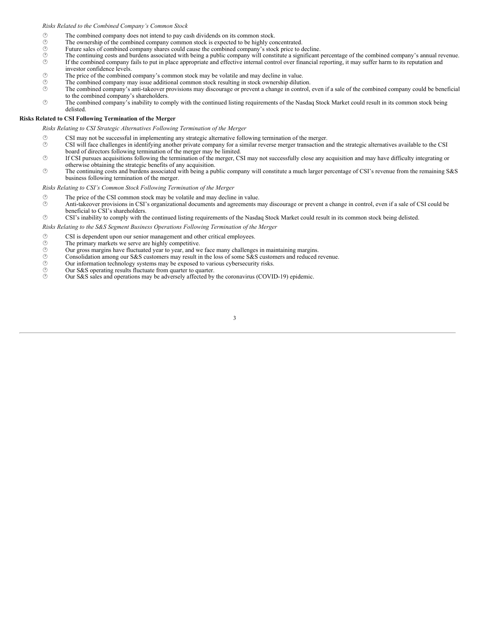#### *Risks Related to the Combined Company's Common Stock*

- $\circ$  The combined company does not intend to pay cash dividends on its common stock.<br> $\circ$  The ownership of the combined company common stock is expected to be highly co
- $\circled{?}$  The ownership of the combined company common stock is expected to be highly concentrated.<br> $\circled{>}$  Future sales of combined company shares could cause the combined company's stock price to c
- 
- $\circ$  Future sales of combined company shares could cause the combined company's stock price to decline.<br> $\circ$  The continuing costs and burdens associated with being a public company will constitute a significant i  $\circ$  The continuing costs and burdens associated with being a public company will constitute a significant percentage of the combined company's annual revenue.<br>If the combined company fails to put in place appropriate and
- If the combined company fails to put in place appropriate and effective internal control over financial reporting, it may suffer harm to its reputation and
- investor confidence levels.
- The price of the combined company's common stock may be volatile and may decline in value.<br>
The combined company may issue additional common stock resulting in stock ownership dilution
- $\circ$  The combined company may issue additional common stock resulting in stock ownership dilution.<br> $\circ$  The combined company's anti-takeover provisions may discourage or prevent a change in control.
- The combined company's anti-takeover provisions may discourage or prevent a change in control, even if a sale of the combined company could be beneficial to the combined company's shareholders.
- $\circ$  The combined company's inability to comply with the continued listing requirements of the Nasdaq Stock Market could result in its common stock being delisted.

# **Risks Related to CSI Following Termination of the Merger**

*Risks Relating to CSI Strategic Alternatives Following Termination of the Merger*

- $\circ$  CSI may not be successful in implementing any strategic alternative following termination of the merger.<br>CSI will face challenges in identifying another private company for a similar reverse merger transaction a
- · CSI will face challenges in identifying another private company for a similar reverse merger transaction and the strategic alternatives available to the CSI board of directors following termination of the merger may be limited.
- · If CSI pursues acquisitions following the termination of the merger, CSI may not successfully close any acquisition and may have difficulty integrating or otherwise obtaining the strategic benefits of any acquisition.
- · The continuing costs and burdens associated with being a public company will constitute a much larger percentage of CSI's revenue from the remaining S&S business following termination of the merger.

# *Risks Relating to CSI's Common Stock Following Termination of the Merger*

- $\circled{?}$  The price of the CSI common stock may be volatile and may decline in value.<br>Anti-takeover provisions in CSI's organizational documents and agreements n
- · Anti-takeover provisions in CSI's organizational documents and agreements may discourage or prevent a change in control, even if a sale of CSI could be beneficial to CSI's shareholders.
- · CSI's inability to comply with the continued listing requirements of the Nasdaq Stock Market could result in its common stock being delisted.

*Risks Relating to the S&S Segment Business Operations Following Termination of the Merger*

- $\circ$  CSI is dependent upon our senior management and other critical employees.<br> $\circ$  The primary markets we serve are highly competitive.
- 
- $\circ$  The primary markets we serve are highly competitive.<br> $\circ$  Our gross margins have fluctuated year to year, and w<br> $\circ$  Consolidation among our S&S customers may result in Our gross margins have fluctuated year to year, and we face many challenges in maintaining margins.
- <sup>1</sup> Consolidation among our S&S customers may result in the loss of some S&S customers and reduced revenue.<br><sup>1</sup> Our information technology systems may be exposed to various cybersecurity risks.
- $\degree$  Our information technology systems may be exposed to various cybersecurity risks.<br> $\degree$  Our S&S operating results fluctuate from quarter to quarter.
- <sup>1</sup> Our S&S operating results fluctuate from quarter to quarter.<br><sup>1</sup> Our S&S sales and operations may be adversely affected by
- · Our S&S sales and operations may be adversely affected by the coronavirus (COVID-19) epidemic.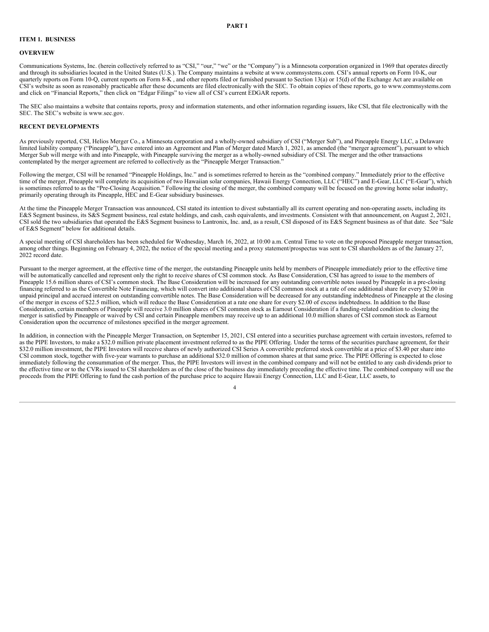# **ITEM 1. BUSINESS**

#### **OVERVIEW**

Communications Systems, Inc. (herein collectively referred to as "CSI," "our," "we" or the "Company") is a Minnesota corporation organized in 1969 that operates directly and through its subsidiaries located in the United States (U.S.). The Company maintains a website at www.commsystems.com. CSI's annual reports on Form 10-K, our quarterly reports on Form 10-Q, current reports on Form 8-K, and other reports filed or furnished pursuant to Section 13(a) or 15(d) of the Exchange Act are available on CSI's website as soon as reasonably practicable after these documents are filed electronically with the SEC. To obtain copies of these reports, go to www.commsystems.com and click on "Financial Reports," then click on "Edgar Filings" to view all of CSI's current EDGAR reports.

The SEC also maintains a website that contains reports, proxy and information statements, and other information regarding issuers, like CSI, that file electronically with the SEC. The SEC's website is www.sec.gov.

# **RECENT DEVELOPMENTS**

As previously reported, CSI, Helios Merger Co., a Minnesota corporation and a wholly-owned subsidiary of CSI ("Merger Sub"), and Pineapple Energy LLC, a Delaware limited liability company ("Pineapple"), have entered into an Agreement and Plan of Merger dated March 1, 2021, as amended (the "merger agreement"), pursuant to which Merger Sub will merge with and into Pineapple, with Pineapple surviving the merger as a wholly-owned subsidiary of CSI. The merger and the other transactions contemplated by the merger agreement are referred to collectively as the "Pineapple Merger Transaction."

Following the merger, CSI will be renamed "Pineapple Holdings, Inc." and is sometimes referred to herein as the "combined company." Immediately prior to the effective time of the merger, Pineapple will complete its acquisition of two Hawaiian solar companies, Hawaii Energy Connection, LLC ("HEC") and E-Gear, LLC ("E-Gear"), which is sometimes referred to as the "Pre-Closing Acquisition." Following the closing of the merger, the combined company will be focused on the growing home solar industry, primarily operating through its Pineapple, HEC and E-Gear subsidiary businesses.

At the time the Pineapple Merger Transaction was announced, CSI stated its intention to divest substantially all its current operating and non-operating assets, including its E&S Segment business, its S&S Segment business, real estate holdings, and cash, cash equivalents, and investments. Consistent with that announcement, on August 2, 2021, CSI sold the two subsidiaries that operated the E&S Segment business to Lantronix, Inc. and, as a result, CSI disposed of its E&S Segment business as of that date. See "Sale of E&S Segment" below for additional details.

A special meeting of CSI shareholders has been scheduled for Wednesday, March 16, 2022, at 10:00 a.m. Central Time to vote on the proposed Pineapple merger transaction, among other things. Beginning on February 4, 2022, the notice of the special meeting and a proxy statement/prospectus was sent to CSI shareholders as of the January 27, 2022 record date.

Pursuant to the merger agreement, at the effective time of the merger, the outstanding Pineapple units held by members of Pineapple immediately prior to the effective time will be automatically cancelled and represent only the right to receive shares of CSI common stock. As Base Consideration, CSI has agreed to issue to the members of Pineapple 15.6 million shares of CSI's common stock. The Base Consideration will be increased for any outstanding convertible notes issued by Pineapple in a pre-closing financing referred to as the Convertible Note Financing, which will convert into additional shares of CSI common stock at a rate of one additional share for every \$2.00 in unpaid principal and accrued interest on outstanding convertible notes. The Base Consideration will be decreased for any outstanding indebtedness of Pineapple at the closing of the merger in excess of \$22.5 million, which will reduce the Base Consideration at a rate one share for every \$2.00 of excess indebtedness. In addition to the Base Consideration, certain members of Pineapple will receive 3.0 million shares of CSI common stock as Earnout Consideration if a funding-related condition to closing the merger is satisfied by Pineapple or waived by CSI and certain Pineapple members may receive up to an additional 10.0 million shares of CSI common stock as Earnout Consideration upon the occurrence of milestones specified in the merger agreement.

In addition, in connection with the Pineapple Merger Transaction, on September 15, 2021, CSI entered into a securities purchase agreement with certain investors, referred to as the PIPE Investors, to make a \$32.0 million private placement investment referred to as the PIPE Offering. Under the terms of the securities purchase agreement, for their \$32.0 million investment, the PIPE Investors will receive shares of newly authorized CSI Series A convertible preferred stock convertible at a price of \$3.40 per share into CSI common stock, together with five-year warrants to purchase an additional \$32.0 million of common shares at that same price. The PIPE Offering is expected to close immediately following the consummation of the merger. Thus, the PIPE Investors will invest in the combined company and will not be entitled to any cash dividends prior to the effective time or to the CVRs issued to CSI shareholders as of the close of the business day immediately preceding the effective time. The combined company will use the proceeds from the PIPE Offering to fund the cash portion of the purchase price to acquire Hawaii Energy Connection, LLC and E-Gear, LLC assets, to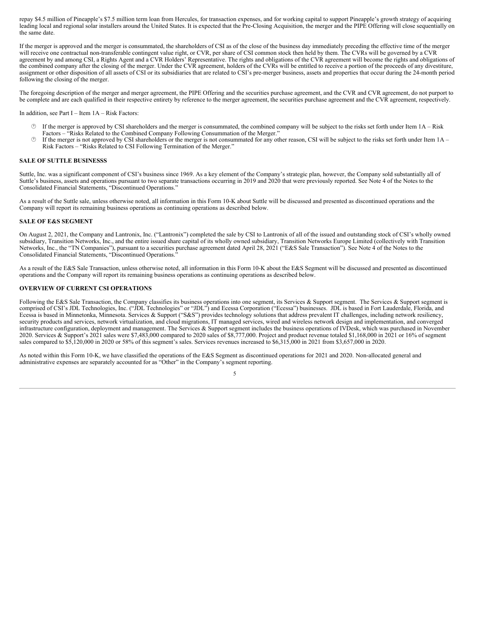repay \$4.5 million of Pineapple's \$7.5 million term loan from Hercules, for transaction expenses, and for working capital to support Pineapple's growth strategy of acquiring leading local and regional solar installers around the United States. It is expected that the Pre-Closing Acquisition, the merger and the PIPE Offering will close sequentially on the same date.

If the merger is approved and the merger is consummated, the shareholders of CSI as of the close of the business day immediately preceding the effective time of the merger will receive one contractual non-transferable contingent value right, or CVR, per share of CSI common stock then held by them. The CVRs will be governed by a CVR agreement by and among CSI, a Rights Agent and a CVR Holders' Representative. The rights and obligations of the CVR agreement will become the rights and obligations of the combined company after the closing of the merger. Under the CVR agreement, holders of the CVRs will be entitled to receive a portion of the proceeds of any divestiture, assignment or other disposition of all assets of CSI or its subsidiaries that are related to CSI's pre-merger business, assets and properties that occur during the 24-month period following the closing of the merger.

The foregoing description of the merger and merger agreement, the PIPE Offering and the securities purchase agreement, and the CVR and CVR agreement, do not purport to be complete and are each qualified in their respective entirety by reference to the merger agreement, the securities purchase agreement and the CVR agreement, respectively.

In addition, see Part I – Item 1A – Risk Factors:

- $\circled{b}$  If the merger is approved by CSI shareholders and the merger is consummated, the combined company will be subject to the risks set forth under Item 1A Risk Factors – "Risks Related to the Combined Company Following Consummation of the Merger."
- · If the merger is not approved by CSI shareholders or the merger is not consummated for any other reason, CSI will be subject to the risks set forth under Item 1A Risk Factors – "Risks Related to CSI Following Termination of the Merger."

# **SALE OF SUTTLE BUSINESSS**

Suttle, Inc. was a significant component of CSI's business since 1969. As a key element of the Company's strategic plan, however, the Company sold substantially all of Suttle's business, assets and operations pursuant to two separate transactions occurring in 2019 and 2020 that were previously reported. See Note 4 of the Notes to the Consolidated Financial Statements, "Discontinued Operations."

As a result of the Suttle sale, unless otherwise noted, all information in this Form 10-K about Suttle will be discussed and presented as discontinued operations and the Company will report its remaining business operations as continuing operations as described below.

# **SALE OF E&S SEGMENT**

On August 2, 2021, the Company and Lantronix, Inc. ("Lantronix") completed the sale by CSI to Lantronix of all of the issued and outstanding stock of CSI's wholly owned subsidiary, Transition Networks, Inc., and the entire issued share capital of its wholly owned subsidiary, Transition Networks Europe Limited (collectively with Transition Networks, Inc., the "TN Companies"), pursuant to a securities purchase agreement dated April 28, 2021 ("E&S Sale Transaction"). See Note 4 of the Notes to the Consolidated Financial Statements, "Discontinued Operations."

As a result of the E&S Sale Transaction, unless otherwise noted, all information in this Form 10-K about the E&S Segment will be discussed and presented as discontinued operations and the Company will report its remaining business operations as continuing operations as described below.

# **OVERVIEW OF CURRENT CSI OPERATIONS**

Following the E&S Sale Transaction, the Company classifies its business operations into one segment, its Services & Support segment. The Services & Support segment is comprised of CSI's JDL Technologies, Inc. ("JDL Technologies" or "JDL") and Ecessa Corporation ("Ecessa") businesses. JDL is based in Fort Lauderdale, Florida, and Ecessa is based in Minnetonka, Minnesota. Services & Support ("S&S") provides technology solutions that address prevalent IT challenges, including network resiliency, security products and services, network virtualization, and cloud migrations, IT managed services, wired and wireless network design and implementation, and converged infrastructure configuration, deployment and management. The Services & Support segment includes the business operations of IVDesk, which was purchased in November 2020. Services & Support's 2021 sales were \$7,483,000 compared to 2020 sales of \$8,777,000. Project and product revenue totaled \$1,168,000 in 2021 or 16% of segment sales compared to \$5,120,000 in 2020 or 58% of this segment's sales. Services revenues increased to \$6,315,000 in 2021 from \$3,657,000 in 2020.

As noted within this Form 10-K, we have classified the operations of the E&S Segment as discontinued operations for 2021 and 2020. Non-allocated general and administrative expenses are separately accounted for as "Other" in the Company's segment reporting.

| I<br>I |
|--------|
| ×<br>٧ |
|        |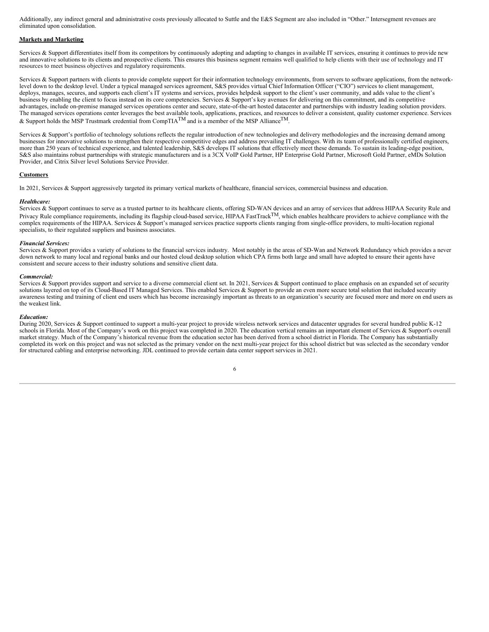Additionally, any indirect general and administrative costs previously allocated to Suttle and the E&S Segment are also included in "Other." Intersegment revenues are eliminated upon consolidation.

# **Markets and Marketing**

Services & Support differentiates itself from its competitors by continuously adopting and adapting to changes in available IT services, ensuring it continues to provide new and innovative solutions to its clients and prospective clients. This ensures this business segment remains well qualified to help clients with their use of technology and IT resources to meet business objectives and regulatory requirements.

Services & Support partners with clients to provide complete support for their information technology environments, from servers to software applications, from the networklevel down to the desktop level. Under a typical managed services agreement, S&S provides virtual Chief Information Officer ("CIO") services to client management, deploys, manages, secures, and supports each client's IT systems and services, provides helpdesk support to the client's user community, and adds value to the client's business by enabling the client to focus instead on its core competencies. Services & Support's key avenues for delivering on this commitment, and its competitive advantages, include on-premise managed services operations center and secure, state-of-the-art hosted datacenter and partnerships with industry leading solution providers. The managed services operations center leverages the best available tools, applications, practices, and resources to deliver a consistent, quality customer experience. Services & Support holds the MSP Trustmark credential from CompTIA<sup>TM</sup> and is a member of the MSP Alliance<sup>TM</sup>.

Services & Support's portfolio of technology solutions reflects the regular introduction of new technologies and delivery methodologies and the increasing demand among businesses for innovative solutions to strengthen their respective competitive edges and address prevailing IT challenges. With its team of professionally certified engineers, more than 250 years of technical experience, and talented leadership, S&S develops IT solutions that effectively meet these demands. To sustain its leading-edge position, S&S also maintains robust partnerships with strategic manufacturers and is a 3CX VoIP Gold Partner, HP Enterprise Gold Partner, Microsoft Gold Partner, eMDs Solution Provider, and Citrix Silver level Solutions Service Provider.

# **Customers**

In 2021, Services & Support aggressively targeted its primary vertical markets of healthcare, financial services, commercial business and education.

# *Healthcare:*

Services & Support continues to serve as a trusted partner to its healthcare clients, offering SD-WAN devices and an array of services that address HIPAA Security Rule and Privacy Rule compliance requirements, including its flagship cloud-based service, HIPAA FastTrack<sup>TM</sup>, which enables healthcare providers to achieve compliance with the complex requirements of the HIPAA. Services & Support's managed services practice supports clients ranging from single-office providers, to multi-location regional specialists, to their regulated suppliers and business associates.

# *Financial Services:*

Services & Support provides a variety of solutions to the financial services industry. Most notably in the areas of SD-Wan and Network Redundancy which provides a never down network to many local and regional banks and our hosted cloud desktop solution which CPA firms both large and small have adopted to ensure their agents have consistent and secure access to their industry solutions and sensitive client data.

#### *Commercial:*

Services & Support provides support and service to a diverse commercial client set. In 2021, Services & Support continued to place emphasis on an expanded set of security solutions layered on top of its Cloud-Based IT Managed Services. This enabled Services & Support to provide an even more secure total solution that included security awareness testing and training of client end users which has become increasingly important as threats to an organization's security are focused more and more on end users as the weakest link.

### *Education:*

During 2020, Services & Support continued to support a multi-year project to provide wireless network services and datacenter upgrades for several hundred public K-12 schools in Florida. Most of the Company's work on this project was completed in 2020. The education vertical remains an important element of Services & Support's overall market strategy. Much of the Company's historical revenue from the education sector has been derived from a school district in Florida. The Company has substantially completed its work on this project and was not selected as the primary vendor on the next multi-year project for this school district but was selected as the secondary vendor for structured cabling and enterprise networking. JDL continued to provide certain data center support services in 2021.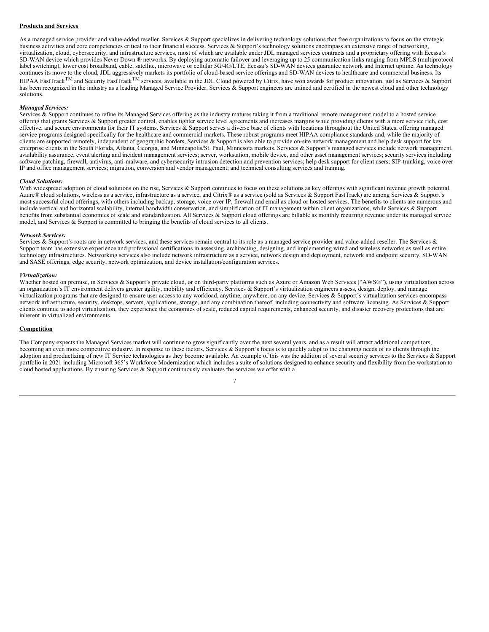# **Products and Services**

As a managed service provider and value-added reseller, Services & Support specializes in delivering technology solutions that free organizations to focus on the strategic business activities and core competencies critical to their financial success. Services & Support's technology solutions encompass an extensive range of networking, virtualization, cloud, cybersecurity, and infrastructure services, most of which are available under JDL managed services contracts and a proprietary offering with Ecessa's SD-WAN device which provides Never Down ® networks. By deploying automatic failover and leveraging up to 25 communication links ranging from MPLS (multiprotocol label switching), lower cost broadband, cable, satellite, microwave or cellular 5G/4G/LTE, Ecessa's SD-WAN devices guarantee network and Internet uptime. As technology continues its move to the cloud, JDL aggressively markets its portfolio of cloud-based service offerings and SD-WAN devices to healthcare and commercial business. Its HIPAA FastTrack<sup>TM</sup> and Security FastTrack<sup>TM</sup> services, available in the JDL Cloud powered by Citrix, have won awards for product innovation, just as Services & Support has been recognized in the industry as a leading Managed Service Provider. Services & Support engineers are trained and certified in the newest cloud and other technology solutions.

#### *Managed Services:*

Services & Support continues to refine its Managed Services offering as the industry matures taking it from a traditional remote management model to a hosted service offering that grants Services & Support greater control, enables tighter service level agreements and increases margins while providing clients with a more service rich, cost effective, and secure environments for their IT systems. Services & Support serves a diverse base of clients with locations throughout the United States, offering managed service programs designed specifically for the healthcare and commercial markets. These robust programs meet HIPAA compliance standards and, while the majority of clients are supported remotely, independent of geographic borders, Services & Support is also able to provide on-site network management and help desk support for key enterprise clients in the South Florida, Atlanta, Georgia, and Minneapolis/St. Paul, Minnesota markets. Services & Support's managed services include network management, availability assurance, event alerting and incident management services; server, workstation, mobile device, and other asset management services; security services including software patching, firewall, antivirus, anti-malware, and cybersecurity intrusion detection and prevention services; help desk support for client users; SIP-trunking, voice over IP and office management services; migration, conversion and vendor management; and technical consulting services and training.

#### *Cloud Solutions:*

With widespread adoption of cloud solutions on the rise, Services & Support continues to focus on these solutions as key offerings with significant revenue growth potential. Azure® cloud solutions, wireless as a service, infrastructure as a service, and Citrix® as a service (sold as Services & Support FastTrack) are among Services & Support's most successful cloud offerings, with others including backup, storage, voice over IP, firewall and email as cloud or hosted services. The benefits to clients are numerous and include vertical and horizontal scalability, internal bandwidth conservation, and simplification of IT management within client organizations, while Services & Support benefits from substantial economies of scale and standardization. All Services & Support cloud offerings are billable as monthly recurring revenue under its managed service model, and Services & Support is committed to bringing the benefits of cloud services to all clients.

#### *Network Services:*

Services & Support's roots are in network services, and these services remain central to its role as a managed service provider and value-added reseller. The Services & Support team has extensive experience and professional certifications in assessing, architecting, designing, and implementing wired and wireless networks as well as entire technology infrastructures. Networking services also include network infrastructure as a service, network design and deployment, network and endpoint security, SD-WAN and SASE offerings, edge security, network optimization, and device installation/configuration services.

#### *Virtualization:*

Whether hosted on premise, in Services & Support's private cloud, or on third-party platforms such as Azure or Amazon Web Services ("AWS®"), using virtualization across an organization's IT environment delivers greater agility, mobility and efficiency. Services & Support's virtualization engineers assess, design, deploy, and manage virtualization programs that are designed to ensure user access to any workload, anytime, anywhere, on any device. Services & Support's virtualization services encompass network infrastructure, security, desktops, servers, applications, storage, and any combination thereof, including connectivity and software licensing. As Services & Support clients continue to adopt virtualization, they experience the economies of scale, reduced capital requirements, enhanced security, and disaster recovery protections that are inherent in virtualized environments.

# **Competition**

The Company expects the Managed Services market will continue to grow significantly over the next several years, and as a result will attract additional competitors, becoming an even more competitive industry. In response to these factors, Services & Support's focus is to quickly adapt to the changing needs of its clients through the adoption and productizing of new IT Service technologies as they become available. An example of this was the addition of several security services to the Services & Support portfolio in 2021 including Microsoft 365's Workforce Modernization which includes a suite of solutions designed to enhance security and flexibility from the workstation to cloud hosted applications. By ensuring Services & Support continuously evaluates the services we offer with a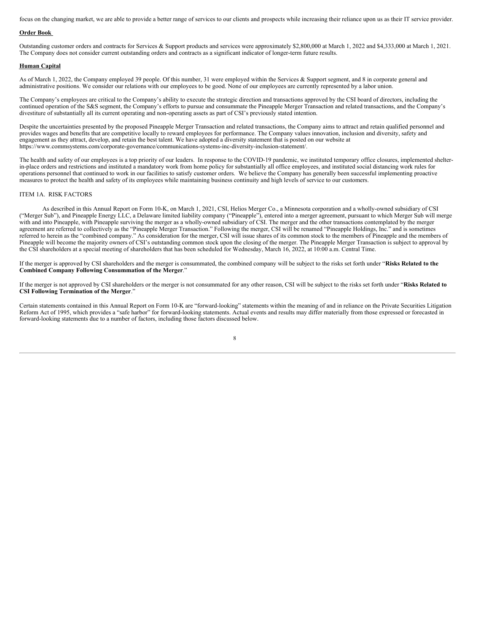focus on the changing market, we are able to provide a better range of services to our clients and prospects while increasing their reliance upon us as their IT service provider.

# **Order Book**

Outstanding customer orders and contracts for Services & Support products and services were approximately \$2,800,000 at March 1, 2022 and \$4,333,000 at March 1, 2021. The Company does not consider current outstanding orders and contracts as a significant indicator of longer-term future results.

#### **Human Capital**

As of March 1, 2022, the Company employed 39 people. Of this number, 31 were employed within the Services & Support segment, and 8 in corporate general and administrative positions. We consider our relations with our employees to be good. None of our employees are currently represented by a labor union.

The Company's employees are critical to the Company's ability to execute the strategic direction and transactions approved by the CSI board of directors, including the continued operation of the S&S segment, the Company's efforts to pursue and consummate the Pineapple Merger Transaction and related transactions, and the Company's divestiture of substantially all its current operating and non-operating assets as part of CSI's previously stated intention.

Despite the uncertainties presented by the proposed Pineapple Merger Transaction and related transactions, the Company aims to attract and retain qualified personnel and provides wages and benefits that are competitive locally to reward employees for performance. The Company values innovation, inclusion and diversity, safety and engagement as they attract, develop, and retain the best talent. We have adopted a diversity statement that is posted on our website at https://www.commsystems.com/corporate-governance/communications-systems-inc-diversity-inclusion-statement/.

The health and safety of our employees is a top priority of our leaders. In response to the COVID-19 pandemic, we instituted temporary office closures, implemented shelterin-place orders and restrictions and instituted a mandatory work from home policy for substantially all office employees, and instituted social distancing work rules for operations personnel that continued to work in our facilities to satisfy customer orders. We believe the Company has generally been successful implementing proactive measures to protect the health and safety of its employees while maintaining business continuity and high levels of service to our customers.

# ITEM 1A. RISK FACTORS

As described in this Annual Report on Form 10-K, on March 1, 2021, CSI, Helios Merger Co., a Minnesota corporation and a wholly-owned subsidiary of CSI ("Merger Sub"), and Pineapple Energy LLC, a Delaware limited liability company ("Pineapple"), entered into a merger agreement, pursuant to which Merger Sub will merge with and into Pineapple, with Pineapple surviving the merger as a wholly-owned subsidiary of CSI. The merger and the other transactions contemplated by the merger agreement are referred to collectively as the "Pineapple Merger Transaction." Following the merger, CSI will be renamed "Pineapple Holdings, Inc." and is sometimes referred to herein as the "combined company." As consideration for the merger, CSI will issue shares of its common stock to the members of Pineapple and the members of Pineapple will become the majority owners of CSI's outstanding common stock upon the closing of the merger. The Pineapple Merger Transaction is subject to approval by the CSI shareholders at a special meeting of shareholders that has been scheduled for Wednesday, March 16, 2022, at 10:00 a.m. Central Time.

If the merger is approved by CSI shareholders and the merger is consummated, the combined company will be subject to the risks set forth under "**Risks Related to the Combined Company Following Consummation of the Merger**."

If the merger is not approved by CSI shareholders or the merger is not consummated for any other reason, CSI will be subject to the risks set forth under "**Risks Related to CSI Following Termination of the Merger**."

Certain statements contained in this Annual Report on Form 10-K are "forward-looking" statements within the meaning of and in reliance on the Private Securities Litigation Reform Act of 1995, which provides a "safe harbor" for forward-looking statements. Actual events and results may differ materially from those expressed or forecasted in forward-looking statements due to a number of factors, including those factors discussed below.

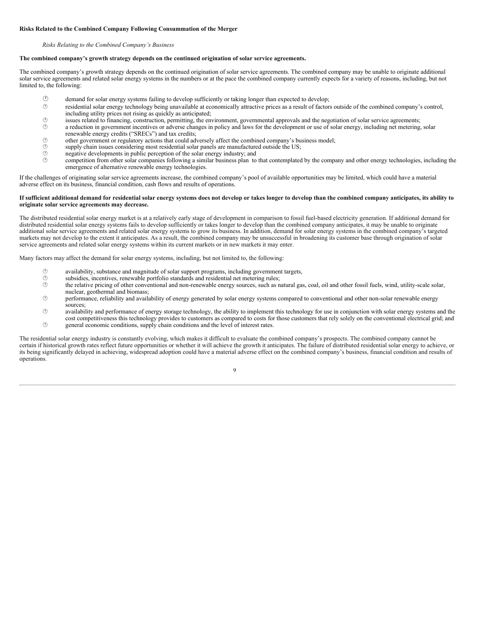### **Risks Related to the Combined Company Following Consummation of the Merger**

# *Risks Relating to the Combined Company's Business*

# **The combined company's growth strategy depends on the continued origination of solar service agreements.**

The combined company's growth strategy depends on the continued origination of solar service agreements. The combined company may be unable to originate additional solar service agreements and related solar energy systems in the numbers or at the pace the combined company currently expects for a variety of reasons, including, but not limited to, the following:

- $\circled{2}$  demand for solar energy systems failing to develop sufficiently or taking longer than expected to develop;<br> $\circled{2}$  residential solar energy technology being unavailable at economically attractive prices as a res
- residential solar energy technology being unavailable at economically attractive prices as a result of factors outside of the combined company's control, including utility prices not rising as quickly as anticipated;
- $\degree$  issues related to financing, construction, permitting, the environment, governmental approvals and the negotiation of solar service agreements;<br>a reduction in government incentives or adverse changes in policy and la
- a reduction in government incentives or adverse changes in policy and laws for the development or use of solar energy, including net metering, solar renewable energy credits ("SRECs") and tax credits;
- $\circled{r}$  other government or regulatory actions that could adversely affect the combined company's business model;<br> $\circled{r}$  sumply chain issues considering most residential solar panels are manufactured outside the US:
- 
- $\circled{r}$  supply chain issues considering most residential solar panels are manufactured outside the US;<br> $\circled{r}$  negative developments in public perception of the solar energy industry; and  $\degree$  negative developments in public perception of the solar energy industry; and competition from other solar companies following a similar business plan to
- competition from other solar companies following a similar business plan to that contemplated by the company and other energy technologies, including the emergence of alternative renewable energy technologies.

If the challenges of originating solar service agreements increase, the combined company's pool of available opportunities may be limited, which could have a material adverse effect on its business, financial condition, cash flows and results of operations.

### If sufficient additional demand for residential solar energy systems does not develop or takes longer to develop than the combined company anticipates, its ability to **originate solar service agreements may decrease.**

The distributed residential solar energy market is at a relatively early stage of development in comparison to fossil fuel-based electricity generation. If additional demand for distributed residential solar energy systems fails to develop sufficiently or takes longer to develop than the combined company anticipates, it may be unable to originate additional solar service agreements and related solar energy systems to grow its business. In addition, demand for solar energy systems in the combined company's targeted markets may not develop to the extent it anticipates. As a result, the combined company may be unsuccessful in broadening its customer base through origination of solar service agreements and related solar energy systems within its current markets or in new markets it may enter.

Many factors may affect the demand for solar energy systems, including, but not limited to, the following:

- $\circled{?}$  availability, substance and magnitude of solar support programs, including government targets, subsidies incentives renewable portfolio standards and residential net metering rules:
- $\circled{e}$  subsidies, incentives, renewable portfolio standards and residential net metering rules;<br> $\circled{e}$  the relative pricing of other conventional and non-renewable energy sources, such as n
- the relative pricing of other conventional and non-renewable energy sources, such as natural gas, coal, oil and other fossil fuels, wind, utility-scale solar, nuclear, geothermal and biomass;
- · performance, reliability and availability of energy generated by solar energy systems compared to conventional and other non-solar renewable energy sources;
- · availability and performance of energy storage technology, the ability to implement this technology for use in conjunction with solar energy systems and the cost competitiveness this technology provides to customers as compared to costs for those customers that rely solely on the conventional electrical grid; and  $\circledR$  general economic conditions, supply chain conditions and the level of interest rates.

The residential solar energy industry is constantly evolving, which makes it difficult to evaluate the combined company's prospects. The combined company cannot be certain if historical growth rates reflect future opportunities or whether it will achieve the growth it anticipates. The failure of distributed residential solar energy to achieve, or its being significantly delayed in achieving, widespread adoption could have a material adverse effect on the combined company's business, financial condition and results of operations.

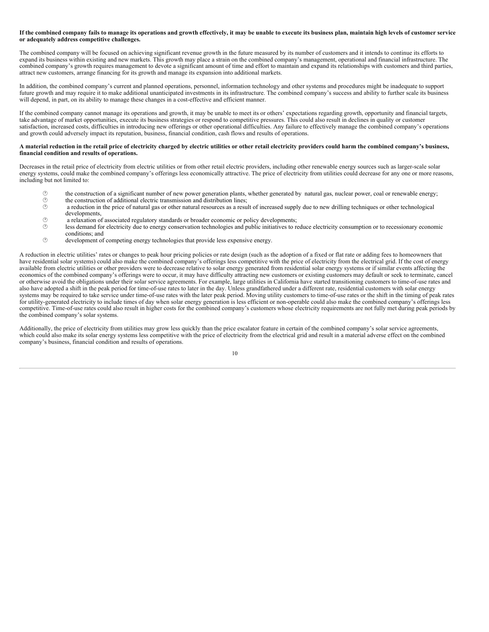#### If the combined company fails to manage its operations and growth effectively, it may be unable to execute its business plan, maintain high levels of customer service **or adequately address competitive challenges.**

The combined company will be focused on achieving significant revenue growth in the future measured by its number of customers and it intends to continue its efforts to expand its business within existing and new markets. This growth may place a strain on the combined company's management, operational and financial infrastructure. The combined company's growth requires management to devote a significant amount of time and effort to maintain and expand its relationships with customers and third parties, attract new customers, arrange financing for its growth and manage its expansion into additional markets.

In addition, the combined company's current and planned operations, personnel, information technology and other systems and procedures might be inadequate to support future growth and may require it to make additional unanticipated investments in its infrastructure. The combined company's success and ability to further scale its business will depend, in part, on its ability to manage these changes in a cost-effective and efficient manner.

If the combined company cannot manage its operations and growth, it may be unable to meet its or others' expectations regarding growth, opportunity and financial targets, take advantage of market opportunities, execute its business strategies or respond to competitive pressures. This could also result in declines in quality or customer satisfaction, increased costs, difficulties in introducing new offerings or other operational difficulties. Any failure to effectively manage the combined company's operations and growth could adversely impact its reputation, business, financial condition, cash flows and results of operations.

# A material reduction in the retail price of electricity charged by electric utilities or other retail electricity providers could harm the combined company's business, **financial condition and results of operations.**

Decreases in the retail price of electricity from electric utilities or from other retail electric providers, including other renewable energy sources such as larger-scale solar energy systems, could make the combined company's offerings less economically attractive. The price of electricity from utilities could decrease for any one or more reasons, including but not limited to:

- $\circ$  the construction of a significant number of new power generation plants, whether generated by natural gas, nuclear power, coal or renewable energy;<br> $\circ$  the construction of additional electric transmission and distri
- $\circ$  the construction of additional electric transmission and distribution lines;<br> $\circ$  a reduction in the price of natural gas or other natural resources as a resu
- a reduction in the price of natural gas or other natural resources as a result of increased supply due to new drilling techniques or other technological developments
- <sup>2</sup> a relaxation of associated regulatory standards or broader economic or policy developments;<br><sup>2</sup> less demand for electricity due to energy conservation technologies and public initiatives to re
- less demand for electricity due to energy conservation technologies and public initiatives to reduce electricity consumption or to recessionary economic conditions; and
- · development of competing energy technologies that provide less expensive energy.

A reduction in electric utilities' rates or changes to peak hour pricing policies or rate design (such as the adoption of a fixed or flat rate or adding fees to homeowners that have residential solar systems) could also make the combined company's offerings less competitive with the price of electricity from the electrical grid. If the cost of energy available from electric utilities or other providers were to decrease relative to solar energy generated from residential solar energy systems or if similar events affecting the economics of the combined company's offerings were to occur, it may have difficulty attracting new customers or existing customers may default or seek to terminate, cancel or otherwise avoid the obligations under their solar service agreements. For example, large utilities in California have started transitioning customers to time-of-use rates and also have adopted a shift in the peak period for time-of-use rates to later in the day. Unless grandfathered under a different rate, residential customers with solar energy systems may be required to take service under time-of-use rates with the later peak period. Moving utility customers to time-of-use rates or the shift in the timing of peak rates for utility-generated electricity to include times of day when solar energy generation is less efficient or non-operable could also make the combined company's offerings less competitive. Time-of-use rates could also result in higher costs for the combined company's customers whose electricity requirements are not fully met during peak periods by the combined company's solar systems.

Additionally, the price of electricity from utilities may grow less quickly than the price escalator feature in certain of the combined company's solar service agreements, which could also make its solar energy systems less competitive with the price of electricity from the electrical grid and result in a material adverse effect on the combined company's business, financial condition and results of operations.

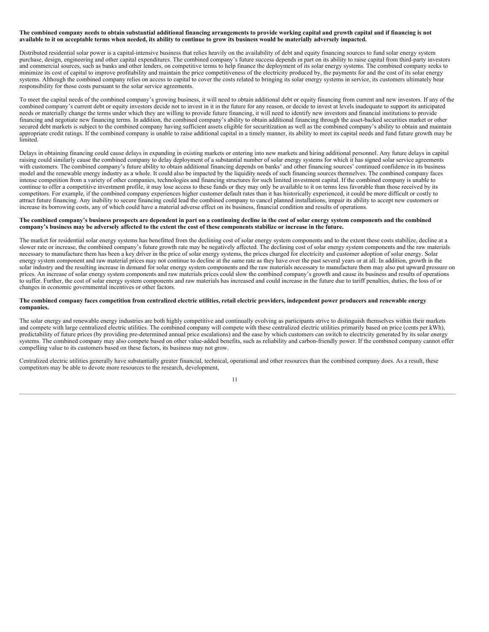# The combined company needs to obtain substantial additional financing arrangements to provide working capital and growth capital and if financing is not available to it on acceptable terms when needed, its ability to continue to grow its business would be materially adversely impacted.

Distributed residential solar power is a capital-intensive business that relies heavily on the availability of debt and equity financing sources to fund solar energy system purchase, design, engineering and other capital expenditures. The combined company's future success depends in part on its ability to raise capital from third-party investors and commercial sources, such as banks and other lenders, on competitive terms to help finance the deployment of its solar energy systems. The combined company seeks to minimize its cost of capital to improve profitability and maintain the price competitiveness of the electricity produced by, the payments for and the cost of its solar energy systems. Although the combined company relies on access to capital to cover the costs related to bringing its solar energy systems in service, its customers ultimately bear responsibility for those costs pursuant to the solar service agreements.

To meet the capital needs of the combined company's growing business, it will need to obtain additional debt or equity financing from current and new investors. If any of the combined company's current debt or equity investors decide not to invest in it in the future for any reason, or decide to invest at levels inadequate to support its anticipated needs or materially change the terms under which they are willing to provide future financing, it will need to identify new investors and financial institutions to provide financing and negotiate new financing terms. In addition, the combined company's ability to obtain additional financing through the asset-backed securities market or other secured debt markets is subject to the combined company having sufficient assets eligible for securitization as well as the combined company's ability to obtain and maintain appropriate credit ratings. If the combined company is unable to raise additional capital in a timely manner, its ability to meet its capital needs and fund future growth may be **limited** 

Delays in obtaining financing could cause delays in expanding in existing markets or entering into new markets and hiring additional personnel. Any future delays in capital raising could similarly cause the combined company to delay deployment of a substantial number of solar energy systems for which it has signed solar service agreements with customers. The combined company's future ability to obtain additional financing depends on banks' and other financing sources' continued confidence in its business model and the renewable energy industry as a whole. It could also be impacted by the liquidity needs of such financing sources themselves. The combined company faces intense competition from a variety of other companies, technologies and financing structures for such limited investment capital. If the combined company is unable to continue to offer a competitive investment profile, it may lose access to these funds or they may only be available to it on terms less favorable than those received by its competitors. For example, if the combined company experiences higher customer default rates than it has historically experienced, it could be more difficult or costly to attract future financing. Any inability to secure financing could lead the combined company to cancel planned installations, impair its ability to accept new customers or increase its borrowing costs, any of which could have a material adverse effect on its business, financial condition and results of operations.

#### The combined company's business prospects are dependent in part on a continuing decline in the cost of solar energy system components and the combined company's business may be adversely affected to the extent the cost of these components stabilize or increase in the future.

The market for residential solar energy systems has benefitted from the declining cost of solar energy system components and to the extent these costs stabilize, decline at a slower rate or increase, the combined company's future growth rate may be negatively affected. The declining cost of solar energy system components and the raw materials necessary to manufacture them has been a key driver in the price of solar energy systems, the prices charged for electricity and customer adoption of solar energy. Solar energy system component and raw material prices may not continue to decline at the same rate as they have over the past several years or at all. In addition, growth in the solar industry and the resulting increase in demand for solar energy system components and the raw materials necessary to manufacture them may also put upward pressure on prices. An increase of solar energy system components and raw materials prices could slow the combined company's growth and cause its business and results of operations to suffer. Further, the cost of solar energy system components and raw materials has increased and could increase in the future due to tariff penalties, duties, the loss of or changes in economic governmental incentives or other factors.

#### The combined company faces competition from centralized electric utilities, retail electric providers, independent power producers and renewable energy **companies.**

The solar energy and renewable energy industries are both highly competitive and continually evolving as participants strive to distinguish themselves within their markets and compete with large centralized electric utilities. The combined company will compete with these centralized electric utilities primarily based on price (cents per kWh), predictability of future prices (by providing pre-determined annual price escalations) and the ease by which customers can switch to electricity generated by its solar energy systems. The combined company may also compete based on other value-added benefits, such as reliability and carbon-friendly power. If the combined company cannot offer compelling value to its customers based on these factors, its business may not grow.

Centralized electric utilities generally have substantially greater financial, technical, operational and other resources than the combined company does. As a result, these competitors may be able to devote more resources to the research, development,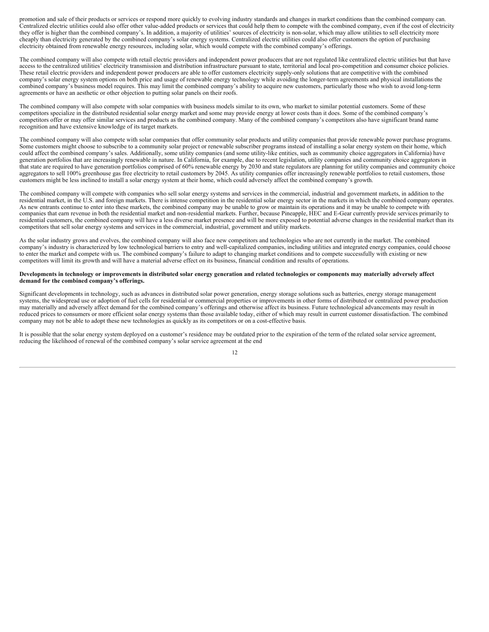promotion and sale of their products or services or respond more quickly to evolving industry standards and changes in market conditions than the combined company can. Centralized electric utilities could also offer other value-added products or services that could help them to compete with the combined company, even if the cost of electricity they offer is higher than the combined company's. In addition, a majority of utilities' sources of electricity is non-solar, which may allow utilities to sell electricity more cheaply than electricity generated by the combined company's solar energy systems. Centralized electric utilities could also offer customers the option of purchasing electricity obtained from renewable energy resources, including solar, which would compete with the combined company's offerings.

The combined company will also compete with retail electric providers and independent power producers that are not regulated like centralized electric utilities but that have access to the centralized utilities' electricity transmission and distribution infrastructure pursuant to state, territorial and local pro-competition and consumer choice policies. These retail electric providers and independent power producers are able to offer customers electricity supply-only solutions that are competitive with the combined company's solar energy system options on both price and usage of renewable energy technology while avoiding the longer-term agreements and physical installations the combined company's business model requires. This may limit the combined company's ability to acquire new customers, particularly those who wish to avoid long-term agreements or have an aesthetic or other objection to putting solar panels on their roofs.

The combined company will also compete with solar companies with business models similar to its own, who market to similar potential customers. Some of these competitors specialize in the distributed residential solar energy market and some may provide energy at lower costs than it does. Some of the combined company's competitors offer or may offer similar services and products as the combined company. Many of the combined company's competitors also have significant brand name recognition and have extensive knowledge of its target markets.

The combined company will also compete with solar companies that offer community solar products and utility companies that provide renewable power purchase programs. Some customers might choose to subscribe to a community solar project or renewable subscriber programs instead of installing a solar energy system on their home, which could affect the combined company's sales. Additionally, some utility companies (and some utility-like entities, such as community choice aggregators in California) have generation portfolios that are increasingly renewable in nature. In California, for example, due to recent legislation, utility companies and community choice aggregators in that state are required to have generation portfolios comprised of 60% renewable energy by 2030 and state regulators are planning for utility companies and community choice aggregators to sell 100% greenhouse gas free electricity to retail customers by 2045. As utility companies offer increasingly renewable portfolios to retail customers, those customers might be less inclined to install a solar energy system at their home, which could adversely affect the combined company's growth.

The combined company will compete with companies who sell solar energy systems and services in the commercial, industrial and government markets, in addition to the residential market, in the U.S. and foreign markets. There is intense competition in the residential solar energy sector in the markets in which the combined company operates. As new entrants continue to enter into these markets, the combined company may be unable to grow or maintain its operations and it may be unable to compete with companies that earn revenue in both the residential market and non-residential markets. Further, because Pineapple, HEC and E-Gear currently provide services primarily to residential customers, the combined company will have a less diverse market presence and will be more exposed to potential adverse changes in the residential market than its competitors that sell solar energy systems and services in the commercial, industrial, government and utility markets.

As the solar industry grows and evolves, the combined company will also face new competitors and technologies who are not currently in the market. The combined company's industry is characterized by low technological barriers to entry and well-capitalized companies, including utilities and integrated energy companies, could choose to enter the market and compete with us. The combined company's failure to adapt to changing market conditions and to compete successfully with existing or new competitors will limit its growth and will have a material adverse effect on its business, financial condition and results of operations.

#### Developments in technology or improvements in distributed solar energy generation and related technologies or components may materially adversely affect **demand for the combined company's offerings.**

Significant developments in technology, such as advances in distributed solar power generation, energy storage solutions such as batteries, energy storage management systems, the widespread use or adoption of fuel cells for residential or commercial properties or improvements in other forms of distributed or centralized power production may materially and adversely affect demand for the combined company's offerings and otherwise affect its business. Future technological advancements may result in reduced prices to consumers or more efficient solar energy systems than those available today, either of which may result in current customer dissatisfaction. The combined company may not be able to adopt these new technologies as quickly as its competitors or on a cost-effective basis.

It is possible that the solar energy system deployed on a customer's residence may be outdated prior to the expiration of the term of the related solar service agreement, reducing the likelihood of renewal of the combined company's solar service agreement at the end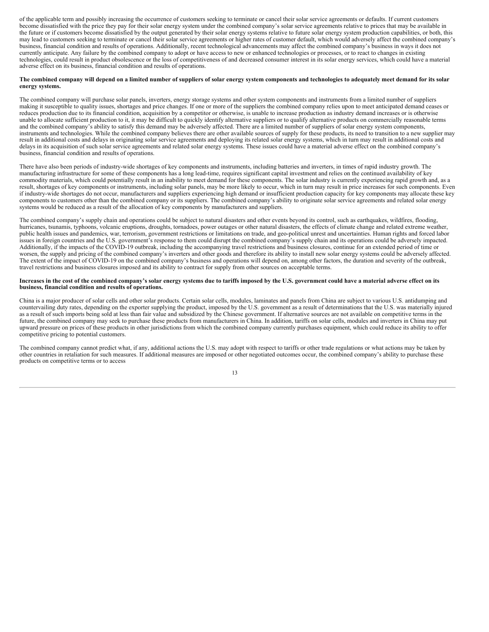of the applicable term and possibly increasing the occurrence of customers seeking to terminate or cancel their solar service agreements or defaults. If current customers become dissatisfied with the price they pay for their solar energy system under the combined company's solar service agreements relative to prices that may be available in the future or if customers become dissatisfied by the output generated by their solar energy systems relative to future solar energy system production capabilities, or both, this may lead to customers seeking to terminate or cancel their solar service agreements or higher rates of customer default, which would adversely affect the combined company's business, financial condition and results of operations. Additionally, recent technological advancements may affect the combined company's business in ways it does not currently anticipate. Any failure by the combined company to adopt or have access to new or enhanced technologies or processes, or to react to changes in existing technologies, could result in product obsolescence or the loss of competitiveness of and decreased consumer interest in its solar energy services, which could have a material adverse effect on its business, financial condition and results of operations.

# The combined company will depend on a limited number of suppliers of solar energy system components and technologies to adequately meet demand for its solar **energy systems.**

The combined company will purchase solar panels, inverters, energy storage systems and other system components and instruments from a limited number of suppliers making it susceptible to quality issues, shortages and price changes. If one or more of the suppliers the combined company relies upon to meet anticipated demand ceases or reduces production due to its financial condition, acquisition by a competitor or otherwise, is unable to increase production as industry demand increases or is otherwise unable to allocate sufficient production to it, it may be difficult to quickly identify alternative suppliers or to qualify alternative products on commercially reasonable terms and the combined company's ability to satisfy this demand may be adversely affected. There are a limited number of suppliers of solar energy system components, instruments and technologies. While the combined company believes there are other available sources of supply for these products, its need to transition to a new supplier may result in additional costs and delays in originating solar service agreements and deploying its related solar energy systems, which in turn may result in additional costs and delays in its acquisition of such solar service agreements and related solar energy systems. These issues could have a material adverse effect on the combined company's business, financial condition and results of operations.

There have also been periods of industry-wide shortages of key components and instruments, including batteries and inverters, in times of rapid industry growth. The manufacturing infrastructure for some of these components has a long lead-time, requires significant capital investment and relies on the continued availability of key commodity materials, which could potentially result in an inability to meet demand for these components. The solar industry is currently experiencing rapid growth and, as a result, shortages of key components or instruments, including solar panels, may be more likely to occur, which in turn may result in price increases for such components. Even if industry-wide shortages do not occur, manufacturers and suppliers experiencing high demand or insufficient production capacity for key components may allocate these key components to customers other than the combined company or its suppliers. The combined company's ability to originate solar service agreements and related solar energy systems would be reduced as a result of the allocation of key components by manufacturers and suppliers.

The combined company's supply chain and operations could be subject to natural disasters and other events beyond its control, such as earthquakes, wildfires, flooding, hurricanes, tsunamis, typhoons, volcanic eruptions, droughts, tornadoes, power outages or other natural disasters, the effects of climate change and related extreme weather, public health issues and pandemics, war, terrorism, government restrictions or limitations on trade, and geo-political unrest and uncertainties. Human rights and forced labor issues in foreign countries and the U.S. government's response to them could disrupt the combined company's supply chain and its operations could be adversely impacted. Additionally, if the impacts of the COVID-19 outbreak, including the accompanying travel restrictions and business closures, continue for an extended period of time or worsen, the supply and pricing of the combined company's inverters and other goods and therefore its ability to install new solar energy systems could be adversely affected. The extent of the impact of COVID-19 on the combined company's business and operations will depend on, among other factors, the duration and severity of the outbreak, travel restrictions and business closures imposed and its ability to contract for supply from other sources on acceptable terms.

# Increases in the cost of the combined company's solar energy systems due to tariffs imposed by the U.S. government could have a material adverse effect on its **business, financial condition and results of operations.**

China is a major producer of solar cells and other solar products. Certain solar cells, modules, laminates and panels from China are subject to various U.S. antidumping and countervailing duty rates, depending on the exporter supplying the product, imposed by the U.S. government as a result of determinations that the U.S. was materially injured as a result of such imports being sold at less than fair value and subsidized by the Chinese government. If alternative sources are not available on competitive terms in the future, the combined company may seek to purchase these products from manufacturers in China. In addition, tariffs on solar cells, modules and inverters in China may put upward pressure on prices of these products in other jurisdictions from which the combined company currently purchases equipment, which could reduce its ability to offer competitive pricing to potential customers.

The combined company cannot predict what, if any, additional actions the U.S. may adopt with respect to tariffs or other trade regulations or what actions may be taken by other countries in retaliation for such measures. If additional measures are imposed or other negotiated outcomes occur, the combined company's ability to purchase these products on competitive terms or to access

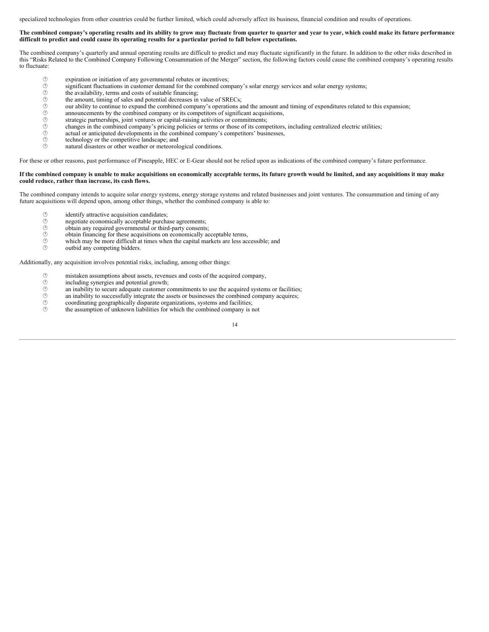specialized technologies from other countries could be further limited, which could adversely affect its business, financial condition and results of operations.

#### The combined company's operating results and its ability to grow may fluctuate from quarter to quarter and year to year, which could make its future performance difficult to predict and could cause its operating results for a particular period to fall below expectations.

The combined company's quarterly and annual operating results are difficult to predict and may fluctuate significantly in the future. In addition to the other risks described in this "Risks Related to the Combined Company Following Consummation of the Merger" section, the following factors could cause the combined company's operating results to fluctuate:

- $\circled{2}$  expiration or initiation of any governmental rebates or incentives;<br> $\circled{2}$  significant fluctuations in customer demand for the combined com
- $\circled{ }$  significant fluctuations in customer demand for the combined company's solar energy services and solar energy systems;<br> $\circled{ }$  the availability, terms and costs of suitable financing;
- $\circled{)}$  the availability, terms and costs of suitable financing;<br> $\circled{)}$  the amount, timing of sales and potential decreases in<br>our ability to continue to expand the combined company<br>announcements by the combined company
- the amount, timing of sales and potential decreases in value of SRECs;
- · our ability to continue to expand the combined company's operations and the amount and timing of expenditures related to this expansion;
- announcements by the combined company or its competitors of significant acquisitions,
- strategic partnerships, joint ventures or capital-raising activities or commitments;
- $\circ$  changes in the combined company's pricing policies or terms or those of its competitors, including centralized electric utilities;<br> $\circ$  actual or anticipated developments in the combined company's competitors' busine
- $\circ$  actual or anticipated developments in the combined company's competitors' businesses,<br> $\circ$  technology or the competitive landscape: and
- $\circled{?}$  technology or the competitive landscape; and natural disasters or other weather or meteorology
- natural disasters or other weather or meteorological conditions.

For these or other reasons, past performance of Pineapple, HEC or E-Gear should not be relied upon as indications of the combined company's future performance.

#### If the combined company is unable to make acquisitions on economically acceptable terms, its future growth would be limited, and any acquisitions it may make **could reduce, rather than increase, its cash flows.**

The combined company intends to acquire solar energy systems, energy storage systems and related businesses and joint ventures. The consummation and timing of any future acquisitions will depend upon, among other things, whether the combined company is able to:

- $\circled{1}$  identify attractive acquisition candidates;<br> $\circled{1}$  negotiate economically acceptable purcha
- $\circled{}$  negotiate economically acceptable purchase agreements;<br> $\circled{}$  obtain any required governmental or third-party consents
- $\degree$  obtain any required governmental or third-party consents;<br> $\degree$  obtain financing for these acquisitions on economically ac
- $\circ$  obtain financing for these acquisitions on economically acceptable terms,<br> $\circ$  which may be more difficult at times when the capital markets are less acc
- $\circled{b}$  which may be more difficult at times when the capital markets are less accessible; and outbid any competing bidders
- outbid any competing bidders.

Additionally, any acquisition involves potential risks, including, among other things:

- $\circled{?}$  mistaken assumptions about assets, revenues and costs of the acquired company, including synergies and potential growth;
- $\circled{1}$  including synergies and potential growth;<br> $\circled{1}$  an inability to secure adequate customer c
- $\circ$  an inability to secure adequate customer commitments to use the acquired systems or facilities;<br> $\circ$  an inability to successfully integrate the assets or businesses the combined company acquires:
- $\circ$  an inability to successfully integrate the assets or businesses the combined company acquires;<br> $\circ$  coordinating geographically disparate organizations, systems and facilities:
- $\circled{r}$  coordinating geographically disparate organizations, systems and facilities;<br> $\circled{r}$  the assumption of unknown liabilities for which the combined company is
- the assumption of unknown liabilities for which the combined company is not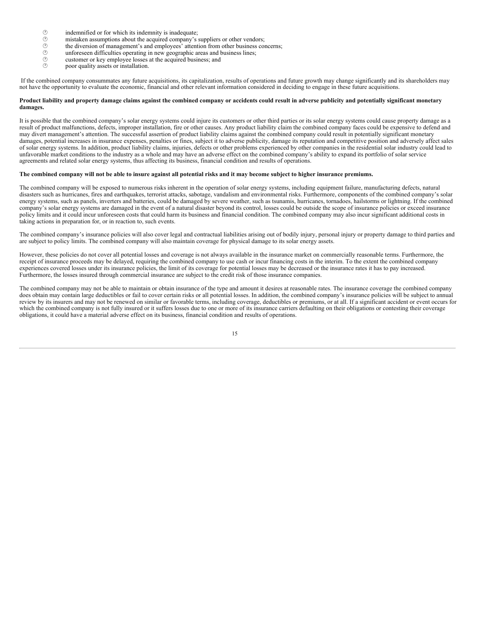- $\circled{2}$  indemnified or for which its indemnity is inadequate;<br> $\circled{2}$  inistaken assumptions about the acquired company's s<br>the diversion of management's and employees' attenti
- mistaken assumptions about the acquired company's suppliers or other vendors;
- $\circled{}$  the diversion of management's and employees' attention from other business concerns;<br> $\circled{}$  unforeseen difficulties operating in new geographic areas and business lines;
- $\circled{1}$  unforeseen difficulties operating in new geographic areas and business lines;<br> $\circled{1}$  customer or key employee losses at the acquired business: and
- $\circled{?}$  customer or key employee losses at the acquired business; and noor quality assets or installation
- poor quality assets or installation.

If the combined company consummates any future acquisitions, its capitalization, results of operations and future growth may change significantly and its shareholders may not have the opportunity to evaluate the economic, financial and other relevant information considered in deciding to engage in these future acquisitions.

#### Product liability and property damage claims against the combined company or accidents could result in adverse publicity and potentially significant monetary **damages.**

It is possible that the combined company's solar energy systems could injure its customers or other third parties or its solar energy systems could cause property damage as a result of product malfunctions, defects, improper installation, fire or other causes. Any product liability claim the combined company faces could be expensive to defend and may divert management's attention. The successful assertion of product liability claims against the combined company could result in potentially significant monetary damages, potential increases in insurance expenses, penalties or fines, subject it to adverse publicity, damage its reputation and competitive position and adversely affect sales of solar energy systems. In addition, product liability claims, injuries, defects or other problems experienced by other companies in the residential solar industry could lead to unfavorable market conditions to the industry as a whole and may have an adverse effect on the combined company's ability to expand its portfolio of solar service agreements and related solar energy systems, thus affecting its business, financial condition and results of operations.

# The combined company will not be able to insure against all potential risks and it may become subject to higher insurance premiums.

The combined company will be exposed to numerous risks inherent in the operation of solar energy systems, including equipment failure, manufacturing defects, natural disasters such as hurricanes, fires and earthquakes, terrorist attacks, sabotage, vandalism and environmental risks. Furthermore, components of the combined company's solar energy systems, such as panels, inverters and batteries, could be damaged by severe weather, such as tsunamis, hurricanes, tornadoes, hailstorms or lightning. If the combined company's solar energy systems are damaged in the event of a natural disaster beyond its control, losses could be outside the scope of insurance policies or exceed insurance policy limits and it could incur unforeseen costs that could harm its business and financial condition. The combined company may also incur significant additional costs in taking actions in preparation for, or in reaction to, such events.

The combined company's insurance policies will also cover legal and contractual liabilities arising out of bodily injury, personal injury or property damage to third parties and are subject to policy limits. The combined company will also maintain coverage for physical damage to its solar energy assets.

However, these policies do not cover all potential losses and coverage is not always available in the insurance market on commercially reasonable terms. Furthermore, the receipt of insurance proceeds may be delayed, requiring the combined company to use cash or incur financing costs in the interim. To the extent the combined company experiences covered losses under its insurance policies, the limit of its coverage for potential losses may be decreased or the insurance rates it has to pay increased. Furthermore, the losses insured through commercial insurance are subject to the credit risk of those insurance companies.

The combined company may not be able to maintain or obtain insurance of the type and amount it desires at reasonable rates. The insurance coverage the combined company does obtain may contain large deductibles or fail to cover certain risks or all potential losses. In addition, the combined company's insurance policies will be subject to annual review by its insurers and may not be renewed on similar or favorable terms, including coverage, deductibles or premiums, or at all. If a significant accident or event occurs for which the combined company is not fully insured or it suffers losses due to one or more of its insurance carriers defaulting on their obligations or contesting their coverage obligations, it could have a material adverse effect on its business, financial condition and results of operations.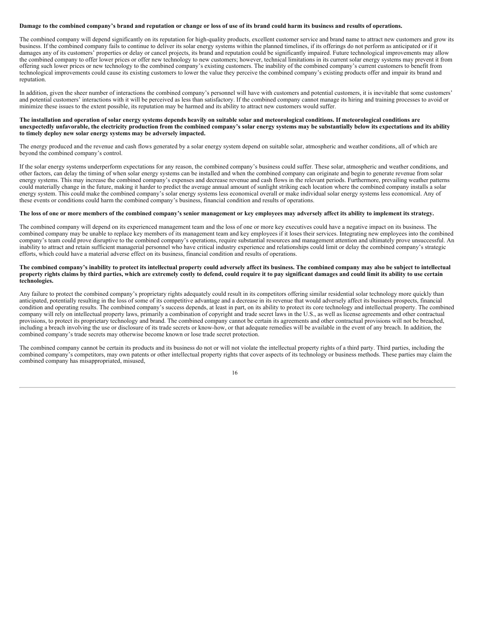### Damage to the combined company's brand and reputation or change or loss of use of its brand could harm its business and results of operations.

The combined company will depend significantly on its reputation for high-quality products, excellent customer service and brand name to attract new customers and grow its business. If the combined company fails to continue to deliver its solar energy systems within the planned timelines, if its offerings do not perform as anticipated or if it damages any of its customers' properties or delay or cancel projects, its brand and reputation could be significantly impaired. Future technological improvements may allow the combined company to offer lower prices or offer new technology to new customers; however, technical limitations in its current solar energy systems may prevent it from offering such lower prices or new technology to the combined company's existing customers. The inability of the combined company's current customers to benefit from technological improvements could cause its existing customers to lower the value they perceive the combined company's existing products offer and impair its brand and reputation.

In addition, given the sheer number of interactions the combined company's personnel will have with customers and potential customers, it is inevitable that some customers' and potential customers' interactions with it will be perceived as less than satisfactory. If the combined company cannot manage its hiring and training processes to avoid or minimize these issues to the extent possible, its reputation may be harmed and its ability to attract new customers would suffer.

#### The installation and operation of solar energy systems depends heavily on suitable solar and meteorological conditions. If meteorological conditions are unexpectedly unfavorable, the electricity production from the combined company's solar energy systems may be substantially below its expectations and its ability **to timely deploy new solar energy systems may be adversely impacted.**

The energy produced and the revenue and cash flows generated by a solar energy system depend on suitable solar, atmospheric and weather conditions, all of which are beyond the combined company's control.

If the solar energy systems underperform expectations for any reason, the combined company's business could suffer. These solar, atmospheric and weather conditions, and other factors, can delay the timing of when solar energy systems can be installed and when the combined company can originate and begin to generate revenue from solar energy systems. This may increase the combined company's expenses and decrease revenue and cash flows in the relevant periods. Furthermore, prevailing weather patterns could materially change in the future, making it harder to predict the average annual amount of sunlight striking each location where the combined company installs a solar energy system. This could make the combined company's solar energy systems less economical overall or make individual solar energy systems less economical. Any of these events or conditions could harm the combined company's business, financial condition and results of operations.

# The loss of one or more members of the combined company's senior management or key emplovees may adversely affect its ability to implement its strategy.

The combined company will depend on its experienced management team and the loss of one or more key executives could have a negative impact on its business. The combined company may be unable to replace key members of its management team and key employees if it loses their services. Integrating new employees into the combined company's team could prove disruptive to the combined company's operations, require substantial resources and management attention and ultimately prove unsuccessful. An inability to attract and retain sufficient managerial personnel who have critical industry experience and relationships could limit or delay the combined company's strategic efforts, which could have a material adverse effect on its business, financial condition and results of operations.

#### The combined company's inability to protect its intellectual property could adversely affect its business. The combined company may also be subject to intellectual property rights claims by third parties, which are extremely costly to defend, could require it to pay significant damages and could limit its ability to use certain **technologies.**

Any failure to protect the combined company's proprietary rights adequately could result in its competitors offering similar residential solar technology more quickly than anticipated, potentially resulting in the loss of some of its competitive advantage and a decrease in its revenue that would adversely affect its business prospects, financial condition and operating results. The combined company's success depends, at least in part, on its ability to protect its core technology and intellectual property. The combined company will rely on intellectual property laws, primarily a combination of copyright and trade secret laws in the U.S., as well as license agreements and other contractual provisions, to protect its proprietary technology and brand. The combined company cannot be certain its agreements and other contractual provisions will not be breached, including a breach involving the use or disclosure of its trade secrets or know-how, or that adequate remedies will be available in the event of any breach. In addition, the combined company's trade secrets may otherwise become known or lose trade secret protection.

The combined company cannot be certain its products and its business do not or will not violate the intellectual property rights of a third party. Third parties, including the combined company's competitors, may own patents or other intellectual property rights that cover aspects of its technology or business methods. These parties may claim the combined company has misappropriated, misused,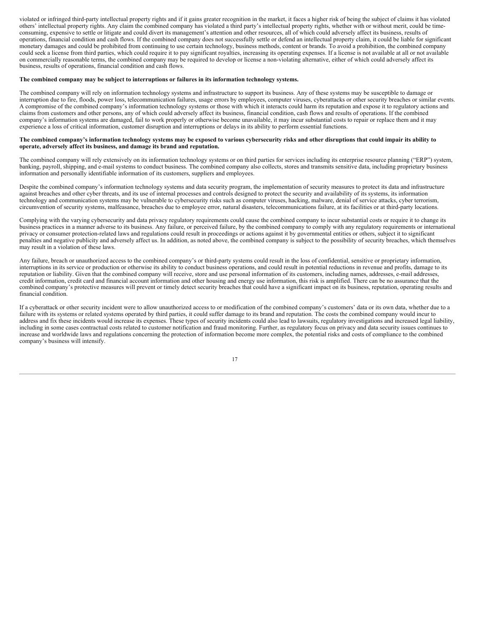violated or infringed third-party intellectual property rights and if it gains greater recognition in the market, it faces a higher risk of being the subject of claims it has violated others' intellectual property rights. Any claim the combined company has violated a third party's intellectual property rights, whether with or without merit, could be timeconsuming, expensive to settle or litigate and could divert its management's attention and other resources, all of which could adversely affect its business, results of operations, financial condition and cash flows. If the combined company does not successfully settle or defend an intellectual property claim, it could be liable for significant monetary damages and could be prohibited from continuing to use certain technology, business methods, content or brands. To avoid a prohibition, the combined company could seek a license from third parties, which could require it to pay significant royalties, increasing its operating expenses. If a license is not available at all or not available on commercially reasonable terms, the combined company may be required to develop or license a non-violating alternative, either of which could adversely affect its business, results of operations, financial condition and cash flows.

#### **The combined company may be subject to interruptions or failures in its information technology systems.**

The combined company will rely on information technology systems and infrastructure to support its business. Any of these systems may be susceptible to damage or interruption due to fire, floods, power loss, telecommunication failures, usage errors by employees, computer viruses, cyberattacks or other security breaches or similar events. A compromise of the combined company's information technology systems or those with which it interacts could harm its reputation and expose it to regulatory actions and claims from customers and other persons, any of which could adversely affect its business, financial condition, cash flows and results of operations. If the combined company's information systems are damaged, fail to work properly or otherwise become unavailable, it may incur substantial costs to repair or replace them and it may experience a loss of critical information, customer disruption and interruptions or delays in its ability to perform essential functions.

# The combined company's information technology systems may be exposed to various cybersecurity risks and other disruptions that could impair its ability to **operate, adversely affect its business, and damage its brand and reputation.**

The combined company will rely extensively on its information technology systems or on third parties for services including its enterprise resource planning ("ERP") system, banking, payroll, shipping, and e-mail systems to conduct business. The combined company also collects, stores and transmits sensitive data, including proprietary business information and personally identifiable information of its customers, suppliers and employees.

Despite the combined company's information technology systems and data security program, the implementation of security measures to protect its data and infrastructure against breaches and other cyber threats, and its use of internal processes and controls designed to protect the security and availability of its systems, its information technology and communication systems may be vulnerable to cybersecurity risks such as computer viruses, hacking, malware, denial of service attacks, cyber terrorism, circumvention of security systems, malfeasance, breaches due to employee error, natural disasters, telecommunications failure, at its facilities or at third-party locations.

Complying with the varying cybersecurity and data privacy regulatory requirements could cause the combined company to incur substantial costs or require it to change its business practices in a manner adverse to its business. Any failure, or perceived failure, by the combined company to comply with any regulatory requirements or international privacy or consumer protection-related laws and regulations could result in proceedings or actions against it by governmental entities or others, subject it to significant penalties and negative publicity and adversely affect us. In addition, as noted above, the combined company is subject to the possibility of security breaches, which themselves may result in a violation of these laws.

Any failure, breach or unauthorized access to the combined company's or third-party systems could result in the loss of confidential, sensitive or proprietary information, interruptions in its service or production or otherwise its ability to conduct business operations, and could result in potential reductions in revenue and profits, damage to its reputation or liability. Given that the combined company will receive, store and use personal information of its customers, including names, addresses, e-mail addresses, credit information, credit card and financial account information and other housing and energy use information, this risk is amplified. There can be no assurance that the combined company's protective measures will prevent or timely detect security breaches that could have a significant impact on its business, reputation, operating results and financial condition.

If a cyberattack or other security incident were to allow unauthorized access to or modification of the combined company's customers' data or its own data, whether due to a failure with its systems or related systems operated by third parties, it could suffer damage to its brand and reputation. The costs the combined company would incur to address and fix these incidents would increase its expenses. These types of security incidents could also lead to lawsuits, regulatory investigations and increased legal liability, including in some cases contractual costs related to customer notification and fraud monitoring. Further, as regulatory focus on privacy and data security issues continues to increase and worldwide laws and regulations concerning the protection of information become more complex, the potential risks and costs of compliance to the combined company's business will intensify.

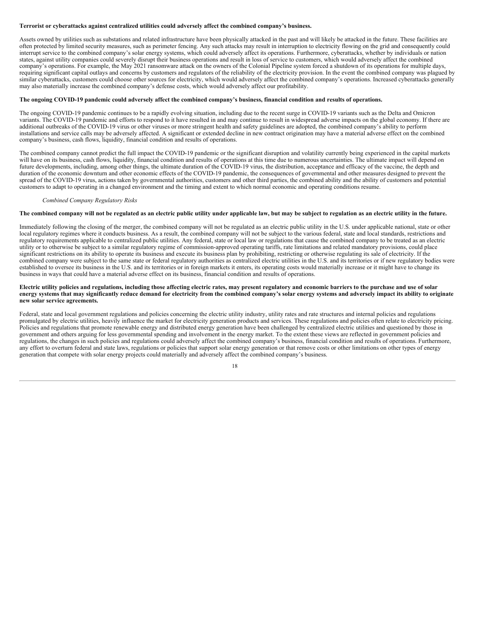# **Terrorist or cyberattacks against centralized utilities could adversely affect the combined company's business.**

Assets owned by utilities such as substations and related infrastructure have been physically attacked in the past and will likely be attacked in the future. These facilities are often protected by limited security measures, such as perimeter fencing. Any such attacks may result in interruption to electricity flowing on the grid and consequently could interrupt service to the combined company's solar energy systems, which could adversely affect its operations. Furthermore, cyberattacks, whether by individuals or nation states, against utility companies could severely disrupt their business operations and result in loss of service to customers, which would adversely affect the combined company's operations. For example, the May 2021 ransomware attack on the owners of the Colonial Pipeline system forced a shutdown of its operations for multiple days, requiring significant capital outlays and concerns by customers and regulators of the reliability of the electricity provision. In the event the combined company was plagued by similar cyberattacks, customers could choose other sources for electricity, which would adversely affect the combined company's operations. Increased cyberattacks generally may also materially increase the combined company's defense costs, which would adversely affect our profitability.

# The ongoing COVID-19 pandemic could adversely affect the combined company's business, financial condition and results of operations.

The ongoing COVID-19 pandemic continues to be a rapidly evolving situation, including due to the recent surge in COVID-19 variants such as the Delta and Omicron variants. The COVID-19 pandemic and efforts to respond to it have resulted in and may continue to result in widespread adverse impacts on the global economy. If there are additional outbreaks of the COVID-19 virus or other viruses or more stringent health and safety guidelines are adopted, the combined company's ability to perform installations and service calls may be adversely affected. A significant or extended decline in new contract origination may have a material adverse effect on the combined company's business, cash flows, liquidity, financial condition and results of operations.

The combined company cannot predict the full impact the COVID-19 pandemic or the significant disruption and volatility currently being experienced in the capital markets will have on its business, cash flows, liquidity, financial condition and results of operations at this time due to numerous uncertainties. The ultimate impact will depend on future developments, including, among other things, the ultimate duration of the COVID-19 virus, the distribution, acceptance and efficacy of the vaccine, the depth and duration of the economic downturn and other economic effects of the COVID-19 pandemic, the consequences of governmental and other measures designed to prevent the spread of the COVID-19 virus, actions taken by governmental authorities, customers and other third parties, the combined ability and the ability of customers and potential customers to adapt to operating in a changed environment and the timing and extent to which normal economic and operating conditions resume.

#### *Combined Company Regulatory Risks*

# The combined company will not be regulated as an electric public utility under applicable law, but may be subject to regulation as an electric utility in the future.

Immediately following the closing of the merger, the combined company will not be regulated as an electric public utility in the U.S. under applicable national, state or other local regulatory regimes where it conducts business. As a result, the combined company will not be subject to the various federal, state and local standards, restrictions and regulatory requirements applicable to centralized public utilities. Any federal, state or local law or regulations that cause the combined company to be treated as an electric utility or to otherwise be subject to a similar regulatory regime of commission-approved operating tariffs, rate limitations and related mandatory provisions, could place significant restrictions on its ability to operate its business and execute its business plan by prohibiting, restricting or otherwise regulating its sale of electricity. If the combined company were subject to the same state or federal regulatory authorities as centralized electric utilities in the U.S. and its territories or if new regulatory bodies were established to oversee its business in the U.S. and its territories or in foreign markets it enters, its operating costs would materially increase or it might have to change its business in ways that could have a material adverse effect on its business, financial condition and results of operations.

#### Electric utility policies and regulations, including those affecting electric rates, may present regulatory and economic barriers to the purchase and use of solar energy systems that may significantly reduce demand for electricity from the combined company's solar energy systems and adversely impact its ability to originate **new solar service agreements.**

Federal, state and local government regulations and policies concerning the electric utility industry, utility rates and rate structures and internal policies and regulations promulgated by electric utilities, heavily influence the market for electricity generation products and services. These regulations and policies often relate to electricity pricing. Policies and regulations that promote renewable energy and distributed energy generation have been challenged by centralized electric utilities and questioned by those in government and others arguing for less governmental spending and involvement in the energy market. To the extent these views are reflected in government policies and regulations, the changes in such policies and regulations could adversely affect the combined company's business, financial condition and results of operations. Furthermore, any effort to overturn federal and state laws, regulations or policies that support solar energy generation or that remove costs or other limitations on other types of energy generation that compete with solar energy projects could materially and adversely affect the combined company's business.

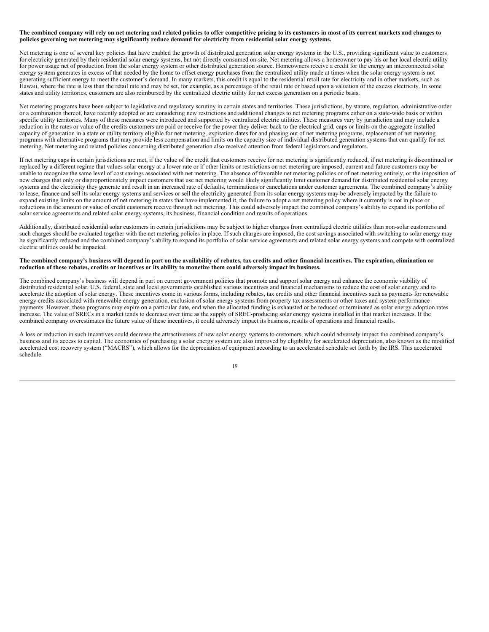#### The combined company will rely on net metering and related policies to offer competitive pricing to its customers in most of its current markets and changes to **policies governing net metering may significantly reduce demand for electricity from residential solar energy systems.**

Net metering is one of several key policies that have enabled the growth of distributed generation solar energy systems in the U.S., providing significant value to customers for electricity generated by their residential solar energy systems, but not directly consumed on-site. Net metering allows a homeowner to pay his or her local electric utility for power usage net of production from the solar energy system or other distributed generation source. Homeowners receive a credit for the energy an interconnected solar energy system generates in excess of that needed by the home to offset energy purchases from the centralized utility made at times when the solar energy system is not generating sufficient energy to meet the customer's demand. In many markets, this credit is equal to the residential retail rate for electricity and in other markets, such as Hawaii, where the rate is less than the retail rate and may be set, for example, as a percentage of the retail rate or based upon a valuation of the excess electricity. In some states and utility territories, customers are also reimbursed by the centralized electric utility for net excess generation on a periodic basis.

Net metering programs have been subject to legislative and regulatory scrutiny in certain states and territories. These jurisdictions, by statute, regulation, administrative order or a combination thereof, have recently adopted or are considering new restrictions and additional changes to net metering programs either on a state-wide basis or within specific utility territories. Many of these measures were introduced and supported by centralized electric utilities. These measures vary by jurisdiction and may include a reduction in the rates or value of the credits customers are paid or receive for the power they deliver back to the electrical grid, caps or limits on the aggregate installed capacity of generation in a state or utility territory eligible for net metering, expiration dates for and phasing out of net metering programs, replacement of net metering programs with alternative programs that may provide less compensation and limits on the capacity size of individual distributed generation systems that can qualify for net metering. Net metering and related policies concerning distributed generation also received attention from federal legislators and regulators.

If net metering caps in certain jurisdictions are met, if the value of the credit that customers receive for net metering is significantly reduced, if net metering is discontinued or replaced by a different regime that values solar energy at a lower rate or if other limits or restrictions on net metering are imposed, current and future customers may be unable to recognize the same level of cost savings associated with net metering. The absence of favorable net metering policies or of net metering entirely, or the imposition of new charges that only or disproportionately impact customers that use net metering would likely significantly limit customer demand for distributed residential solar energy systems and the electricity they generate and result in an increased rate of defaults, terminations or cancelations under customer agreements. The combined company's ability to lease, finance and sell its solar energy systems and services or sell the electricity generated from its solar energy systems may be adversely impacted by the failure to expand existing limits on the amount of net metering in states that have implemented it, the failure to adopt a net metering policy where it currently is not in place or reductions in the amount or value of credit customers receive through net metering. This could adversely impact the combined company's ability to expand its portfolio of solar service agreements and related solar energy systems, its business, financial condition and results of operations.

Additionally, distributed residential solar customers in certain jurisdictions may be subject to higher charges from centralized electric utilities than non-solar customers and such charges should be evaluated together with the net metering policies in place. If such charges are imposed, the cost savings associated with switching to solar energy may be significantly reduced and the combined company's ability to expand its portfolio of solar service agreements and related solar energy systems and compete with centralized electric utilities could be impacted.

#### The combined company's business will depend in part on the availability of rebates, tax credits and other financial incentives. The expiration, elimination or reduction of these rebates, credits or incentives or its ability to monetize them could adversely impact its business.

The combined company's business will depend in part on current government policies that promote and support solar energy and enhance the economic viability of distributed residential solar. U.S. federal, state and local governments established various incentives and financial mechanisms to reduce the cost of solar energy and to accelerate the adoption of solar energy. These incentives come in various forms, including rebates, tax credits and other financial incentives such as payments for renewable energy credits associated with renewable energy generation, exclusion of solar energy systems from property tax assessments or other taxes and system performance payments. However, these programs may expire on a particular date, end when the allocated funding is exhausted or be reduced or terminated as solar energy adoption rates increase. The value of SRECs in a market tends to decrease over time as the supply of SREC-producing solar energy systems installed in that market increases. If the combined company overestimates the future value of these incentives, it could adversely impact its business, results of operations and financial results.

A loss or reduction in such incentives could decrease the attractiveness of new solar energy systems to customers, which could adversely impact the combined company's business and its access to capital. The economics of purchasing a solar energy system are also improved by eligibility for accelerated depreciation, also known as the modified accelerated cost recovery system ("MACRS"), which allows for the depreciation of equipment according to an accelerated schedule set forth by the IRS. This accelerated schedule

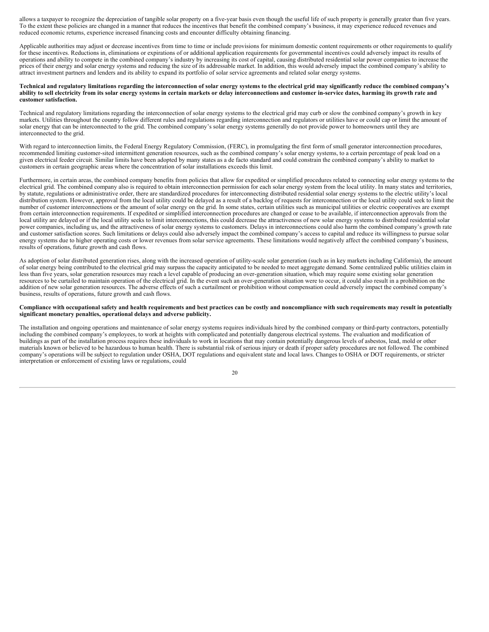allows a taxpayer to recognize the depreciation of tangible solar property on a five-year basis even though the useful life of such property is generally greater than five years. To the extent these policies are changed in a manner that reduces the incentives that benefit the combined company's business, it may experience reduced revenues and reduced economic returns, experience increased financing costs and encounter difficulty obtaining financing.

Applicable authorities may adjust or decrease incentives from time to time or include provisions for minimum domestic content requirements or other requirements to qualify for these incentives. Reductions in, eliminations or expirations of or additional application requirements for governmental incentives could adversely impact its results of operations and ability to compete in the combined company's industry by increasing its cost of capital, causing distributed residential solar power companies to increase the prices of their energy and solar energy systems and reducing the size of its addressable market. In addition, this would adversely impact the combined company's ability to attract investment partners and lenders and its ability to expand its portfolio of solar service agreements and related solar energy systems.

#### Technical and regulatory limitations regarding the interconnection of solar energy systems to the electrical grid may significantly reduce the combined company's ability to sell electricity from its solar energy systems in certain markets or delay interconnections and customer in-service dates, harming its growth rate and **customer satisfaction.**

Technical and regulatory limitations regarding the interconnection of solar energy systems to the electrical grid may curb or slow the combined company's growth in key markets. Utilities throughout the country follow different rules and regulations regarding interconnection and regulators or utilities have or could cap or limit the amount of solar energy that can be interconnected to the grid. The combined company's solar energy systems generally do not provide power to homeowners until they are interconnected to the grid.

With regard to interconnection limits, the Federal Energy Regulatory Commission, (FERC), in promulgating the first form of small generator interconnection procedures, recommended limiting customer-sited intermittent generation resources, such as the combined company's solar energy systems, to a certain percentage of peak load on a given electrical feeder circuit. Similar limits have been adopted by many states as a de facto standard and could constrain the combined company's ability to market to customers in certain geographic areas where the concentration of solar installations exceeds this limit.

Furthermore, in certain areas, the combined company benefits from policies that allow for expedited or simplified procedures related to connecting solar energy systems to the electrical grid. The combined company also is required to obtain interconnection permission for each solar energy system from the local utility. In many states and territories, by statute, regulations or administrative order, there are standardized procedures for interconnecting distributed residential solar energy systems to the electric utility's local distribution system. However, approval from the local utility could be delayed as a result of a backlog of requests for interconnection or the local utility could seek to limit the number of customer interconnections or the amount of solar energy on the grid. In some states, certain utilities such as municipal utilities or electric cooperatives are exempt from certain interconnection requirements. If expedited or simplified interconnection procedures are changed or cease to be available, if interconnection approvals from the local utility are delayed or if the local utility seeks to limit interconnections, this could decrease the attractiveness of new solar energy systems to distributed residential solar power companies, including us, and the attractiveness of solar energy systems to customers. Delays in interconnections could also harm the combined company's growth rate and customer satisfaction scores. Such limitations or delays could also adversely impact the combined company's access to capital and reduce its willingness to pursue solar energy systems due to higher operating costs or lower revenues from solar service agreements. These limitations would negatively affect the combined company's business, results of operations, future growth and cash flows.

As adoption of solar distributed generation rises, along with the increased operation of utility-scale solar generation (such as in key markets including California), the amount of solar energy being contributed to the electrical grid may surpass the capacity anticipated to be needed to meet aggregate demand. Some centralized public utilities claim in less than five years, solar generation resources may reach a level capable of producing an over-generation situation, which may require some existing solar generation resources to be curtailed to maintain operation of the electrical grid. In the event such an over-generation situation were to occur, it could also result in a prohibition on the addition of new solar generation resources. The adverse effects of such a curtailment or prohibition without compensation could adversely impact the combined company's business, results of operations, future growth and cash flows.

#### Compliance with occupational safety and health requirements and best practices can be costly and noncompliance with such requirements may result in potentially **significant monetary penalties, operational delays and adverse publicity.**

The installation and ongoing operations and maintenance of solar energy systems requires individuals hired by the combined company or third-party contractors, potentially including the combined company's employees, to work at heights with complicated and potentially dangerous electrical systems. The evaluation and modification of buildings as part of the installation process requires these individuals to work in locations that may contain potentially dangerous levels of asbestos, lead, mold or other materials known or believed to be hazardous to human health. There is substantial risk of serious injury or death if proper safety procedures are not followed. The combined company's operations will be subject to regulation under OSHA, DOT regulations and equivalent state and local laws. Changes to OSHA or DOT requirements, or stricter interpretation or enforcement of existing laws or regulations, could

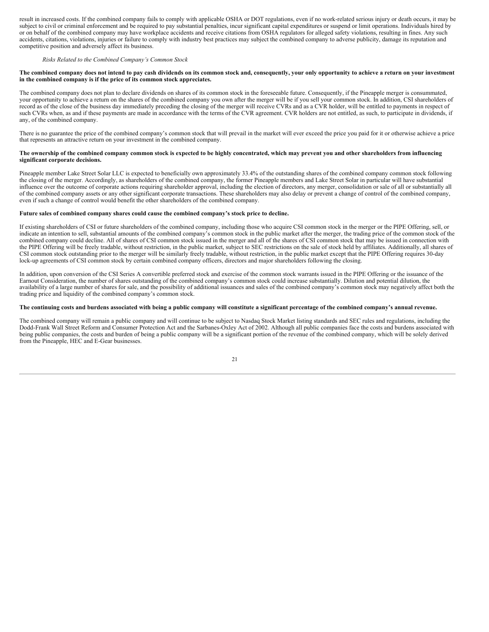result in increased costs. If the combined company fails to comply with applicable OSHA or DOT regulations, even if no work-related serious injury or death occurs, it may be subject to civil or criminal enforcement and be required to pay substantial penalties, incur significant capital expenditures or suspend or limit operations. Individuals hired by or on behalf of the combined company may have workplace accidents and receive citations from OSHA regulators for alleged safety violations, resulting in fines. Any such accidents, citations, violations, injuries or failure to comply with industry best practices may subject the combined company to adverse publicity, damage its reputation and competitive position and adversely affect its business.

#### *Risks Related to the Combined Company's Common Stock*

#### The combined company does not intend to pay cash dividends on its common stock and, consequently, your only opportunity to achieve a return on your investment **in the combined company is if the price of its common stock appreciates.**

The combined company does not plan to declare dividends on shares of its common stock in the foreseeable future. Consequently, if the Pineapple merger is consummated, your opportunity to achieve a return on the shares of the combined company you own after the merger will be if you sell your common stock. In addition, CSI shareholders of record as of the close of the business day immediately preceding the closing of the merger will receive CVRs and as a CVR holder, will be entitled to payments in respect of such CVRs when, as and if these payments are made in accordance with the terms of the CVR agreement. CVR holders are not entitled, as such, to participate in dividends, if any, of the combined company.

There is no guarantee the price of the combined company's common stock that will prevail in the market will ever exceed the price you paid for it or otherwise achieve a price that represents an attractive return on your investment in the combined company.

#### The ownership of the combined company common stock is expected to be highly concentrated, which may prevent you and other shareholders from influencing **significant corporate decisions.**

Pineapple member Lake Street Solar LLC is expected to beneficially own approximately 33.4% of the outstanding shares of the combined company common stock following the closing of the merger. Accordingly, as shareholders of the combined company, the former Pineapple members and Lake Street Solar in particular will have substantial influence over the outcome of corporate actions requiring shareholder approval, including the election of directors, any merger, consolidation or sale of all or substantially all of the combined company assets or any other significant corporate transactions. These shareholders may also delay or prevent a change of control of the combined company, even if such a change of control would benefit the other shareholders of the combined company.

#### **Future sales of combined company shares could cause the combined company's stock price to decline.**

If existing shareholders of CSI or future shareholders of the combined company, including those who acquire CSI common stock in the merger or the PIPE Offering, sell, or indicate an intention to sell, substantial amounts of the combined company's common stock in the public market after the merger, the trading price of the common stock of the combined company could decline. All of shares of CSI common stock issued in the merger and all of the shares of CSI common stock that may be issued in connection with the PIPE Offering will be freely tradable, without restriction, in the public market, subject to SEC restrictions on the sale of stock held by affiliates. Additionally, all shares of CSI common stock outstanding prior to the merger will be similarly freely tradable, without restriction, in the public market except that the PIPE Offering requires 30-day lock-up agreements of CSI common stock by certain combined company officers, directors and major shareholders following the closing.

In addition, upon conversion of the CSI Series A convertible preferred stock and exercise of the common stock warrants issued in the PIPE Offering or the issuance of the Earnout Consideration, the number of shares outstanding of the combined company's common stock could increase substantially. Dilution and potential dilution, the availability of a large number of shares for sale, and the possibility of additional issuances and sales of the combined company's common stock may negatively affect both the trading price and liquidity of the combined company's common stock.

# The continuing costs and burdens associated with being a public company will constitute a significant percentage of the combined company's annual revenue.

The combined company will remain a public company and will continue to be subject to Nasdaq Stock Market listing standards and SEC rules and regulations, including the Dodd-Frank Wall Street Reform and Consumer Protection Act and the Sarbanes-Oxley Act of 2002. Although all public companies face the costs and burdens associated with being public companies, the costs and burden of being a public company will be a significant portion of the revenue of the combined company, which will be solely derived from the Pineapple, HEC and E-Gear businesses.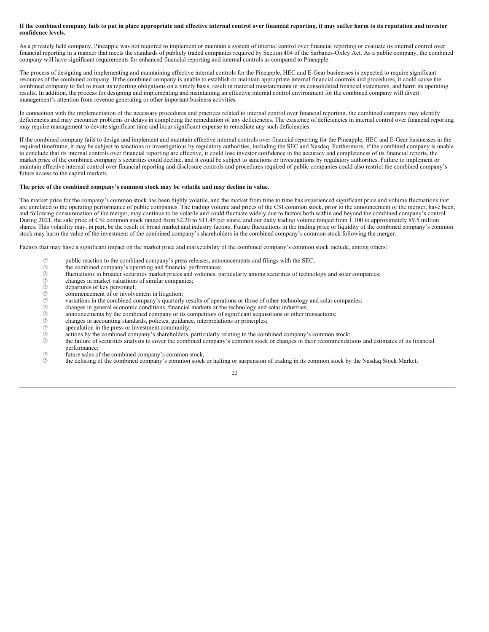# If the combined company fails to put in place appropriate and effective internal control over financial reporting, it may suffer harm to its reputation and investor **confidence levels.**

As a privately held company, Pineapple was not required to implement or maintain a system of internal control over financial reporting or evaluate its internal control over financial reporting in a manner that meets the standards of publicly traded companies required by Section 404 of the Sarbanes-Oxley Act. As a public company, the combined company will have significant requirements for enhanced financial reporting and internal controls as compared to Pineapple.

The process of designing and implementing and maintaining effective internal controls for the Pineapple, HEC and E-Gear businesses is expected to require significant resources of the combined company. If the combined company is unable to establish or maintain appropriate internal financial controls and procedures, it could cause the combined company to fail to meet its reporting obligations on a timely basis, result in material misstatements in its consolidated financial statements, and harm its operating results. In addition, the process for designing and implementing and maintaining an effective internal control environment for the combined company will divert management's attention from revenue generating or other important business activities.

In connection with the implementation of the necessary procedures and practices related to internal control over financial reporting, the combined company may identify deficiencies and may encounter problems or delays in completing the remediation of any deficiencies. The existence of deficiencies in internal control over financial reporting may require management to devote significant time and incur significant expense to remediate any such deficiencies.

If the combined company fails to design and implement and maintain effective internal controls over financial reporting for the Pineapple, HEC and E-Gear businesses in the required timeframe, it may be subject to sanctions or investigations by regulatory authorities, including the SEC and Nasdaq. Furthermore, if the combined company is unable to conclude that its internal controls over financial reporting are effective, it could lose investor confidence in the accuracy and completeness of its financial reports, the market price of the combined company's securities could decline, and it could be subject to sanctions or investigations by regulatory authorities. Failure to implement or maintain effective internal control over financial reporting and disclosure controls and procedures required of public companies could also restrict the combined company's future access to the capital markets.

# **The price of the combined company's common stock may be volatile and may decline in value.**

The market price for the company's common stock has been highly volatile, and the market from time to time has experienced significant price and volume fluctuations that are unrelated to the operating performance of public companies. The trading volume and prices of the CSI common stock, prior to the announcement of the merger, have been, and following consummation of the merger, may continue to be volatile and could fluctuate widely due to factors both within and beyond the combined company's control. During 2021, the sale price of CSI common stock ranged from \$2.20 to \$11.45 per share, and our daily trading volume ranged from 1,100 to approximately 89.5 million shares. This volatility may, in part, be the result of broad market and industry factors. Future fluctuations in the trading price or liquidity of the combined company's common stock may harm the value of the investment of the combined company's shareholders in the combined company's common stock following the merger.

Factors that may have a significant impact on the market price and marketability of the combined company's common stock include, among others:

- 
- the combined company's operating and financial performance;
- $\circled{2}$  public reaction to the combined company's press releases, announcements and filings with the SEC;<br> $\circled{2}$  fluctuations in broader securities market prices and volumes, particularly among securities of techno <ul>\n<li><math display="inline">\circ</math> fluctuations in broader securities market prices and volumes, particularly among securities of technology and solar companies; changes in market valuations of similar companies;</li>\n<li><math display="inline">\circ</math> departures of key personnel;</li>\n<li><math display="inline">\circ</math> commenement of involvement in litigation;</li>\n<li><math display="inline">\circ</math> variations in the combined company's quarterly results of operations or those of other technology and solar companies; changes in general economic conditions, financial markets or the technology and solar industries;</li>\n</ul>
- changes in market valuations of similar companies;
- departures of key personnel;
- commencement of or involvement in litigation;
- variations in the combined company's quarterly results of operations or those of other technology and solar companies;
- $\circ$  changes in general economic conditions, financial markets or the technology and solar industries;<br> $\circ$  announcements by the combined company or its competitors of significant acquisitions or other ti
- $\circled{1}$  announcements by the combined company or its competitors of significant acquisitions or other transactions;<br> $\circled{1}$  changes in accounting standards, policies, guidance, interpretations or principles;
- $\circled{?}$  changes in accounting standards, policies, guidance, interpretations or principles;<br> $\circled{>}$  speculation in the press or investment community:
- $\circled{?}$  speculation in the press or investment community;<br> $\circled{?}$  actions by the combined company's shareholders.
- $\circ$  actions by the combined company's shareholders, particularly relating to the combined company's common stock;<br> $\circ$  the failure of securities analysts to cover the combined company's common stock or changes in their r
- · the failure of securities analysts to cover the combined company's common stock or changes in their recommendations and estimates of its financial performance;
- $\circled{?}$  future sales of the combined company's common stock;<br> $\circled{>}$  the delisting of the combined company's common stock
- the delisting of the combined company's common stock or halting or suspension of trading in its common stock by the Nasdaq Stock Market;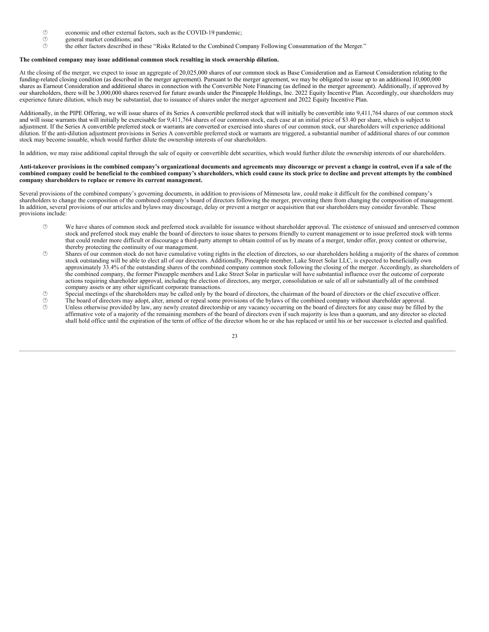- $\circled{?}$  economic and other external factors, such as the COVID-19 pandemic;
- $\circled{e}$  general market conditions; and<br> $\circled{e}$  the other factors described in the
- · the other factors described in these "Risks Related to the Combined Company Following Consummation of the Merger."

#### **The combined company may issue additional common stock resulting in stock ownership dilution.**

At the closing of the merger, we expect to issue an aggregate of 20,025,000 shares of our common stock as Base Consideration and as Earnout Consideration relating to the funding-related closing condition (as described in the merger agreement). Pursuant to the merger agreement, we may be obligated to issue up to an additional 10,000,000 shares as Earnout Consideration and additional shares in connection with the Convertible Note Financing (as defined in the merger agreement). Additionally, if approved by our shareholders, there will be 3,000,000 shares reserved for future awards under the Pineapple Holdings, Inc. 2022 Equity Incentive Plan. Accordingly, our shareholders may experience future dilution, which may be substantial, due to issuance of shares under the merger agreement and 2022 Equity Incentive Plan.

Additionally, in the PIPE Offering, we will issue shares of its Series A convertible preferred stock that will initially be convertible into 9,411,764 shares of our common stock and will issue warrants that will initially be exercisable for 9,411,764 shares of our common stock, each case at an initial price of \$3.40 per share, which is subject to adjustment. If the Series A convertible preferred stock or warrants are converted or exercised into shares of our common stock, our shareholders will experience additional dilution. If the anti-dilution adjustment provisions in Series A convertible preferred stock or warrants are triggered, a substantial number of additional shares of our common stock may become issuable, which would further dilute the ownership interests of our shareholders.

In addition, we may raise additional capital through the sale of equity or convertible debt securities, which would further dilute the ownership interests of our shareholders.

#### Anti-takeover provisions in the combined company's organizational documents and agreements may discourage or prevent a change in control, even if a sale of the combined company could be beneficial to the combined company's shareholders, which could cause its stock price to decline and prevent attempts by the combined **company shareholders to replace or remove its current management.**

Several provisions of the combined company's governing documents, in addition to provisions of Minnesota law, could make it difficult for the combined company's shareholders to change the composition of the combined company's board of directors following the merger, preventing them from changing the composition of management. In addition, several provisions of our articles and bylaws may discourage, delay or prevent a merger or acquisition that our shareholders may consider favorable. These provisions include:

- · We have shares of common stock and preferred stock available for issuance without shareholder approval. The existence of unissued and unreserved common stock and preferred stock may enable the board of directors to issue shares to persons friendly to current management or to issue preferred stock with terms that could render more difficult or discourage a third-party attempt to obtain control of us by means of a merger, tender offer, proxy contest or otherwise, thereby protecting the continuity of our management.
- · Shares of our common stock do not have cumulative voting rights in the election of directors, so our shareholders holding a majority of the shares of common stock outstanding will be able to elect all of our directors. Additionally, Pineapple member, Lake Street Solar LLC, is expected to beneficially own approximately 33.4% of the outstanding shares of the combined company common stock following the closing of the merger. Accordingly, as shareholders of the combined company, the former Pineapple members and Lake Street Solar in particular will have substantial influence over the outcome of corporate actions requiring shareholder approval, including the election of directors, any merger, consolidation or sale of all or substantially all of the combined company assets or any other significant corporate transactions.
- · Special meetings of the shareholders may be called only by the board of directors, the chairman of the board of directors or the chief executive officer.
- $\degree$  The board of directors may adopt, alter, amend or repeal some provisions of the bylaws of the combined company without shareholder approval.<br>These otherwise provided by law, any newly created directorship or any vaca Unless otherwise provided by law, any newly created directorship or any vacancy occurring on the board of directors for any cause may be filled by the affirmative vote of a majority of the remaining members of the board of directors even if such majority is less than a quorum, and any director so elected
	- shall hold office until the expiration of the term of office of the director whom he or she has replaced or until his or her successor is elected and qualified.

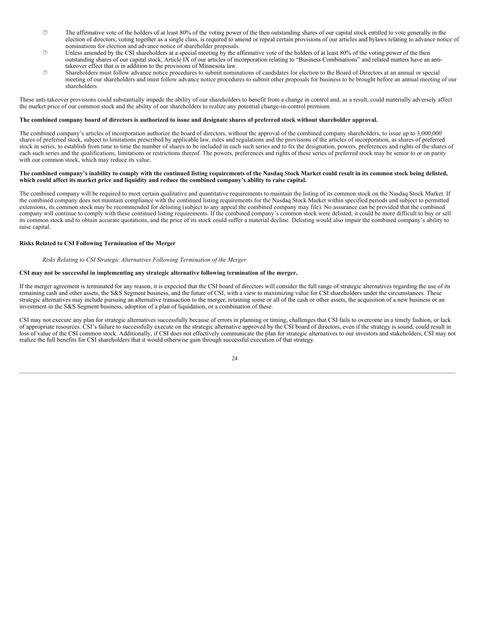- · The affirmative vote of the holders of at least 80% of the voting power of the then outstanding shares of our capital stock entitled to vote generally in the election of directors, voting together as a single class, is required to amend or repeal certain provisions of our articles and bylaws relating to advance notice of nominations for election and advance notice of shareholder proposals.
- $\circ$  Unless amended by the CSI shareholders at a special meeting by the affirmative vote of the holders of at least 80% of the voting power of the then outstanding shares of our capital stock, Article IX of our articles of incorporation relating to "Business Combinations" and related matters have an antitakeover effect that is in addition to the provisions of Minnesota law.
- · Shareholders must follow advance notice procedures to submit nominations of candidates for election to the Board of Directors at an annual or special meeting of our shareholders and must follow advance notice procedures to submit other proposals for business to be brought before an annual meeting of our shareholders.

These anti-takeover provisions could substantially impede the ability of our shareholders to benefit from a change in control and, as a result, could materially adversely affect the market price of our common stock and the ability of our shareholders to realize any potential change-in-control premium.

# The combined company board of directors is authorized to issue and designate shares of preferred stock without shareholder approval.

The combined company's articles of incorporation authorize the board of directors, without the approval of the combined company shareholders, to issue up to 3,000,000 shares of preferred stock, subject to limitations prescribed by applicable law, rules and regulations and the provisions of the articles of incorporation, as shares of preferred stock in series, to establish from time to time the number of shares to be included in each such series and to fix the designation, powers, preferences and rights of the shares of each such series and the qualifications, limitations or restrictions thereof. The powers, preferences and rights of these series of preferred stock may be senior to or on parity with our common stock, which may reduce its value.

#### The combined company's inability to comply with the continued listing requirements of the Nasdaq Stock Market could result in its common stock being delisted, which could affect its market price and liquidity and reduce the combined company's ability to raise capital.

The combined company will be required to meet certain qualitative and quantitative requirements to maintain the listing of its common stock on the Nasdaq Stock Market. If the combined company does not maintain compliance with the continued listing requirements for the Nasdaq Stock Market within specified periods and subject to permitted extensions, its common stock may be recommended for delisting (subject to any appeal the combined company may file). No assurance can be provided that the combined company will continue to comply with these continued listing requirements. If the combined company's common stock were delisted, it could be more difficult to buy or sell its common stock and to obtain accurate quotations, and the price of its stock could suffer a material decline. Delisting would also impair the combined company's ability to raise capital.

# **Risks Related to CSI Following Termination of the Merger**

# *Risks Relating to CSI Strategic Alternatives Following Termination of the Merger*

#### **CSI may not be successful in implementing any strategic alternative following termination of the merger.**

If the merger agreement is terminated for any reason, it is expected that the CSI board of directors will consider the full range of strategic alternatives regarding the use of its remaining cash and other assets, the S&S Segment business, and the future of CSI, with a view to maximizing value for CSI shareholders under the circumstances. These strategic alternatives may include pursuing an alternative transaction to the merger, retaining some or all of the cash or other assets, the acquisition of a new business or an investment in the S&S Segment business, adoption of a plan of liquidation, or a combination of these.

CSI may not execute any plan for strategic alternatives successfully because of errors in planning or timing, challenges that CSI fails to overcome in a timely fashion, or lack of appropriate resources. CSI's failure to successfully execute on the strategic alternative approved by the CSI board of directors, even if the strategy is sound, could result in loss of value of the CSI common stock. Additionally, if CSI does not effectively communicate the plan for strategic alternatives to our investors and stakeholders, CSI may not realize the full benefits for CSI shareholders that it would otherwise gain through successful execution of that strategy.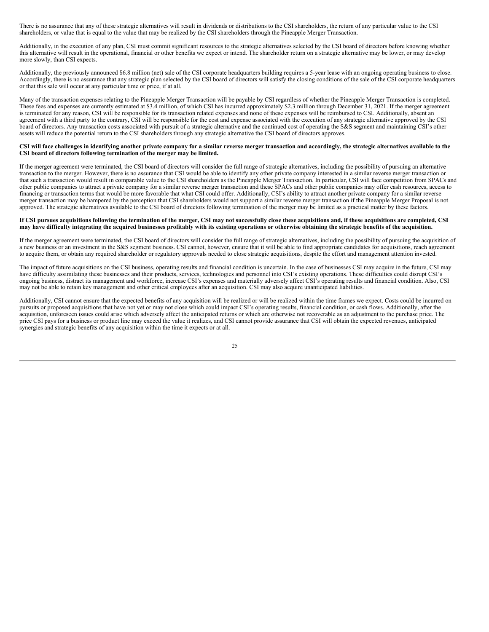There is no assurance that any of these strategic alternatives will result in dividends or distributions to the CSI shareholders, the return of any particular value to the CSI shareholders, or value that is equal to the value that may be realized by the CSI shareholders through the Pineapple Merger Transaction.

Additionally, in the execution of any plan, CSI must commit significant resources to the strategic alternatives selected by the CSI board of directors before knowing whether this alternative will result in the operational, financial or other benefits we expect or intend. The shareholder return on a strategic alternative may be lower, or may develop more slowly, than CSI expects.

Additionally, the previously announced \$6.8 million (net) sale of the CSI corporate headquarters building requires a 5-year lease with an ongoing operating business to close. Accordingly, there is no assurance that any strategic plan selected by the CSI board of directors will satisfy the closing conditions of the sale of the CSI corporate headquarters or that this sale will occur at any particular time or price, if at all.

Many of the transaction expenses relating to the Pineapple Merger Transaction will be payable by CSI regardless of whether the Pineapple Merger Transaction is completed. These fees and expenses are currently estimated at \$3.4 million, of which CSI has incurred approximately \$2.3 million through December 31, 2021. If the merger agreement is terminated for any reason, CSI will be responsible for its transaction related expenses and none of these expenses will be reimbursed to CSI. Additionally, absent an agreement with a third party to the contrary, CSI will be responsible for the cost and expense associated with the execution of any strategic alternative approved by the CSI board of directors. Any transaction costs associated with pursuit of a strategic alternative and the continued cost of operating the S&S segment and maintaining CSI's other assets will reduce the potential return to the CSI shareholders through any strategic alternative the CSI board of directors approves.

#### CSI will face challenges in identifying another private company for a similar reverse merger transaction and accordingly, the strategic alternatives available to the **CSI board of directors following termination of the merger may be limited.**

If the merger agreement were terminated, the CSI board of directors will consider the full range of strategic alternatives, including the possibility of pursuing an alternative transaction to the merger. However, there is no assurance that CSI would be able to identify any other private company interested in a similar reverse merger transaction or that such a transaction would result in comparable value to the CSI shareholders as the Pineapple Merger Transaction. In particular, CSI will face competition from SPACs and other public companies to attract a private company for a similar reverse merger transaction and these SPACs and other public companies may offer cash resources, access to financing or transaction terms that would be more favorable that what CSI could offer. Additionally, CSI's ability to attract another private company for a similar reverse merger transaction may be hampered by the perception that CSI shareholders would not support a similar reverse merger transaction if the Pineapple Merger Proposal is not approved. The strategic alternatives available to the CSI board of directors following termination of the merger may be limited as a practical matter by these factors.

#### If CSI pursues acquisitions following the termination of the merger, CSI may not successfully close these acquisitions and, if these acquisitions are completed, CSI may have difficulty integrating the acquired businesses profitably with its existing operations or otherwise obtaining the strategic benefits of the acquisition.

If the merger agreement were terminated, the CSI board of directors will consider the full range of strategic alternatives, including the possibility of pursuing the acquisition of a new business or an investment in the S&S segment business. CSI cannot, however, ensure that it will be able to find appropriate candidates for acquisitions, reach agreement to acquire them, or obtain any required shareholder or regulatory approvals needed to close strategic acquisitions, despite the effort and management attention invested.

The impact of future acquisitions on the CSI business, operating results and financial condition is uncertain. In the case of businesses CSI may acquire in the future, CSI may have difficulty assimilating these businesses and their products, services, technologies and personnel into CSI's existing operations. These difficulties could disrupt CSI's ongoing business, distract its management and workforce, increase CSI's expenses and materially adversely affect CSI's operating results and financial condition. Also, CSI may not be able to retain key management and other critical employees after an acquisition. CSI may also acquire unanticipated liabilities.

Additionally, CSI cannot ensure that the expected benefits of any acquisition will be realized or will be realized within the time frames we expect. Costs could be incurred on pursuits or proposed acquisitions that have not yet or may not close which could impact CSI's operating results, financial condition, or cash flows. Additionally, after the acquisition, unforeseen issues could arise which adversely affect the anticipated returns or which are otherwise not recoverable as an adjustment to the purchase price. The price CSI pays for a business or product line may exceed the value it realizes, and CSI cannot provide assurance that CSI will obtain the expected revenues, anticipated synergies and strategic benefits of any acquisition within the time it expects or at all.

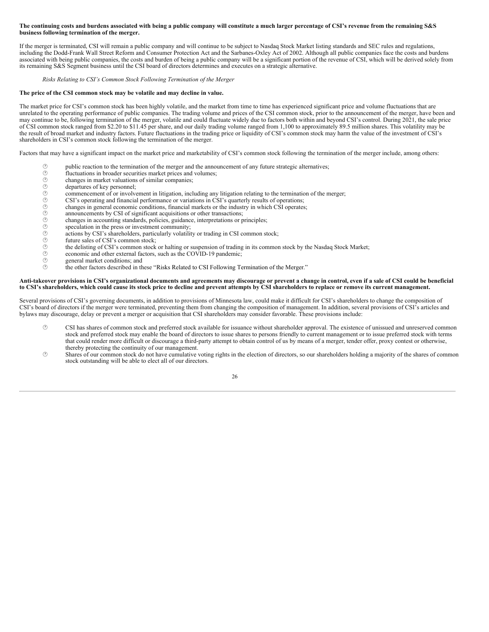# The continuing costs and burdens associated with being a public company will constitute a much larger percentage of CSI's revenue from the remaining S&S **business following termination of the merger.**

If the merger is terminated, CSI will remain a public company and will continue to be subject to Nasdaq Stock Market listing standards and SEC rules and regulations, including the Dodd-Frank Wall Street Reform and Consumer Protection Act and the Sarbanes-Oxley Act of 2002. Although all public companies face the costs and burdens associated with being public companies, the costs and burden of being a public company will be a significant portion of the revenue of CSI, which will be derived solely from its remaining S&S Segment business until the CSI board of directors determines and executes on a strategic alternative.

#### *Risks Relating to CSI's Common Stock Following Termination of the Merger*

# **The price of the CSI common stock may be volatile and may decline in value.**

The market price for CSI's common stock has been highly volatile, and the market from time to time has experienced significant price and volume fluctuations that are unrelated to the operating performance of public companies. The trading volume and prices of the CSI common stock, prior to the announcement of the merger, have been and may continue to be, following termination of the merger, volatile and could fluctuate widely due to factors both within and beyond CSI's control. During 2021, the sale price of CSI common stock ranged from \$2.20 to \$11.45 per share, and our daily trading volume ranged from 1,100 to approximately 89.5 million shares. This volatility may be the result of broad market and industry factors. Future fluctuations in the trading price or liquidity of CSI's common stock may harm the value of the investment of CSI's shareholders in CSI's common stock following the termination of the merger.

Factors that may have a significant impact on the market price and marketability of CSI's common stock following the termination of the merger include, among others:

- $\circled{}$  public reaction to the termination of the merger and the announcement of any future strategic alternatives;<br> $\circled{}$  fluctuations in broader securities market prices and volumes:
- $\circled{1}$  fluctuations in broader securities market prices and volumes;<br> $\circled{1}$  changes in market valuations of similar companies;
- $\circled{1}$  changes in market valuations of similar companies;<br> $\circled{1}$  commencement of or involvement in litigation, incl<br> $\circled{1}$  CSI's operating and financial performance or variation<br>changes in general economic condition
- departures of key personnel;
- · commencement of or involvement in litigation, including any litigation relating to the termination of the merger;
- · CSI's operating and financial performance or variations in CSI's quarterly results of operations;
- changes in general economic conditions, financial markets or the industry in which CSI operates;
- $\circled{)}$  announcements by CSI of significant acquisitions or other transactions;<br>  $\circled{)}$  speculation in the press or investment community;<br>  $\circled{)}$  actions by CSI's shareholders, particularly volatility or trading in CSI
- · changes in accounting standards, policies, guidance, interpretations or principles;
- speculation in the press or investment community;
- actions by CSI's shareholders, particularly volatility or trading in CSI common stock;
- $\circled{1}$  future sales of CSI's common stock;<br> $\circled{1}$  the delisting of CSI's common stock
- $\circled{c}$  the delisting of CSI's common stock or halting or suspension of trading in its common stock by the Nasdaq Stock Market;<br> $\circled{c}$  general market conditions; and
- economic and other external factors, such as the COVID-19 pandemic;
- $\circled{r}$  general market conditions; and<br> $\circled{r}$  the other factors described in the
- the other factors described in these "Risks Related to CSI Following Termination of the Merger."

# Anti-takeover provisions in CSI's organizational documents and agreements may discourage or prevent a change in control, even if a sale of CSI could be beneficial to CSI's shareholders, which could cause its stock price to decline and prevent attempts by CSI shareholders to replace or remove its current management.

Several provisions of CSI's governing documents, in addition to provisions of Minnesota law, could make it difficult for CSI's shareholders to change the composition of CSI's board of directors if the merger were terminated, preventing them from changing the composition of management. In addition, several provisions of CSI's articles and bylaws may discourage, delay or prevent a merger or acquisition that CSI shareholders may consider favorable. These provisions include:

- · CSI has shares of common stock and preferred stock available for issuance without shareholder approval. The existence of unissued and unreserved common stock and preferred stock may enable the board of directors to issue shares to persons friendly to current management or to issue preferred stock with terms that could render more difficult or discourage a third-party attempt to obtain control of us by means of a merger, tender offer, proxy contest or otherwise, thereby protecting the continuity of our management.
- · Shares of our common stock do not have cumulative voting rights in the election of directors, so our shareholders holding a majority of the shares of common stock outstanding will be able to elect all of our directors.

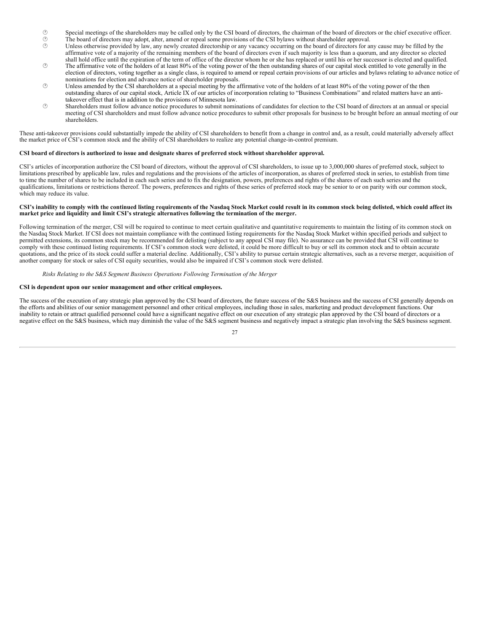- $\circ$  Special meetings of the shareholders may be called only by the CSI board of directors, the chairman of the board of directors or the chief executive officer.<br>The board of directors may adopt alter, amend or repeal so
- $\circ$  The board of directors may adopt, alter, amend or repeal some provisions of the CSI bylaws without shareholder approval.<br>These otherwise provided by law, any newly created directorship or any vacancy occurring on the
- Unless otherwise provided by law, any newly created directorship or any vacancy occurring on the board of directors for any cause may be filled by the affirmative vote of a majority of the remaining members of the board of directors even if such majority is less than a quorum, and any director so elected shall hold office until the expiration of the term of office of the director whom he or she has replaced or until his or her successor is elected and qualified.
- The affirmative vote of the holders of at least 80% of the voting power of the then outstanding shares of our capital stock entitled to vote generally in the election of directors, voting together as a single class, is required to amend or repeal certain provisions of our articles and bylaws relating to advance notice of nominations for election and advance notice of shareholder proposals.
- $\circ$  Unless amended by the CSI shareholders at a special meeting by the affirmative vote of the holders of at least 80% of the voting power of the then outstanding shares of our capital stock, Article IX of our articles of incorporation relating to "Business Combinations" and related matters have an antitakeover effect that is in addition to the provisions of Minnesota law.
- · Shareholders must follow advance notice procedures to submit nominations of candidates for election to the CSI board of directors at an annual or special meeting of CSI shareholders and must follow advance notice procedures to submit other proposals for business to be brought before an annual meeting of our shareholders.

These anti-takeover provisions could substantially impede the ability of CSI shareholders to benefit from a change in control and, as a result, could materially adversely affect the market price of CSI's common stock and the ability of CSI shareholders to realize any potential change-in-control premium.

# CSI board of directors is authorized to issue and designate shares of preferred stock without shareholder approval.

CSI's articles of incorporation authorize the CSI board of directors, without the approval of CSI shareholders, to issue up to 3,000,000 shares of preferred stock, subject to limitations prescribed by applicable law, rules and regulations and the provisions of the articles of incorporation, as shares of preferred stock in series, to establish from time to time the number of shares to be included in each such series and to fix the designation, powers, preferences and rights of the shares of each such series and the qualifications, limitations or restrictions thereof. The powers, preferences and rights of these series of preferred stock may be senior to or on parity with our common stock, which may reduce its value.

# CSI's inability to comply with the continued listing requirements of the Nasdaq Stock Market could result in its common stock being delisted, which could affect its **market price and liquidity and limit CSI's strategic alternatives following the termination of the merger.**

Following termination of the merger, CSI will be required to continue to meet certain qualitative and quantitative requirements to maintain the listing of its common stock on the Nasdaq Stock Market. If CSI does not maintain compliance with the continued listing requirements for the Nasdaq Stock Market within specified periods and subject to permitted extensions, its common stock may be recommended for delisting (subject to any appeal CSI may file). No assurance can be provided that CSI will continue to comply with these continued listing requirements. If CSI's common stock were delisted, it could be more difficult to buy or sell its common stock and to obtain accurate quotations, and the price of its stock could suffer a material decline. Additionally, CSI's ability to pursue certain strategic alternatives, such as a reverse merger, acquisition of another company for stock or sales of CSI equity securities, would also be impaired if CSI's common stock were delisted.

# *Risks Relating to the S&S Segment Business Operations Following Termination of the Merger*

# **CSI is dependent upon our senior management and other critical employees.**

The success of the execution of any strategic plan approved by the CSI board of directors, the future success of the S&S business and the success of CSI generally depends on the efforts and abilities of our senior management personnel and other critical employees, including those in sales, marketing and product development functions. Our inability to retain or attract qualified personnel could have a significant negative effect on our execution of any strategic plan approved by the CSI board of directors or a negative effect on the S&S business, which may diminish the value of the S&S segment business and negatively impact a strategic plan involving the S&S business segment.

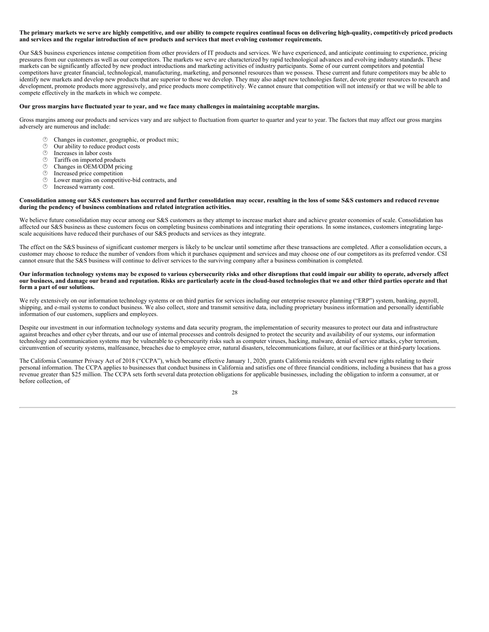#### The primary markets we serve are highly competitive, and our ability to compete requires continual focus on delivering high-quality, competitively priced products **and services and the regular introduction of new products and services that meet evolving customer requirements.**

Our S&S business experiences intense competition from other providers of IT products and services. We have experienced, and anticipate continuing to experience, pricing pressures from our customers as well as our competitors. The markets we serve are characterized by rapid technological advances and evolving industry standards. These markets can be significantly affected by new product introductions and marketing activities of industry participants. Some of our current competitors and potential competitors have greater financial, technological, manufacturing, marketing, and personnel resources than we possess. These current and future competitors may be able to identify new markets and develop new products that are superior to those we develop. They may also adapt new technologies faster, devote greater resources to research and development, promote products more aggressively, and price products more competitively. We cannot ensure that competition will not intensify or that we will be able to compete effectively in the markets in which we compete.

# Our gross margins have fluctuated year to year, and we face many challenges in maintaining acceptable margins.

Gross margins among our products and services vary and are subject to fluctuation from quarter to quarter and year to year. The factors that may affect our gross margins adversely are numerous and include:

- $\circled{1}$  Changes in customer, geographic, or product mix;<br> $\circled{1}$  Our ability to reduce product costs
- **<sup>①</sup>** Our ability to reduce product costs<br><sup>⑦</sup> Increases in labor costs
- $\circled{r}$  Increases in labor costs<br> $\circled{r}$  Tariffs on imported pro
- **<sup>①</sup>** Tariffs on imported products<br><sup>①</sup> Changes in OEM/ODM prici
- $\circled{c}$  Changes in OEM/ODM pricing<br> $\circled{c}$  Increased price competition
- Increased price competition
- · Lower margins on competitive-bid contracts, and
- $\circledcirc$  Increased warranty cost.

#### Consolidation among our S&S customers has occurred and further consolidation may occur, resulting in the loss of some S&S customers and reduced revenue **during the pendency of business combinations and related integration activities.**

We believe future consolidation may occur among our S&S customers as they attempt to increase market share and achieve greater economies of scale. Consolidation has affected our S&S business as these customers focus on completing business combinations and integrating their operations. In some instances, customers integrating largescale acquisitions have reduced their purchases of our S&S products and services as they integrate.

The effect on the S&S business of significant customer mergers is likely to be unclear until sometime after these transactions are completed. After a consolidation occurs, a customer may choose to reduce the number of vendors from which it purchases equipment and services and may choose one of our competitors as its preferred vendor. CSI cannot ensure that the S&S business will continue to deliver services to the surviving company after a business combination is completed.

#### Our information technology systems may be exposed to various cybersecurity risks and other disruptions that could impair our ability to operate, adversely affect our business, and damage our brand and reputation. Risks are particularly acute in the cloud-based technologies that we and other third parties operate and that **form a part of our solutions.**

We rely extensively on our information technology systems or on third parties for services including our enterprise resource planning ("ERP") system, banking, payroll, shipping, and e-mail systems to conduct business. We also collect, store and transmit sensitive data, including proprietary business information and personally identifiable information of our customers, suppliers and employees.

Despite our investment in our information technology systems and data security program, the implementation of security measures to protect our data and infrastructure against breaches and other cyber threats, and our use of internal processes and controls designed to protect the security and availability of our systems, our information technology and communication systems may be vulnerable to cybersecurity risks such as computer viruses, hacking, malware, denial of service attacks, cyber terrorism, circumvention of security systems, malfeasance, breaches due to employee error, natural disasters, telecommunications failure, at our facilities or at third-party locations.

The California Consumer Privacy Act of 2018 ("CCPA"), which became effective January 1, 2020, grants California residents with several new rights relating to their personal information. The CCPA applies to businesses that conduct business in California and satisfies one of three financial conditions, including a business that has a gross revenue greater than \$25 million. The CCPA sets forth several data protection obligations for applicable businesses, including the obligation to inform a consumer, at or before collection, of

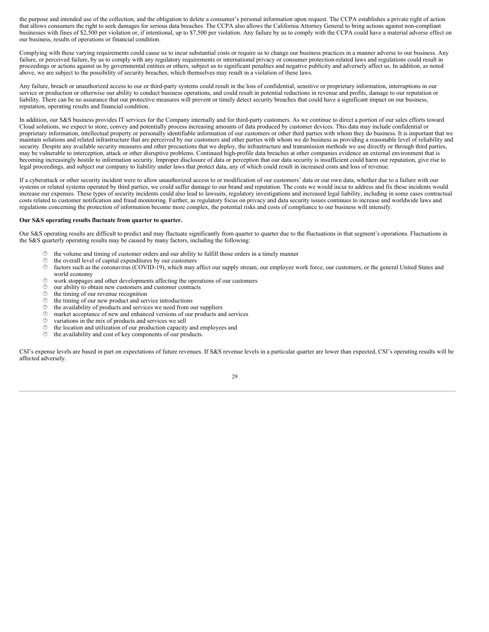the purpose and intended use of the collection, and the obligation to delete a consumer's personal information upon request. The CCPA establishes a private right of action that allows consumers the right to seek damages for serious data breaches. The CCPA also allows the California Attorney General to bring actions against non-compliant businesses with fines of \$2,500 per violation or, if intentional, up to \$7,500 per violation. Any failure by us to comply with the CCPA could have a material adverse effect on our business, results of operations or financial condition.

Complying with these varying requirements could cause us to incur substantial costs or require us to change our business practices in a manner adverse to our business. Any failure, or perceived failure, by us to comply with any regulatory requirements or international privacy or consumer protection-related laws and regulations could result in proceedings or actions against us by governmental entities or others, subject us to significant penalties and negative publicity and adversely affect us. In addition, as noted above, we are subject to the possibility of security breaches, which themselves may result in a violation of these laws.

Any failure, breach or unauthorized access to our or third-party systems could result in the loss of confidential, sensitive or proprietary information, interruptions in our service or production or otherwise our ability to conduct business operations, and could result in potential reductions in revenue and profits, damage to our reputation or liability. There can be no assurance that our protective measures will prevent or timely detect security breaches that could have a significant impact on our business, reputation, operating results and financial condition.

In addition, our S&S business provides IT services for the Company internally and for third-party customers. As we continue to direct a portion of our sales efforts toward Cloud solutions, we expect to store, convey and potentially process increasing amounts of data produced by customer devices. This data may include confidential or proprietary information, intellectual property or personally identifiable information of our customers or other third parties with whom they do business. It is important that we maintain solutions and related infrastructure that are perceived by our customers and other parties with whom we do business as providing a reasonable level of reliability and security. Despite any available security measures and other precautions that we deploy, the infrastructure and transmission methods we use directly or through third parties, may be vulnerable to interception, attack or other disruptive problems. Continued high-profile data breaches at other companies evidence an external environment that is becoming increasingly hostile to information security. Improper disclosure of data or perception that our data security is insufficient could harm our reputation, give rise to legal proceedings, and subject our company to liability under laws that protect data, any of which could result in increased costs and loss of revenue.

If a cyberattack or other security incident were to allow unauthorized access to or modification of our customers' data or our own data, whether due to a failure with our systems or related systems operated by third parties, we could suffer damage to our brand and reputation. The costs we would incur to address and fix these incidents would increase our expenses. These types of security incidents could also lead to lawsuits, regulatory investigations and increased legal liability, including in some cases contractual costs related to customer notification and fraud monitoring. Further, as regulatory focus on privacy and data security issues continues to increase and worldwide laws and regulations concerning the protection of information become more complex, the potential risks and costs of compliance to our business will intensify.

#### **Our S&S operating results fluctuate from quarter to quarter.**

Our S&S operating results are difficult to predict and may fluctuate significantly from quarter to quarter due to the fluctuations in that segment's operations. Fluctuations in the S&S quarterly operating results may be caused by many factors, including the following:

- $\circled{1}$  the volume and timing of customer orders and our ability to fulfill those orders in a timely manner
- $\circled{b}$  the overall level of capital expenditures by our customers  $\circled{c}$  factors such as the coronavirus (COVID-19) which may
- factors such as the coronavirus (COVID-19), which may affect our supply stream, our employee work force, our customers, or the general United States and world economy
- $\circled{1}$  work stoppages and other developments affecting the operations of our customers our ability to obtain new customers and customer contracts
- $\circled{r}$  our ability to obtain new customers and customer contracts  $\circled{r}$  the timing of our revenue recognition
- $\circled{r}$  the timing of our revenue recognition<br> $\circled{r}$  the timing of our new product and ser-
- $\circled{r}$  the timing of our new product and service introductions
- $\circled{?}$  the availability of products and services we need from our suppliers market accentance of new and enhanced versions of our products and
- $\circled{1}$  market acceptance of new and enhanced versions of our products and services variations in the mix of products and services we sell
- $\circled{2}$  variations in the mix of products and services we sell  $\circled{2}$  the location and utilization of our production capacity
- $\circled{r}$  the location and utilization of our production capacity and employees and the availability and cost of key components of our products
- the availability and cost of key components of our products.

CSI's expense levels are based in part on expectations of future revenues. If S&S revenue levels in a particular quarter are lower than expected, CSI's operating results will be affected adversely.

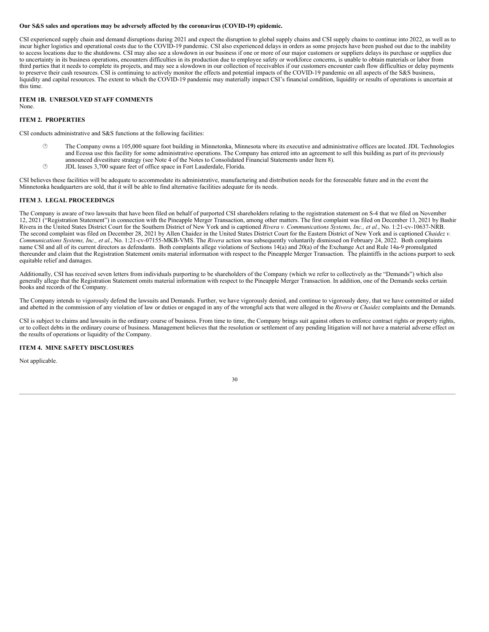# **Our S&S sales and operations may be adversely affected by the coronavirus (COVID-19) epidemic.**

CSI experienced supply chain and demand disruptions during 2021 and expect the disruption to global supply chains and CSI supply chains to continue into 2022, as well as to incur higher logistics and operational costs due to the COVID-19 pandemic. CSI also experienced delays in orders as some projects have been pushed out due to the inability to access locations due to the shutdowns. CSI may also see a slowdown in our business if one or more of our major customers or suppliers delays its purchase or supplies due to uncertainty in its business operations, encounters difficulties in its production due to employee safety or workforce concerns, is unable to obtain materials or labor from third parties that it needs to complete its projects, and may see a slowdown in our collection of receivables if our customers encounter cash flow difficulties or delay payments to preserve their cash resources. CSI is continuing to actively monitor the effects and potential impacts of the COVID-19 pandemic on all aspects of the S&S business, liquidity and capital resources. The extent to which the COVID-19 pandemic may materially impact CSI's financial condition, liquidity or results of operations is uncertain at this time.

# **ITEM 1B. UNRESOLVED STAFF COMMENTS**

None.

# **ITEM 2. PROPERTIES**

CSI conducts administrative and S&S functions at the following facilities:

- · The Company owns a 105,000 square foot building in Minnetonka, Minnesota where its executive and administrative offices are located. JDL Technologies and Ecessa use this facility for some administrative operations. The Company has entered into an agreement to sell this building as part of its previously announced divestiture strategy (see Note 4 of the Notes to Consolidated Financial Statements under Item 8).
- · JDL leases 3,700 square feet of office space in Fort Lauderdale, Florida.

CSI believes these facilities will be adequate to accommodate its administrative, manufacturing and distribution needs for the foreseeable future and in the event the Minnetonka headquarters are sold, that it will be able to find alternative facilities adequate for its needs.

# **ITEM 3. LEGAL PROCEEDINGS**

The Company is aware of two lawsuits that have been filed on behalf of purported CSI shareholders relating to the registration statement on S-4 that we filed on November 12, 2021 ("Registration Statement") in connection with the Pineapple Merger Transaction, among other matters. The first complaint was filed on December 13, 2021 by Bashir Rivera in the United States District Court for the Southern District of New York and is captioned *Rivera v. Communications Systems, Inc., et al.*, No. 1:21-cv-10637-NRB. The second complaint was filed on December 28, 2021 by Allen Chaidez in the United States District Court for the Eastern District of New York and is captioned *Chaidez v. Communications Systems, Inc., et al.*, No. 1:21-cv-07155-MKB-VMS. The *Rivera* action was subsequently voluntarily dismissed on February 24, 2022. Both complaints name CSI and all of its current directors as defendants. Both complaints allege violations of Sections 14(a) and 20(a) of the Exchange Act and Rule 14a-9 promulgated thereunder and claim that the Registration Statement omits material information with respect to the Pineapple Merger Transaction. The plaintiffs in the actions purport to seek equitable relief and damages.

Additionally, CSI has received seven letters from individuals purporting to be shareholders of the Company (which we refer to collectively as the "Demands") which also generally allege that the Registration Statement omits material information with respect to the Pineapple Merger Transaction. In addition, one of the Demands seeks certain books and records of the Company.

The Company intends to vigorously defend the lawsuits and Demands. Further, we have vigorously denied, and continue to vigorously deny, that we have committed or aided and abetted in the commission of any violation of law or duties or engaged in any of the wrongful acts that were alleged in the *Rivera* or *Chaidez* complaints and the Demands.

CSI is subject to claims and lawsuits in the ordinary course of business. From time to time, the Company brings suit against others to enforce contract rights or property rights, or to collect debts in the ordinary course of business. Management believes that the resolution or settlement of any pending litigation will not have a material adverse effect on the results of operations or liquidity of the Company.

# **ITEM 4. MINE SAFETY DISCLOSURES**

Not applicable.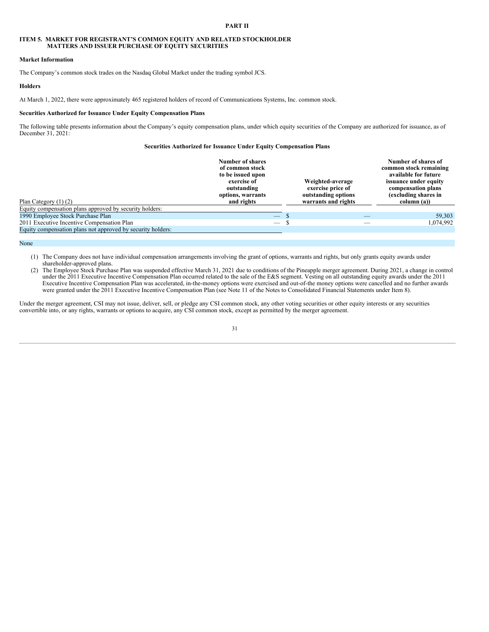# **ITEM 5. MARKET FOR REGISTRANT'S COMMON EQUITY AND RELATED STOCKHOLDER MATTERS AND ISSUER PURCHASE OF EQUITY SECURITIES**

# **Market Information**

The Company's common stock trades on the Nasdaq Global Market under the trading symbol JCS.

# **Holders**

At March 1, 2022, there were approximately 465 registered holders of record of Communications Systems, Inc. common stock.

# **Securities Authorized for Issuance Under Equity Compensation Plans**

The following table presents information about the Company's equity compensation plans, under which equity securities of the Company are authorized for issuance, as of December 31, 2021:

#### **Securities Authorized for Issuance Under Equity Compensation Plans**

| Plan Category $(1)$ $(2)$                                   | <b>Number of shares</b><br>of common stock<br>to be issued upon<br>exercise of<br>outstanding<br>options, warrants<br>and rights |                                       | Weighted-average<br>exercise price of<br>outstanding options<br>warrants and rights | Number of shares of<br>common stock remaining<br>available for future<br>issuance under equity<br>compensation plans<br>(excluding shares in<br>column (a)) |
|-------------------------------------------------------------|----------------------------------------------------------------------------------------------------------------------------------|---------------------------------------|-------------------------------------------------------------------------------------|-------------------------------------------------------------------------------------------------------------------------------------------------------------|
| Equity compensation plans approved by security holders:     |                                                                                                                                  |                                       |                                                                                     |                                                                                                                                                             |
| 1990 Employee Stock Purchase Plan                           |                                                                                                                                  | $\overline{\phantom{0}}$              |                                                                                     | 59,303                                                                                                                                                      |
| 2011 Executive Incentive Compensation Plan                  |                                                                                                                                  | $\hspace{1.0cm} \rule{1.5cm}{0.15cm}$ |                                                                                     | 1,074,992                                                                                                                                                   |
| Equity compensation plans not approved by security holders: |                                                                                                                                  |                                       |                                                                                     |                                                                                                                                                             |

# None

- (1) The Company does not have individual compensation arrangements involving the grant of options, warrants and rights, but only grants equity awards under shareholder-approved plans.
- (2) The Employee Stock Purchase Plan was suspended effective March 31, 2021 due to conditions of the Pineapple merger agreement. During 2021, a change in control under the 2011 Executive Incentive Compensation Plan occurred related to the sale of the E&S segment. Vesting on all outstanding equity awards under the 2011 Executive Incentive Compensation Plan was accelerated, in-the-money options were exercised and out-of-the money options were cancelled and no further awards were granted under the 2011 Executive Incentive Compensation Plan (see Note 11 of the Notes to Consolidated Financial Statements under Item 8).

Under the merger agreement, CSI may not issue, deliver, sell, or pledge any CSI common stock, any other voting securities or other equity interests or any securities convertible into, or any rights, warrants or options to acquire, any CSI common stock, except as permitted by the merger agreement.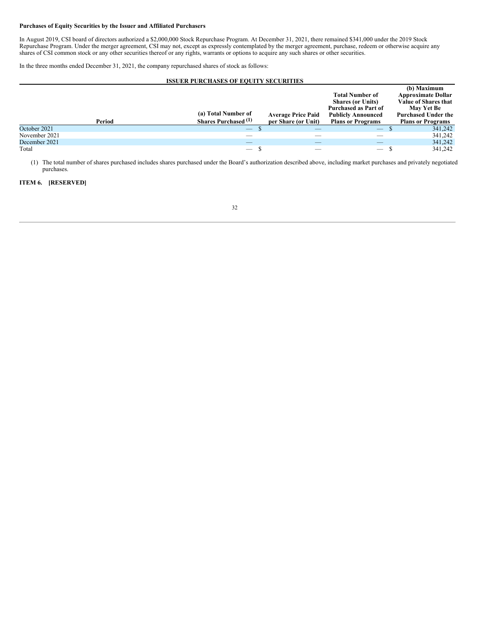# **Purchases of Equity Securities by the Issuer and Affiliated Purchasers**

In August 2019, CSI board of directors authorized a \$2,000,000 Stock Repurchase Program. At December 31, 2021, there remained \$341,000 under the 2019 Stock Repurchase Program. Under the merger agreement, CSI may not, except as expressly contemplated by the merger agreement, purchase, redeem or otherwise acquire any shares of CSI common stock or any other securities thereof or any rights, warrants or options to acquire any such shares or other securities.

In the three months ended December 31, 2021, the company repurchased shares of stock as follows:

# **ISSUER PURCHASES OF EQUITY SECURITIES**

|               |        |                                 |                           |                             | (b) Maximum                |
|---------------|--------|---------------------------------|---------------------------|-----------------------------|----------------------------|
|               |        |                                 |                           | <b>Total Number of</b>      | <b>Approximate Dollar</b>  |
|               |        |                                 |                           | <b>Shares (or Units)</b>    | Value of Shares that       |
|               |        |                                 |                           | <b>Purchased as Part of</b> | <b>May Yet Be</b>          |
|               |        | (a) Total Number of             | <b>Average Price Paid</b> | <b>Publicly Announced</b>   | <b>Purchased Under the</b> |
|               | Period | Shares Purchased <sup>(1)</sup> | per Share (or Unit)       | <b>Plans or Programs</b>    | <b>Plans or Programs</b>   |
| October 2021  |        | $\hspace{0.1mm}-\hspace{0.1mm}$ |                           | $\qquad \qquad - \qquad$    | 341,242                    |
| November 2021 |        | $\overline{\phantom{a}}$        | $\overline{\phantom{a}}$  |                             | 341,242                    |
| December 2021 |        | $\overline{\phantom{a}}$        | _                         | $-$                         | 341,242                    |
| Total         |        |                                 |                           |                             | 341.242                    |

(1) The total number of shares purchased includes shares purchased under the Board's authorization described above, including market purchases and privately negotiated purchases.

# **ITEM 6. [RESERVED]**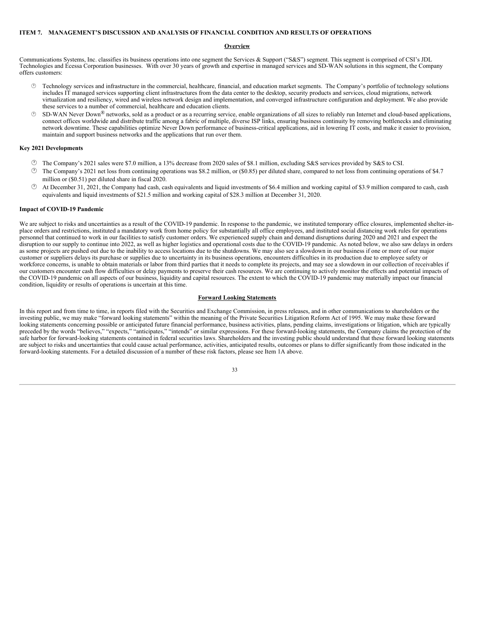#### **ITEM 7. MANAGEMENT'S DISCUSSION AND ANALYSIS OF FINANCIAL CONDITION AND RESULTS OF OPERATIONS**

#### **Overview**

Communications Systems, Inc. classifies its business operations into one segment the Services & Support ("S&S") segment. This segment is comprised of CSI's JDL Technologies and Ecessa Corporation businesses. With over 30 years of growth and expertise in managed services and SD-WAN solutions in this segment, the Company offers customers:

- · Technology services and infrastructure in the commercial, healthcare, financial, and education market segments. The Company's portfolio of technology solutions includes IT managed services supporting client infrastructures from the data center to the desktop, security products and services, cloud migrations, network virtualization and resiliency, wired and wireless network design and implementation, and converged infrastructure configuration and deployment. We also provide these services to a number of commercial, healthcare and education clients.
- **<sup>5</sup>** SD-WAN Never Down<sup>®</sup> networks, sold as a product or as a recurring service, enable organizations of all sizes to reliably run Internet and cloud-based applications, connect offices worldwide and distribute traffic among a fabric of multiple, diverse ISP links, ensuring business continuity by removing bottlenecks and eliminating network downtime. These capabilities optimize Never Down performance of business-critical applications, aid in lowering IT costs, and make it easier to provision, maintain and support business networks and the applications that run over them.

# **Key 2021 Developments**

- · The Company's 2021 sales were \$7.0 million, a 13% decrease from 2020 sales of \$8.1 million, excluding S&S services provided by S&S to CSI.
- · The Company's 2021 net loss from continuing operations was \$8.2 million, or (\$0.85) per diluted share, compared to net loss from continuing operations of \$4.7 million or (\$0.51) per diluted share in fiscal 2020.
- $\circled{b}$  At December 31, 2021, the Company had cash, cash equivalents and liquid investments of \$6.4 million and working capital of \$3.9 million compared to cash, cash equivalents and liquid investments of \$21.5 million and working capital of \$28.3 million at December 31, 2020.

### **Impact of COVID-19 Pandemic**

We are subject to risks and uncertainties as a result of the COVID-19 pandemic. In response to the pandemic, we instituted temporary office closures, implemented shelter-inplace orders and restrictions, instituted a mandatory work from home policy for substantially all office employees, and instituted social distancing work rules for operations personnel that continued to work in our facilities to satisfy customer orders. We experienced supply chain and demand disruptions during 2020 and 2021 and expect the disruption to our supply to continue into 2022, as well as higher logistics and operational costs due to the COVID-19 pandemic. As noted below, we also saw delays in orders as some projects are pushed out due to the inability to access locations due to the shutdowns. We may also see a slowdown in our business if one or more of our major customer or suppliers delays its purchase or supplies due to uncertainty in its business operations, encounters difficulties in its production due to employee safety or workforce concerns, is unable to obtain materials or labor from third parties that it needs to complete its projects, and may see a slowdown in our collection of receivables if our customers encounter cash flow difficulties or delay payments to preserve their cash resources. We are continuing to actively monitor the effects and potential impacts of the COVID-19 pandemic on all aspects of our business, liquidity and capital resources. The extent to which the COVID-19 pandemic may materially impact our financial condition, liquidity or results of operations is uncertain at this time.

# **Forward Looking Statements**

In this report and from time to time, in reports filed with the Securities and Exchange Commission, in press releases, and in other communications to shareholders or the investing public, we may make "forward looking statements" within the meaning of the Private Securities Litigation Reform Act of 1995. We may make these forward looking statements concerning possible or anticipated future financial performance, business activities, plans, pending claims, investigations or litigation, which are typically preceded by the words "believes," "expects," "anticipates," "intends" or similar expressions. For these forward-looking statements, the Company claims the protection of the safe harbor for forward-looking statements contained in federal securities laws. Shareholders and the investing public should understand that these forward looking statements are subject to risks and uncertainties that could cause actual performance, activities, anticipated results, outcomes or plans to differ significantly from those indicated in the forward-looking statements. For a detailed discussion of a number of these risk factors, please see Item 1A above.

<sup>33</sup>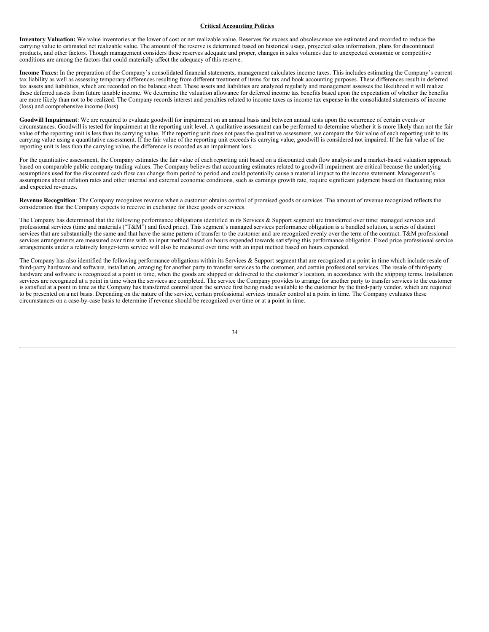# **Critical Accounting Policies**

**Inventory Valuation:** We value inventories at the lower of cost or net realizable value. Reserves for excess and obsolescence are estimated and recorded to reduce the carrying value to estimated net realizable value. The amount of the reserve is determined based on historical usage, projected sales information, plans for discontinued products, and other factors. Though management considers these reserves adequate and proper, changes in sales volumes due to unexpected economic or competitive conditions are among the factors that could materially affect the adequacy of this reserve.

**Income Taxes:** In the preparation of the Company's consolidated financial statements, management calculates income taxes. This includes estimating the Company's current tax liability as well as assessing temporary differences resulting from different treatment of items for tax and book accounting purposes. These differences result in deferred tax assets and liabilities, which are recorded on the balance sheet. These assets and liabilities are analyzed regularly and management assesses the likelihood it will realize these deferred assets from future taxable income. We determine the valuation allowance for deferred income tax benefits based upon the expectation of whether the benefits are more likely than not to be realized. The Company records interest and penalties related to income taxes as income tax expense in the consolidated statements of income (loss) and comprehensive income (loss).

Goodwill Impairment: We are required to evaluate goodwill for impairment on an annual basis and between annual tests upon the occurrence of certain events or circumstances. Goodwill is tested for impairment at the reporting unit level. A qualitative assessment can be performed to determine whether it is more likely than not the fair value of the reporting unit is less than its carrying value. If the reporting unit does not pass the qualitative assessment, we compare the fair value of each reporting unit to its carrying value using a quantitative assessment. If the fair value of the reporting unit exceeds its carrying value, goodwill is considered not impaired. If the fair value of the reporting unit is less than the carrying value, the difference is recorded as an impairment loss.

For the quantitative assessment, the Company estimates the fair value of each reporting unit based on a discounted cash flow analysis and a market-based valuation approach based on comparable public company trading values. The Company believes that accounting estimates related to goodwill impairment are critical because the underlying assumptions used for the discounted cash flow can change from period to period and could potentially cause a material impact to the income statement. Management's assumptions about inflation rates and other internal and external economic conditions, such as earnings growth rate, require significant judgment based on fluctuating rates and expected revenues.

**Revenue Recognition**: The Company recognizes revenue when a customer obtains control of promised goods or services. The amount of revenue recognized reflects the consideration that the Company expects to receive in exchange for these goods or services.

The Company has determined that the following performance obligations identified in its Services & Support segment are transferred over time: managed services and professional services (time and materials ("T&M") and fixed price). This segment's managed services performance obligation is a bundled solution, a series of distinct services that are substantially the same and that have the same pattern of transfer to the customer and are recognized evenly over the term of the contract. T&M professional services arrangements are measured over time with an input method based on hours expended towards satisfying this performance obligation. Fixed price professional service arrangements under a relatively longer-term service will also be measured over time with an input method based on hours expended.

The Company has also identified the following performance obligations within its Services & Support segment that are recognized at a point in time which include resale of third-party hardware and software, installation, arranging for another party to transfer services to the customer, and certain professional services. The resale of third-party hardware and software is recognized at a point in time, when the goods are shipped or delivered to the customer's location, in accordance with the shipping terms. Installation services are recognized at a point in time when the services are completed. The service the Company provides to arrange for another party to transfer services to the customer is satisfied at a point in time as the Company has transferred control upon the service first being made available to the customer by the third-party vendor, which are required to be presented on a net basis. Depending on the nature of the service, certain professional services transfer control at a point in time. The Company evaluates these circumstances on a case-by-case basis to determine if revenue should be recognized over time or at a point in time.

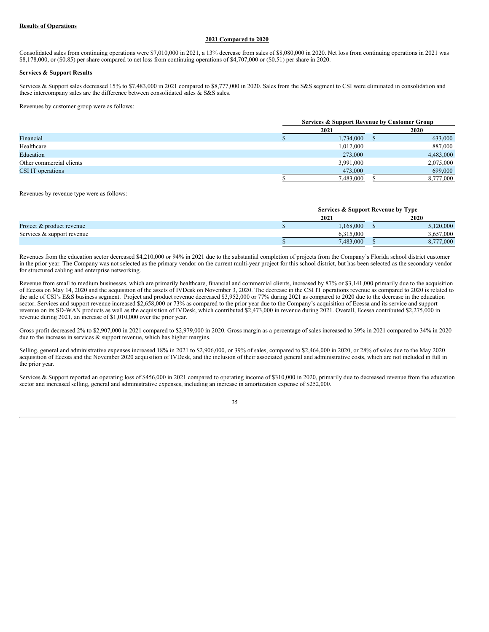# **2021 Compared to 2020**

Consolidated sales from continuing operations were \$7,010,000 in 2021, a 13% decrease from sales of \$8,080,000 in 2020. Net loss from continuing operations in 2021 was \$8,178,000, or (\$0.85) per share compared to net loss from continuing operations of \$4,707,000 or (\$0.51) per share in 2020.

#### **Services & Support Results**

Services & Support sales decreased 15% to \$7,483,000 in 2021 compared to \$8,777,000 in 2020. Sales from the S&S segment to CSI were eliminated in consolidation and these intercompany sales are the difference between consolidated sales & S&S sales.

Revenues by customer group were as follows:

|                          | Services & Support Revenue by Customer Group |  |           |  |
|--------------------------|----------------------------------------------|--|-----------|--|
|                          | 2021                                         |  |           |  |
| Financial                | 1,734,000                                    |  | 633,000   |  |
| Healthcare               | 1,012,000                                    |  | 887,000   |  |
| Education                | 273,000                                      |  | 4,483,000 |  |
| Other commercial clients | 3,991,000                                    |  | 2,075,000 |  |
| <b>CSI IT</b> operations | 473,000                                      |  | 699,000   |  |
|                          | 7,483,000                                    |  | 8,777,000 |  |

Revenues by revenue type were as follows:

|                            | Services & Support Revenue by Type |           |  |  |
|----------------------------|------------------------------------|-----------|--|--|
|                            | 2021                               | 2020      |  |  |
| Project & product revenue  | .168.000                           | 5.120.000 |  |  |
| Services & support revenue | 6.315,000                          | 3.657.000 |  |  |
|                            | 7.483,000                          | 8,777,000 |  |  |

Revenues from the education sector decreased \$4,210,000 or 94% in 2021 due to the substantial completion of projects from the Company's Florida school district customer in the prior year. The Company was not selected as the primary vendor on the current multi-year project for this school district, but has been selected as the secondary vendor for structured cabling and enterprise networking.

Revenue from small to medium businesses, which are primarily healthcare, financial and commercial clients, increased by 87% or \$3,141,000 primarily due to the acquisition of Ecessa on May 14, 2020 and the acquisition of the assets of IVDesk on November 3, 2020. The decrease in the CSI IT operations revenue as compared to 2020 is related to the sale of CSI's E&S business segment. Project and product revenue decreased \$3,952,000 or 77% during 2021 as compared to 2020 due to the decrease in the education sector. Services and support revenue increased \$2,658,000 or 73% as compared to the prior year due to the Company's acquisition of Ecessa and its service and support revenue on its SD-WAN products as well as the acquisition of IVDesk, which contributed \$2,473,000 in revenue during 2021. Overall, Ecessa contributed \$2,275,000 in revenue during 2021, an increase of \$1,010,000 over the prior year.

Gross profit decreased 2% to \$2,907,000 in 2021 compared to \$2,979,000 in 2020. Gross margin as a percentage of sales increased to 39% in 2021 compared to 34% in 2020 due to the increase in services & support revenue, which has higher margins.

Selling, general and administrative expenses increased 18% in 2021 to \$2,906,000, or 39% of sales, compared to \$2,464,000 in 2020, or 28% of sales due to the May 2020 acquisition of Ecessa and the November 2020 acquisition of IVDesk, and the inclusion of their associated general and administrative costs, which are not included in full in the prior year.

Services & Support reported an operating loss of \$456,000 in 2021 compared to operating income of \$310,000 in 2020, primarily due to decreased revenue from the education sector and increased selling, general and administrative expenses, including an increase in amortization expense of \$252,000.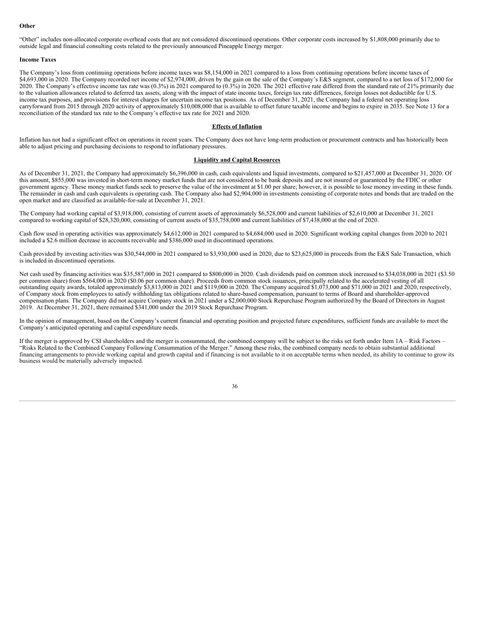#### **Other**

"Other" includes non-allocated corporate overhead costs that are not considered discontinued operations. Other corporate costs increased by \$1,808,000 primarily due to outside legal and financial consulting costs related to the previously announced Pineapple Energy merger.

#### **Income Taxes**

The Company's loss from continuing operations before income taxes was \$8,154,000 in 2021 compared to a loss from continuing operations before income taxes of \$4,693,000 in 2020. The Company recorded net income of \$2,974,000, driven by the gain on the sale of the Company's E&S segment, compared to a net loss of \$172,000 for 2020. The Company's effective income tax rate was (0.3%) in 2021 compared to (0.3%) in 2020. The 2021 effective rate differed from the standard rate of 21% primarily due to the valuation allowances related to deferred tax assets, along with the impact of state income taxes, foreign tax rate differences, foreign losses not deductible for U.S. income tax purposes, and provisions for interest charges for uncertain income tax positions. As of December 31, 2021, the Company had a federal net operating loss carryforward from 2015 through 2020 activity of approximately \$10,008,000 that is available to offset future taxable income and begins to expire in 2035. See Note 13 for a reconciliation of the standard tax rate to the Company's effective tax rate for 2021 and 2020.

#### **Effects of Inflation**

Inflation has not had a significant effect on operations in recent years. The Company does not have long-term production or procurement contracts and has historically been able to adjust pricing and purchasing decisions to respond to inflationary pressures.

#### **Liquidity and Capital Resources**

As of December 31, 2021, the Company had approximately \$6,396,000 in cash, cash equivalents and liquid investments, compared to \$21,457,000 at December 31, 2020. Of this amount, \$855,000 was invested in short-term money market funds that are not considered to be bank deposits and are not insured or guaranteed by the FDIC or other government agency. These money market funds seek to preserve the value of the investment at \$1.00 per share; however, it is possible to lose money investing in these funds. The remainder in cash and cash equivalents is operating cash. The Company also had \$2,904,000 in investments consisting of corporate notes and bonds that are traded on the open market and are classified as available-for-sale at December 31, 2021.

The Company had working capital of \$3,918,000, consisting of current assets of approximately \$6,528,000 and current liabilities of \$2,610,000 at December 31, 2021 compared to working capital of \$28,320,000, consisting of current assets of \$35,758,000 and current liabilities of \$7,438,000 at the end of 2020.

Cash flow used in operating activities was approximately \$4,612,000 in 2021 compared to \$4,684,000 used in 2020. Significant working capital changes from 2020 to 2021 included a \$2.6 million decrease in accounts receivable and \$386,000 used in discontinued operations.

Cash provided by investing activities was \$30,544,000 in 2021 compared to \$3,930,000 used in 2020, due to \$23,625,000 in proceeds from the E&S Sale Transaction, which is included in discontinued operations.

Net cash used by financing activities was \$35,587,000 in 2021 compared to \$800,000 in 2020. Cash dividends paid on common stock increased to \$34,038,000 in 2021 (\$3.50 per common share) from \$564,000 in 2020 (\$0.06 per common share). Proceeds from common stock issuances, principally related to the accelerated vesting of all outstanding equity awards, totaled approximately \$3,813,000 in 2021 and \$119,000 in 2020. The Company acquired \$1,073,000 and \$71,000 in 2021 and 2020, respectively, of Company stock from employees to satisfy withholding tax obligations related to share-based compensation, pursuant to terms of Board and shareholder-approved compensation plans. The Company did not acquire Company stock in 2021 under a \$2,000,000 Stock Repurchase Program authorized by the Board of Directors in August 2019. At December 31, 2021, there remained \$341,000 under the 2019 Stock Repurchase Program.

In the opinion of management, based on the Company's current financial and operating position and projected future expenditures, sufficient funds are available to meet the Company's anticipated operating and capital expenditure needs.

If the merger is approved by CSI shareholders and the merger is consummated, the combined company will be subject to the risks set forth under Item 1A – Risk Factors – "Risks Related to the Combined Company Following Consummation of the Merger." Among these risks, the combined company needs to obtain substantial additional financing arrangements to provide working capital and growth capital and if financing is not available to it on acceptable terms when needed, its ability to continue to grow its business would be materially adversely impacted.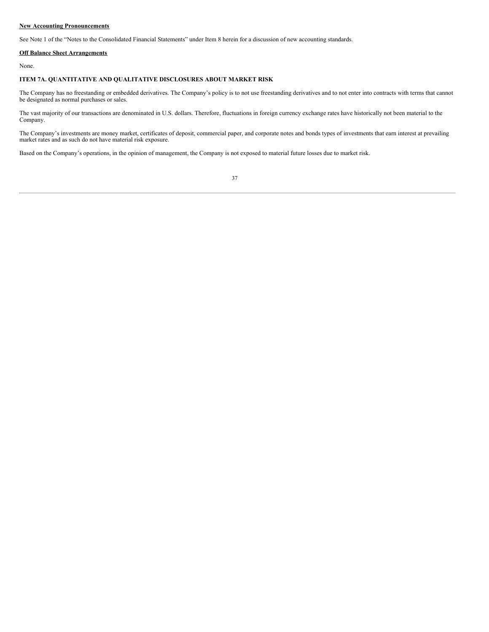## **New Accounting Pronouncements**

See Note 1 of the "Notes to the Consolidated Financial Statements" under Item 8 herein for a discussion of new accounting standards.

## **Off Balance Sheet Arrangements**

None.

# **ITEM 7A. QUANTITATIVE AND QUALITATIVE DISCLOSURES ABOUT MARKET RISK**

The Company has no freestanding or embedded derivatives. The Company's policy is to not use freestanding derivatives and to not enter into contracts with terms that cannot be designated as normal purchases or sales.

The vast majority of our transactions are denominated in U.S. dollars. Therefore, fluctuations in foreign currency exchange rates have historically not been material to the Company.

The Company's investments are money market, certificates of deposit, commercial paper, and corporate notes and bonds types of investments that earn interest at prevailing market rates and as such do not have material risk exposure.

Based on the Company's operations, in the opinion of management, the Company is not exposed to material future losses due to market risk.

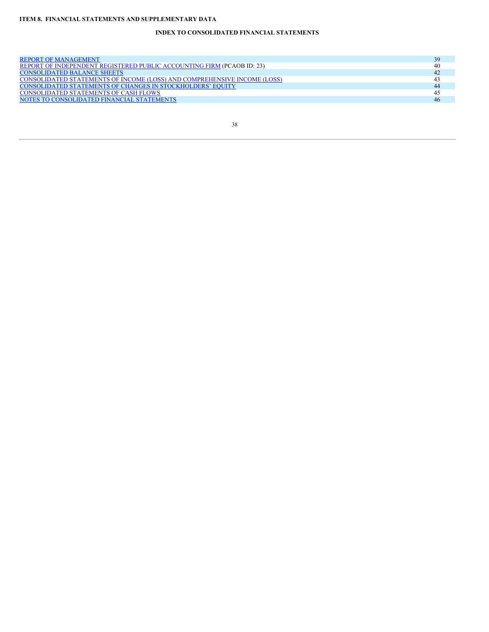# **ITEM 8. FINANCIAL STATEMENTS AND SUPPLEMENTARY DATA**

# **INDEX TO CONSOLIDATED FINANCIAL STATEMENTS**

| <b>REPORT OF MANAGEMENT</b>                                              | 39 |
|--------------------------------------------------------------------------|----|
| REPORT OF INDEPENDENT REGISTERED PUBLIC ACCOUNTING FIRM (PCAOB ID: 23)   | 40 |
| <b>CONSOLIDATED BALANCE SHEETS</b>                                       | 42 |
| CONSOLIDATED STATEMENTS OF INCOME (LOSS) AND COMPREHENSIVE INCOME (LOSS) | 43 |
| <b>CONSOLIDATED STATEMENTS OF CHANGES IN STOCKHOLDERS' EQUITY</b>        | 44 |
| <b>CONSOLIDATED STATEMENTS OF CASH FLOWS</b>                             | 45 |
| NOTES TO CONSOLIDATED FINANCIAL STATEMENTS                               | 46 |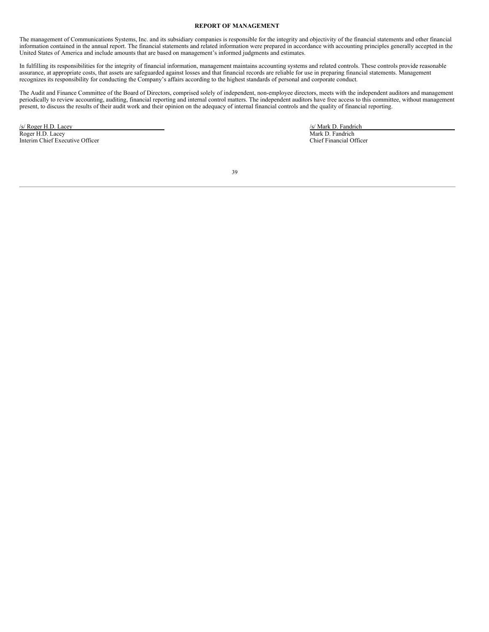## <span id="page-38-0"></span>**REPORT OF MANAGEMENT**

The management of Communications Systems, Inc. and its subsidiary companies is responsible for the integrity and objectivity of the financial statements and other financial information contained in the annual report. The financial statements and related information were prepared in accordance with accounting principles generally accepted in the United States of America and include amounts that are based on management's informed judgments and estimates.

In fulfilling its responsibilities for the integrity of financial information, management maintains accounting systems and related controls. These controls provide reasonable assurance, at appropriate costs, that assets are safeguarded against losses and that financial records are reliable for use in preparing financial statements. Management recognizes its responsibility for conducting the Company's affairs according to the highest standards of personal and corporate conduct.

The Audit and Finance Committee of the Board of Directors, comprised solely of independent, non-employee directors, meets with the independent auditors and management periodically to review accounting, auditing, financial reporting and internal control matters. The independent auditors have free access to this committee, without management present, to discuss the results of their audit work and their opinion on the adequacy of internal financial controls and the quality of financial reporting.

*S/* Roger H.D. Lacey *S/ Nark D. Fandrich*<br>
Roger H.D. Lacey *Mark D. Fandrich* Roger H.D. Lacey<br>
Interim Chief Executive Officer<br>
Chief Financial Officer<br>
Chief Financial Officer Interim Chief Executive Officer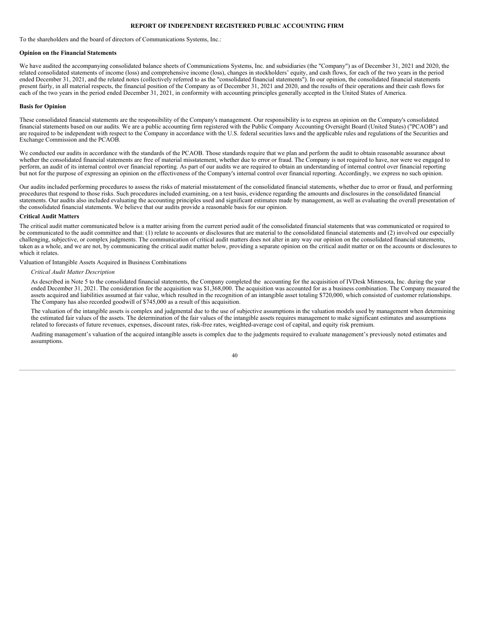## <span id="page-39-0"></span>**REPORT OF INDEPENDENT REGISTERED PUBLIC ACCOUNTING FIRM**

To the shareholders and the board of directors of Communications Systems, Inc.:

## **Opinion on the Financial Statements**

We have audited the accompanying consolidated balance sheets of Communications Systems, Inc. and subsidiaries (the "Company") as of December 31, 2021 and 2020, the related consolidated statements of income (loss) and comprehensive income (loss), changes in stockholders' equity, and cash flows, for each of the two years in the period ended December 31, 2021, and the related notes (collectively referred to as the "consolidated financial statements"). In our opinion, the consolidated financial statements present fairly, in all material respects, the financial position of the Company as of December 31, 2021 and 2020, and the results of their operations and their cash flows for each of the two years in the period ended December 31, 2021, in conformity with accounting principles generally accepted in the United States of America.

#### **Basis for Opinion**

These consolidated financial statements are the responsibility of the Company's management. Our responsibility is to express an opinion on the Company's consolidated financial statements based on our audits. We are a public accounting firm registered with the Public Company Accounting Oversight Board (United States) ("PCAOB") and are required to be independent with respect to the Company in accordance with the U.S. federal securities laws and the applicable rules and regulations of the Securities and Exchange Commission and the PCAOB.

We conducted our audits in accordance with the standards of the PCAOB. Those standards require that we plan and perform the audit to obtain reasonable assurance about whether the consolidated financial statements are free of material misstatement, whether due to error or fraud. The Company is not required to have, nor were we engaged to perform, an audit of its internal control over financial reporting. As part of our audits we are required to obtain an understanding of internal control over financial reporting but not for the purpose of expressing an opinion on the effectiveness of the Company's internal control over financial reporting. Accordingly, we express no such opinion.

Our audits included performing procedures to assess the risks of material misstatement of the consolidated financial statements, whether due to error or fraud, and performing procedures that respond to those risks. Such procedures included examining, on a test basis, evidence regarding the amounts and disclosures in the consolidated financial statements. Our audits also included evaluating the accounting principles used and significant estimates made by management, as well as evaluating the overall presentation of the consolidated financial statements. We believe that our audits provide a reasonable basis for our opinion.

#### **Critical Audit Matters**

The critical audit matter communicated below is a matter arising from the current period audit of the consolidated financial statements that was communicated or required to be communicated to the audit committee and that: (1) relate to accounts or disclosures that are material to the consolidated financial statements and (2) involved our especially challenging, subjective, or complex judgments. The communication of critical audit matters does not alter in any way our opinion on the consolidated financial statements, taken as a whole, and we are not, by communicating the critical audit matter below, providing a separate opinion on the critical audit matter or on the accounts or disclosures to which it relates.

Valuation of Intangible Assets Acquired in Business Combinations

## *Critical Audit Matter Description*

As described in Note 5 to the consolidated financial statements, the Company completed the accounting for the acquisition of IVDesk Minnesota, Inc. during the year ended December 31, 2021. The consideration for the acquisition was \$1,368,000. The acquisition was accounted for as a business combination. The Company measured the assets acquired and liabilities assumed at fair value, which resulted in the recognition of an intangible asset totaling \$720,000, which consisted of customer relationships. The Company has also recorded goodwill of \$745,000 as a result of this acquisition.

The valuation of the intangible assets is complex and judgmental due to the use of subjective assumptions in the valuation models used by management when determining the estimated fair values of the assets. The determination of the fair values of the intangible assets requires management to make significant estimates and assumptions related to forecasts of future revenues, expenses, discount rates, risk-free rates, weighted-average cost of capital, and equity risk premium.

Auditing management's valuation of the acquired intangible assets is complex due to the judgments required to evaluate management's previously noted estimates and assumptions.

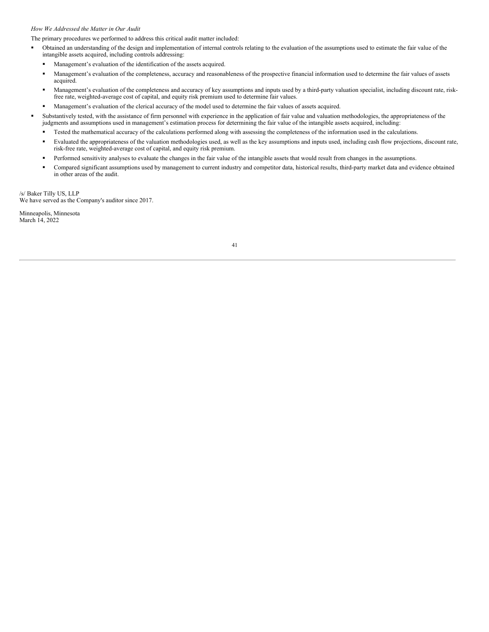## *How We Addressed the Matter in Our Audit*

The primary procedures we performed to address this critical audit matter included:

- § Obtained an understanding of the design and implementation of internal controls relating to the evaluation of the assumptions used to estimate the fair value of the intangible assets acquired, including controls addressing:
	- § Management's evaluation of the identification of the assets acquired.
	- Management's evaluation of the completeness, accuracy and reasonableness of the prospective financial information used to determine the fair values of assets acquired.
	- § Management's evaluation of the completeness and accuracy of key assumptions and inputs used by a third-party valuation specialist, including discount rate, riskfree rate, weighted-average cost of capital, and equity risk premium used to determine fair values.
	- § Management's evaluation of the clerical accuracy of the model used to determine the fair values of assets acquired.
- Substantively tested, with the assistance of firm personnel with experience in the application of fair value and valuation methodologies, the appropriateness of the judgments and assumptions used in management's estimation process for determining the fair value of the intangible assets acquired, including:
	- § Tested the mathematical accuracy of the calculations performed along with assessing the completeness of the information used in the calculations.
	- Evaluated the appropriateness of the valuation methodologies used, as well as the key assumptions and inputs used, including cash flow projections, discount rate, risk-free rate, weighted-average cost of capital, and equity risk premium.
	- Performed sensitivity analyses to evaluate the changes in the fair value of the intangible assets that would result from changes in the assumptions.
	- § Compared significant assumptions used by management to current industry and competitor data, historical results, third-party market data and evidence obtained in other areas of the audit.

/s/ Baker Tilly US, LLP We have served as the Company's auditor since 2017.

Minneapolis, Minnesota March 14, 2022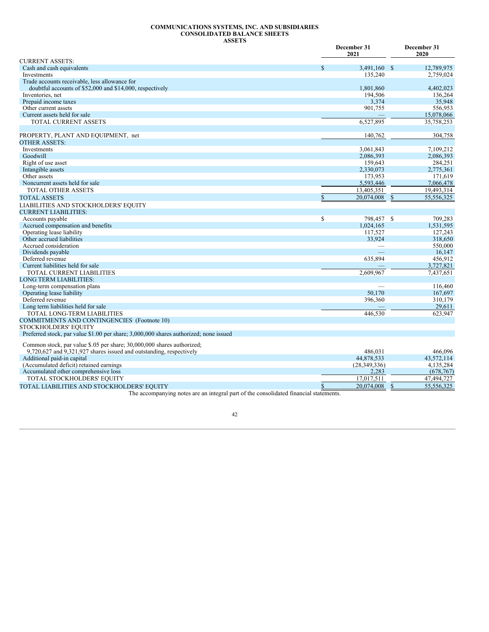### <span id="page-41-0"></span>**COMMUNICATIONS SYSTEMS, INC. AND SUBSIDIARIES CONSOLIDATED BALANCE SHEETS ASSETS**

| <b>CURRENT ASSETS:</b><br>$\mathbf S$<br>Cash and cash equivalents<br>3,491,160 \$<br>12,789,975<br>2,759,024<br>Investments<br>135,240<br>Trade accounts receivable, less allowance for<br>doubtful accounts of \$52,000 and \$14,000, respectively<br>1,801,860<br>4.402.023<br>Inventories, net<br>194,506<br>136,264<br>Prepaid income taxes<br>3,374<br>35,948<br>Other current assets<br>901,755<br>556,953<br>Current assets held for sale<br>15,078,066<br>6,527,895<br><b>TOTAL CURRENT ASSETS</b><br>35,758,253<br>PROPERTY, PLANT AND EQUIPMENT, net<br>140,762<br>304,758<br><b>OTHER ASSETS:</b><br>3,061,843<br>7,109,212<br>Investments<br>Goodwill<br>2,086,393<br>2,086,393<br>284,251<br>Right of use asset<br>159,643<br>Intangible assets<br>2,330,073<br>2,775,361<br>Other assets<br>173,953<br>171,619<br>Noncurrent assets held for sale<br>5,593,446<br>7,066,478<br><b>TOTAL OTHER ASSETS</b><br>13,405.351<br>19.493.314<br>55,556,325<br>\$<br>20,074,008<br><b>TOTAL ASSETS</b><br>\$<br>LIABILITIES AND STOCKHOLDERS' EQUITY<br><b>CURRENT LIABILITIES:</b><br>$\mathbf S$<br>798,457 \$<br>709.283<br>Accounts payable<br>Accrued compensation and benefits<br>1.024.165<br>1.531.595<br>Operating lease liability<br>117,527<br>127,243<br>Other accrued liabilities<br>318,650<br>33,924<br>Accrued consideration<br>550,000<br>Dividends payable<br>16,147<br>635,894<br>Deferred revenue<br>456,912<br>Current liabilities held for sale<br>3,727,821<br>2,609,967<br><b>TOTAL CURRENT LIABILITIES</b><br>7,437,651<br>LONG TERM LIABILITIES:<br>Long-term compensation plans<br>116,460<br>50.170<br>Operating lease liability<br>167,697<br>Deferred revenue<br>396,360<br>310,179<br>29,611<br>Long term liabilities held for sale<br>446,530<br>623,947<br>TOTAL LONG-TERM LIABILITIES<br>COMMITMENTS AND CONTINGENCIES (Footnote 10)<br>STOCKHOLDERS' EQUITY<br>Preferred stock, par value \$1.00 per share; 3,000,000 shares authorized; none issued<br>Common stock, par value \$.05 per share; 30,000,000 shares authorized;<br>9,720,627 and 9,321,927 shares issued and outstanding, respectively<br>486,031<br>466.096<br>44,878,533<br>43,572,114<br>Additional paid-in capital<br>(Accumulated deficit) retained earnings<br>4,135,284<br>(28, 349, 336)<br>Accumulated other comprehensive loss<br>2,283<br>(678, 767)<br>TOTAL STOCKHOLDERS' EQUITY<br>17,017,511<br>47,494,727<br>55,556,325<br>\$<br>20,074,008<br>\$. |                                            | December 31<br>2021 | December 31<br>2020 |
|----------------------------------------------------------------------------------------------------------------------------------------------------------------------------------------------------------------------------------------------------------------------------------------------------------------------------------------------------------------------------------------------------------------------------------------------------------------------------------------------------------------------------------------------------------------------------------------------------------------------------------------------------------------------------------------------------------------------------------------------------------------------------------------------------------------------------------------------------------------------------------------------------------------------------------------------------------------------------------------------------------------------------------------------------------------------------------------------------------------------------------------------------------------------------------------------------------------------------------------------------------------------------------------------------------------------------------------------------------------------------------------------------------------------------------------------------------------------------------------------------------------------------------------------------------------------------------------------------------------------------------------------------------------------------------------------------------------------------------------------------------------------------------------------------------------------------------------------------------------------------------------------------------------------------------------------------------------------------------------------------------------------------------------------------------------------------------------------------------------------------------------------------------------------------------------------------------------------------------------------------------------------------------------------------------------------------------------------------------------------------------------------------------------------------------------------------------------------------|--------------------------------------------|---------------------|---------------------|
|                                                                                                                                                                                                                                                                                                                                                                                                                                                                                                                                                                                                                                                                                                                                                                                                                                                                                                                                                                                                                                                                                                                                                                                                                                                                                                                                                                                                                                                                                                                                                                                                                                                                                                                                                                                                                                                                                                                                                                                                                                                                                                                                                                                                                                                                                                                                                                                                                                                                            |                                            |                     |                     |
|                                                                                                                                                                                                                                                                                                                                                                                                                                                                                                                                                                                                                                                                                                                                                                                                                                                                                                                                                                                                                                                                                                                                                                                                                                                                                                                                                                                                                                                                                                                                                                                                                                                                                                                                                                                                                                                                                                                                                                                                                                                                                                                                                                                                                                                                                                                                                                                                                                                                            |                                            |                     |                     |
|                                                                                                                                                                                                                                                                                                                                                                                                                                                                                                                                                                                                                                                                                                                                                                                                                                                                                                                                                                                                                                                                                                                                                                                                                                                                                                                                                                                                                                                                                                                                                                                                                                                                                                                                                                                                                                                                                                                                                                                                                                                                                                                                                                                                                                                                                                                                                                                                                                                                            |                                            |                     |                     |
|                                                                                                                                                                                                                                                                                                                                                                                                                                                                                                                                                                                                                                                                                                                                                                                                                                                                                                                                                                                                                                                                                                                                                                                                                                                                                                                                                                                                                                                                                                                                                                                                                                                                                                                                                                                                                                                                                                                                                                                                                                                                                                                                                                                                                                                                                                                                                                                                                                                                            |                                            |                     |                     |
|                                                                                                                                                                                                                                                                                                                                                                                                                                                                                                                                                                                                                                                                                                                                                                                                                                                                                                                                                                                                                                                                                                                                                                                                                                                                                                                                                                                                                                                                                                                                                                                                                                                                                                                                                                                                                                                                                                                                                                                                                                                                                                                                                                                                                                                                                                                                                                                                                                                                            |                                            |                     |                     |
|                                                                                                                                                                                                                                                                                                                                                                                                                                                                                                                                                                                                                                                                                                                                                                                                                                                                                                                                                                                                                                                                                                                                                                                                                                                                                                                                                                                                                                                                                                                                                                                                                                                                                                                                                                                                                                                                                                                                                                                                                                                                                                                                                                                                                                                                                                                                                                                                                                                                            |                                            |                     |                     |
|                                                                                                                                                                                                                                                                                                                                                                                                                                                                                                                                                                                                                                                                                                                                                                                                                                                                                                                                                                                                                                                                                                                                                                                                                                                                                                                                                                                                                                                                                                                                                                                                                                                                                                                                                                                                                                                                                                                                                                                                                                                                                                                                                                                                                                                                                                                                                                                                                                                                            |                                            |                     |                     |
|                                                                                                                                                                                                                                                                                                                                                                                                                                                                                                                                                                                                                                                                                                                                                                                                                                                                                                                                                                                                                                                                                                                                                                                                                                                                                                                                                                                                                                                                                                                                                                                                                                                                                                                                                                                                                                                                                                                                                                                                                                                                                                                                                                                                                                                                                                                                                                                                                                                                            |                                            |                     |                     |
|                                                                                                                                                                                                                                                                                                                                                                                                                                                                                                                                                                                                                                                                                                                                                                                                                                                                                                                                                                                                                                                                                                                                                                                                                                                                                                                                                                                                                                                                                                                                                                                                                                                                                                                                                                                                                                                                                                                                                                                                                                                                                                                                                                                                                                                                                                                                                                                                                                                                            |                                            |                     |                     |
|                                                                                                                                                                                                                                                                                                                                                                                                                                                                                                                                                                                                                                                                                                                                                                                                                                                                                                                                                                                                                                                                                                                                                                                                                                                                                                                                                                                                                                                                                                                                                                                                                                                                                                                                                                                                                                                                                                                                                                                                                                                                                                                                                                                                                                                                                                                                                                                                                                                                            |                                            |                     |                     |
|                                                                                                                                                                                                                                                                                                                                                                                                                                                                                                                                                                                                                                                                                                                                                                                                                                                                                                                                                                                                                                                                                                                                                                                                                                                                                                                                                                                                                                                                                                                                                                                                                                                                                                                                                                                                                                                                                                                                                                                                                                                                                                                                                                                                                                                                                                                                                                                                                                                                            |                                            |                     |                     |
|                                                                                                                                                                                                                                                                                                                                                                                                                                                                                                                                                                                                                                                                                                                                                                                                                                                                                                                                                                                                                                                                                                                                                                                                                                                                                                                                                                                                                                                                                                                                                                                                                                                                                                                                                                                                                                                                                                                                                                                                                                                                                                                                                                                                                                                                                                                                                                                                                                                                            |                                            |                     |                     |
|                                                                                                                                                                                                                                                                                                                                                                                                                                                                                                                                                                                                                                                                                                                                                                                                                                                                                                                                                                                                                                                                                                                                                                                                                                                                                                                                                                                                                                                                                                                                                                                                                                                                                                                                                                                                                                                                                                                                                                                                                                                                                                                                                                                                                                                                                                                                                                                                                                                                            |                                            |                     |                     |
|                                                                                                                                                                                                                                                                                                                                                                                                                                                                                                                                                                                                                                                                                                                                                                                                                                                                                                                                                                                                                                                                                                                                                                                                                                                                                                                                                                                                                                                                                                                                                                                                                                                                                                                                                                                                                                                                                                                                                                                                                                                                                                                                                                                                                                                                                                                                                                                                                                                                            |                                            |                     |                     |
|                                                                                                                                                                                                                                                                                                                                                                                                                                                                                                                                                                                                                                                                                                                                                                                                                                                                                                                                                                                                                                                                                                                                                                                                                                                                                                                                                                                                                                                                                                                                                                                                                                                                                                                                                                                                                                                                                                                                                                                                                                                                                                                                                                                                                                                                                                                                                                                                                                                                            |                                            |                     |                     |
|                                                                                                                                                                                                                                                                                                                                                                                                                                                                                                                                                                                                                                                                                                                                                                                                                                                                                                                                                                                                                                                                                                                                                                                                                                                                                                                                                                                                                                                                                                                                                                                                                                                                                                                                                                                                                                                                                                                                                                                                                                                                                                                                                                                                                                                                                                                                                                                                                                                                            |                                            |                     |                     |
|                                                                                                                                                                                                                                                                                                                                                                                                                                                                                                                                                                                                                                                                                                                                                                                                                                                                                                                                                                                                                                                                                                                                                                                                                                                                                                                                                                                                                                                                                                                                                                                                                                                                                                                                                                                                                                                                                                                                                                                                                                                                                                                                                                                                                                                                                                                                                                                                                                                                            |                                            |                     |                     |
|                                                                                                                                                                                                                                                                                                                                                                                                                                                                                                                                                                                                                                                                                                                                                                                                                                                                                                                                                                                                                                                                                                                                                                                                                                                                                                                                                                                                                                                                                                                                                                                                                                                                                                                                                                                                                                                                                                                                                                                                                                                                                                                                                                                                                                                                                                                                                                                                                                                                            |                                            |                     |                     |
|                                                                                                                                                                                                                                                                                                                                                                                                                                                                                                                                                                                                                                                                                                                                                                                                                                                                                                                                                                                                                                                                                                                                                                                                                                                                                                                                                                                                                                                                                                                                                                                                                                                                                                                                                                                                                                                                                                                                                                                                                                                                                                                                                                                                                                                                                                                                                                                                                                                                            |                                            |                     |                     |
|                                                                                                                                                                                                                                                                                                                                                                                                                                                                                                                                                                                                                                                                                                                                                                                                                                                                                                                                                                                                                                                                                                                                                                                                                                                                                                                                                                                                                                                                                                                                                                                                                                                                                                                                                                                                                                                                                                                                                                                                                                                                                                                                                                                                                                                                                                                                                                                                                                                                            |                                            |                     |                     |
|                                                                                                                                                                                                                                                                                                                                                                                                                                                                                                                                                                                                                                                                                                                                                                                                                                                                                                                                                                                                                                                                                                                                                                                                                                                                                                                                                                                                                                                                                                                                                                                                                                                                                                                                                                                                                                                                                                                                                                                                                                                                                                                                                                                                                                                                                                                                                                                                                                                                            |                                            |                     |                     |
|                                                                                                                                                                                                                                                                                                                                                                                                                                                                                                                                                                                                                                                                                                                                                                                                                                                                                                                                                                                                                                                                                                                                                                                                                                                                                                                                                                                                                                                                                                                                                                                                                                                                                                                                                                                                                                                                                                                                                                                                                                                                                                                                                                                                                                                                                                                                                                                                                                                                            |                                            |                     |                     |
|                                                                                                                                                                                                                                                                                                                                                                                                                                                                                                                                                                                                                                                                                                                                                                                                                                                                                                                                                                                                                                                                                                                                                                                                                                                                                                                                                                                                                                                                                                                                                                                                                                                                                                                                                                                                                                                                                                                                                                                                                                                                                                                                                                                                                                                                                                                                                                                                                                                                            |                                            |                     |                     |
|                                                                                                                                                                                                                                                                                                                                                                                                                                                                                                                                                                                                                                                                                                                                                                                                                                                                                                                                                                                                                                                                                                                                                                                                                                                                                                                                                                                                                                                                                                                                                                                                                                                                                                                                                                                                                                                                                                                                                                                                                                                                                                                                                                                                                                                                                                                                                                                                                                                                            |                                            |                     |                     |
|                                                                                                                                                                                                                                                                                                                                                                                                                                                                                                                                                                                                                                                                                                                                                                                                                                                                                                                                                                                                                                                                                                                                                                                                                                                                                                                                                                                                                                                                                                                                                                                                                                                                                                                                                                                                                                                                                                                                                                                                                                                                                                                                                                                                                                                                                                                                                                                                                                                                            |                                            |                     |                     |
|                                                                                                                                                                                                                                                                                                                                                                                                                                                                                                                                                                                                                                                                                                                                                                                                                                                                                                                                                                                                                                                                                                                                                                                                                                                                                                                                                                                                                                                                                                                                                                                                                                                                                                                                                                                                                                                                                                                                                                                                                                                                                                                                                                                                                                                                                                                                                                                                                                                                            |                                            |                     |                     |
|                                                                                                                                                                                                                                                                                                                                                                                                                                                                                                                                                                                                                                                                                                                                                                                                                                                                                                                                                                                                                                                                                                                                                                                                                                                                                                                                                                                                                                                                                                                                                                                                                                                                                                                                                                                                                                                                                                                                                                                                                                                                                                                                                                                                                                                                                                                                                                                                                                                                            |                                            |                     |                     |
|                                                                                                                                                                                                                                                                                                                                                                                                                                                                                                                                                                                                                                                                                                                                                                                                                                                                                                                                                                                                                                                                                                                                                                                                                                                                                                                                                                                                                                                                                                                                                                                                                                                                                                                                                                                                                                                                                                                                                                                                                                                                                                                                                                                                                                                                                                                                                                                                                                                                            |                                            |                     |                     |
|                                                                                                                                                                                                                                                                                                                                                                                                                                                                                                                                                                                                                                                                                                                                                                                                                                                                                                                                                                                                                                                                                                                                                                                                                                                                                                                                                                                                                                                                                                                                                                                                                                                                                                                                                                                                                                                                                                                                                                                                                                                                                                                                                                                                                                                                                                                                                                                                                                                                            |                                            |                     |                     |
|                                                                                                                                                                                                                                                                                                                                                                                                                                                                                                                                                                                                                                                                                                                                                                                                                                                                                                                                                                                                                                                                                                                                                                                                                                                                                                                                                                                                                                                                                                                                                                                                                                                                                                                                                                                                                                                                                                                                                                                                                                                                                                                                                                                                                                                                                                                                                                                                                                                                            |                                            |                     |                     |
|                                                                                                                                                                                                                                                                                                                                                                                                                                                                                                                                                                                                                                                                                                                                                                                                                                                                                                                                                                                                                                                                                                                                                                                                                                                                                                                                                                                                                                                                                                                                                                                                                                                                                                                                                                                                                                                                                                                                                                                                                                                                                                                                                                                                                                                                                                                                                                                                                                                                            |                                            |                     |                     |
|                                                                                                                                                                                                                                                                                                                                                                                                                                                                                                                                                                                                                                                                                                                                                                                                                                                                                                                                                                                                                                                                                                                                                                                                                                                                                                                                                                                                                                                                                                                                                                                                                                                                                                                                                                                                                                                                                                                                                                                                                                                                                                                                                                                                                                                                                                                                                                                                                                                                            |                                            |                     |                     |
|                                                                                                                                                                                                                                                                                                                                                                                                                                                                                                                                                                                                                                                                                                                                                                                                                                                                                                                                                                                                                                                                                                                                                                                                                                                                                                                                                                                                                                                                                                                                                                                                                                                                                                                                                                                                                                                                                                                                                                                                                                                                                                                                                                                                                                                                                                                                                                                                                                                                            |                                            |                     |                     |
|                                                                                                                                                                                                                                                                                                                                                                                                                                                                                                                                                                                                                                                                                                                                                                                                                                                                                                                                                                                                                                                                                                                                                                                                                                                                                                                                                                                                                                                                                                                                                                                                                                                                                                                                                                                                                                                                                                                                                                                                                                                                                                                                                                                                                                                                                                                                                                                                                                                                            |                                            |                     |                     |
|                                                                                                                                                                                                                                                                                                                                                                                                                                                                                                                                                                                                                                                                                                                                                                                                                                                                                                                                                                                                                                                                                                                                                                                                                                                                                                                                                                                                                                                                                                                                                                                                                                                                                                                                                                                                                                                                                                                                                                                                                                                                                                                                                                                                                                                                                                                                                                                                                                                                            |                                            |                     |                     |
|                                                                                                                                                                                                                                                                                                                                                                                                                                                                                                                                                                                                                                                                                                                                                                                                                                                                                                                                                                                                                                                                                                                                                                                                                                                                                                                                                                                                                                                                                                                                                                                                                                                                                                                                                                                                                                                                                                                                                                                                                                                                                                                                                                                                                                                                                                                                                                                                                                                                            |                                            |                     |                     |
|                                                                                                                                                                                                                                                                                                                                                                                                                                                                                                                                                                                                                                                                                                                                                                                                                                                                                                                                                                                                                                                                                                                                                                                                                                                                                                                                                                                                                                                                                                                                                                                                                                                                                                                                                                                                                                                                                                                                                                                                                                                                                                                                                                                                                                                                                                                                                                                                                                                                            |                                            |                     |                     |
|                                                                                                                                                                                                                                                                                                                                                                                                                                                                                                                                                                                                                                                                                                                                                                                                                                                                                                                                                                                                                                                                                                                                                                                                                                                                                                                                                                                                                                                                                                                                                                                                                                                                                                                                                                                                                                                                                                                                                                                                                                                                                                                                                                                                                                                                                                                                                                                                                                                                            |                                            |                     |                     |
|                                                                                                                                                                                                                                                                                                                                                                                                                                                                                                                                                                                                                                                                                                                                                                                                                                                                                                                                                                                                                                                                                                                                                                                                                                                                                                                                                                                                                                                                                                                                                                                                                                                                                                                                                                                                                                                                                                                                                                                                                                                                                                                                                                                                                                                                                                                                                                                                                                                                            |                                            |                     |                     |
|                                                                                                                                                                                                                                                                                                                                                                                                                                                                                                                                                                                                                                                                                                                                                                                                                                                                                                                                                                                                                                                                                                                                                                                                                                                                                                                                                                                                                                                                                                                                                                                                                                                                                                                                                                                                                                                                                                                                                                                                                                                                                                                                                                                                                                                                                                                                                                                                                                                                            |                                            |                     |                     |
|                                                                                                                                                                                                                                                                                                                                                                                                                                                                                                                                                                                                                                                                                                                                                                                                                                                                                                                                                                                                                                                                                                                                                                                                                                                                                                                                                                                                                                                                                                                                                                                                                                                                                                                                                                                                                                                                                                                                                                                                                                                                                                                                                                                                                                                                                                                                                                                                                                                                            |                                            |                     |                     |
|                                                                                                                                                                                                                                                                                                                                                                                                                                                                                                                                                                                                                                                                                                                                                                                                                                                                                                                                                                                                                                                                                                                                                                                                                                                                                                                                                                                                                                                                                                                                                                                                                                                                                                                                                                                                                                                                                                                                                                                                                                                                                                                                                                                                                                                                                                                                                                                                                                                                            |                                            |                     |                     |
|                                                                                                                                                                                                                                                                                                                                                                                                                                                                                                                                                                                                                                                                                                                                                                                                                                                                                                                                                                                                                                                                                                                                                                                                                                                                                                                                                                                                                                                                                                                                                                                                                                                                                                                                                                                                                                                                                                                                                                                                                                                                                                                                                                                                                                                                                                                                                                                                                                                                            |                                            |                     |                     |
|                                                                                                                                                                                                                                                                                                                                                                                                                                                                                                                                                                                                                                                                                                                                                                                                                                                                                                                                                                                                                                                                                                                                                                                                                                                                                                                                                                                                                                                                                                                                                                                                                                                                                                                                                                                                                                                                                                                                                                                                                                                                                                                                                                                                                                                                                                                                                                                                                                                                            |                                            |                     |                     |
|                                                                                                                                                                                                                                                                                                                                                                                                                                                                                                                                                                                                                                                                                                                                                                                                                                                                                                                                                                                                                                                                                                                                                                                                                                                                                                                                                                                                                                                                                                                                                                                                                                                                                                                                                                                                                                                                                                                                                                                                                                                                                                                                                                                                                                                                                                                                                                                                                                                                            |                                            |                     |                     |
|                                                                                                                                                                                                                                                                                                                                                                                                                                                                                                                                                                                                                                                                                                                                                                                                                                                                                                                                                                                                                                                                                                                                                                                                                                                                                                                                                                                                                                                                                                                                                                                                                                                                                                                                                                                                                                                                                                                                                                                                                                                                                                                                                                                                                                                                                                                                                                                                                                                                            | TOTAL LIABILITIES AND STOCKHOLDERS' EQUITY |                     |                     |

The accompanying notes are an integral part of the consolidated financial statements.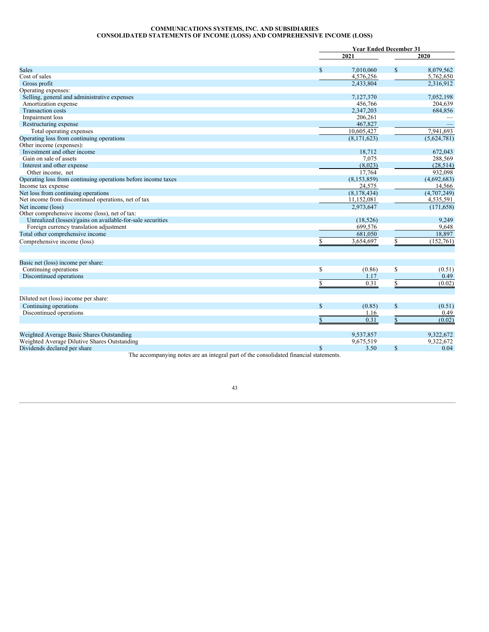## <span id="page-42-0"></span>**COMMUNICATIONS SYSTEMS, INC. AND SUBSIDIARIES CONSOLIDATED STATEMENTS OF INCOME (LOSS) AND COMPREHENSIVE INCOME (LOSS)**

|                                                               |               | <b>Year Ended December 31</b> |               |             |  |
|---------------------------------------------------------------|---------------|-------------------------------|---------------|-------------|--|
|                                                               |               | 2021                          |               | 2020        |  |
| <b>Sales</b>                                                  | $\mathcal{S}$ | 7,010,060                     | $\mathbf S$   | 8,079,562   |  |
| Cost of sales                                                 |               | 4,576,256                     |               | 5,762,650   |  |
| Gross profit                                                  |               | 2,433,804                     |               | 2,316,912   |  |
| Operating expenses:                                           |               |                               |               |             |  |
| Selling, general and administrative expenses                  |               | 7,127,370                     |               | 7,052,198   |  |
| Amortization expense                                          |               | 456,766                       |               | 204,639     |  |
| <b>Transaction costs</b>                                      |               | 2,347,203                     |               | 684,856     |  |
| Impairment loss                                               |               | 206,261                       |               |             |  |
| Restructuring expense                                         |               | 467,827                       |               |             |  |
| Total operating expenses                                      |               | 10,605,427                    |               | 7,941,693   |  |
| Operating loss from continuing operations                     |               | (8,171,623)                   |               | (5,624,781) |  |
| Other income (expenses):                                      |               |                               |               |             |  |
| Investment and other income                                   |               | 18,712                        |               | 672,043     |  |
| Gain on sale of assets                                        |               | 7,075                         |               | 288,569     |  |
| Interest and other expense                                    |               | (8,023)                       |               | (28, 514)   |  |
| Other income, net                                             |               | 17,764                        |               | 932,098     |  |
| Operating loss from continuing operations before income taxes |               | (8, 153, 859)                 |               | (4,692,683) |  |
| Income tax expense                                            |               | 24,575                        |               | 14,566      |  |
| Net loss from continuing operations                           |               | (8, 178, 434)                 |               | (4,707,249) |  |
| Net income from discontinued operations, net of tax           |               | 11,152,081                    |               | 4,535,591   |  |
| Net income (loss)                                             |               | 2,973,647                     |               | (171, 658)  |  |
| Other comprehensive income (loss), net of tax:                |               |                               |               |             |  |
| Unrealized (losses)/gains on available-for-sale securities    |               | (18, 526)                     |               | 9,249       |  |
| Foreign currency translation adjustment                       |               | 699,576                       |               | 9,648       |  |
| Total other comprehensive income                              |               | 681,050                       |               | 18,897      |  |
| Comprehensive income (loss)                                   |               | 3,654,697                     |               | (152,761)   |  |
|                                                               |               |                               |               |             |  |
| Basic net (loss) income per share:                            |               |                               |               |             |  |
| Continuing operations                                         | \$            | (0.86)                        | \$            | (0.51)      |  |
| Discontinued operations                                       |               | 1.17                          |               | 0.49        |  |
|                                                               | S             | 0.31                          | S.            | (0.02)      |  |
| Diluted net (loss) income per share:                          |               |                               |               |             |  |
| Continuing operations                                         | $\mathbf S$   | (0.85)                        | $\mathbb{S}$  | (0.51)      |  |
| Discontinued operations                                       |               | 1.16                          |               | 0.49        |  |
|                                                               | \$            | 0.31                          | $\mathbf{\$}$ | (0.02)      |  |
| Weighted Average Basic Shares Outstanding                     |               | 9,537,857                     |               | 9,322,672   |  |
| Weighted Average Dilutive Shares Outstanding                  |               | 9,675,519                     |               | 9,322,672   |  |
| Dividends declared per share                                  | \$            | 3.50                          | $\mathbb{S}$  | 0.04        |  |

The accompanying notes are an integral part of the consolidated financial statements.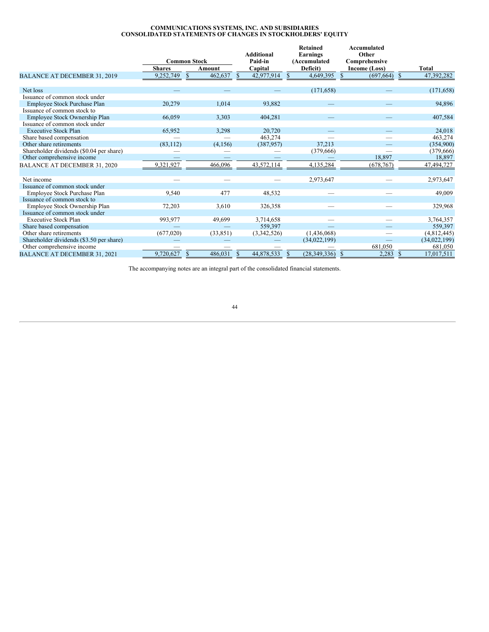### <span id="page-43-0"></span>**COMMUNICATIONS SYSTEMS, INC. AND SUBSIDIARIES CONSOLIDATED STATEMENTS OF CHANGES IN STOCKHOLDERS' EQUITY**

|                                          |               |                          | <b>Additional</b>           | Retained<br>Earnings | <b>Accumulated</b><br>Other |                             |
|------------------------------------------|---------------|--------------------------|-----------------------------|----------------------|-----------------------------|-----------------------------|
|                                          |               | <b>Common Stock</b>      | Paid-in                     | (Accumulated         | Comprehensive               |                             |
|                                          | <b>Shares</b> | <b>Amount</b>            | Capital                     | Deficit)             | Income (Loss)               | <b>Total</b>                |
| BALANCE AT DECEMBER 31, 2019             | 9,252,749     | 462,637<br>\$            | 42,977,914<br><sup>\$</sup> | 4,649,395<br>\$      | (697, 664)<br><sup>\$</sup> | 47,392,282<br><sup>\$</sup> |
| Net loss                                 |               |                          |                             | (171, 658)           |                             | (171, 658)                  |
| Issuance of common stock under           |               |                          |                             |                      |                             |                             |
| Employee Stock Purchase Plan             | 20,279        | 1.014                    | 93.882                      |                      |                             | 94.896                      |
| Issuance of common stock to              |               |                          |                             |                      |                             |                             |
| Employee Stock Ownership Plan            | 66,059        | 3,303                    | 404,281                     |                      |                             | 407,584                     |
| Issuance of common stock under           |               |                          |                             |                      |                             |                             |
| <b>Executive Stock Plan</b>              | 65,952        | 3,298                    | 20,720                      |                      |                             | 24,018                      |
| Share based compensation                 |               |                          | 463,274                     |                      |                             | 463,274                     |
| Other share retirements                  | (83, 112)     | (4, 156)                 | (387, 957)                  | 37.213               |                             | (354,900)                   |
| Shareholder dividends (\$0.04 per share) |               |                          |                             | (379,666)            |                             | (379,666)                   |
| Other comprehensive income               |               |                          |                             |                      | 18,897                      | 18,897                      |
| BALANCE AT DECEMBER 31, 2020             | 9,321,927     | 466,096                  | 43,572,114                  | 4,135,284            | (678, 767)                  | 47,494,727                  |
|                                          |               |                          |                             |                      |                             |                             |
| Net income                               |               |                          |                             | 2,973,647            |                             | 2,973,647                   |
| Issuance of common stock under           |               |                          |                             |                      |                             |                             |
| Employee Stock Purchase Plan             | 9.540         | 477                      | 48,532                      |                      |                             | 49,009                      |
| Issuance of common stock to              |               |                          |                             |                      |                             |                             |
| Employee Stock Ownership Plan            | 72,203        | 3,610                    | 326,358                     |                      |                             | 329,968                     |
| Issuance of common stock under           |               |                          |                             |                      |                             |                             |
| <b>Executive Stock Plan</b>              | 993,977       | 49,699                   | 3,714,658                   |                      |                             | 3,764,357                   |
| Share based compensation                 |               |                          | 559.397                     |                      |                             | 559,397                     |
| Other share retirements                  | (677,020)     | (33, 851)                | (3,342,526)                 | (1,436,068)          |                             | (4,812,445)                 |
| Shareholder dividends (\$3.50 per share) |               |                          |                             | (34,022,199)         |                             | (34,022,199)                |
| Other comprehensive income               |               |                          |                             |                      | 681.050                     | 681,050                     |
| <b>BALANCE AT DECEMBER 31, 2021</b>      | 9,720,627     | 486,031<br><sup>\$</sup> | 44,878,533<br><sup>\$</sup> | (28, 349, 336)       | 2,283<br>S                  | <sup>\$</sup><br>17,017,511 |

The accompanying notes are an integral part of the consolidated financial statements.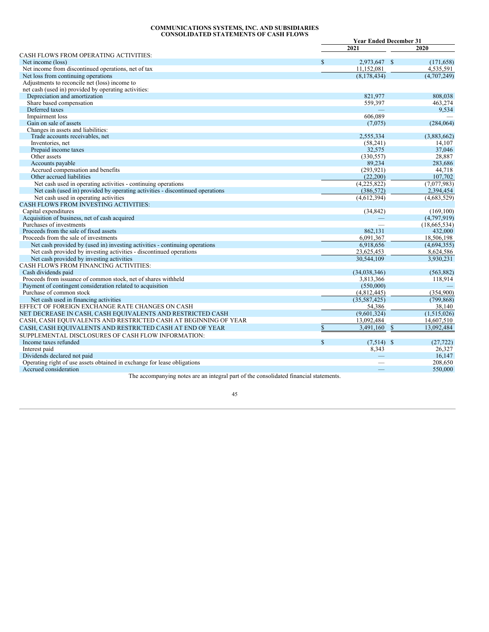## <span id="page-44-0"></span>**COMMUNICATIONS SYSTEMS, INC. AND SUBSIDIARIES CONSOLIDATED STATEMENTS OF CASH FLOWS**

|                                                                               |             | <b>Year Ended December 31</b> |    |              |  |
|-------------------------------------------------------------------------------|-------------|-------------------------------|----|--------------|--|
|                                                                               |             | 2021                          |    | 2020         |  |
| <b>CASH FLOWS FROM OPERATING ACTIVITIES:</b>                                  |             |                               |    |              |  |
| Net income (loss)                                                             | \$          | 2,973,647 \$                  |    | (171, 658)   |  |
| Net income from discontinued operations, net of tax                           |             | 11,152,081                    |    | 4,535,591    |  |
| Net loss from continuing operations                                           |             | (8,178,434)                   |    | (4,707,249)  |  |
| Adjustments to reconcile net (loss) income to                                 |             |                               |    |              |  |
| net cash (used in) provided by operating activities:                          |             |                               |    |              |  |
| Depreciation and amortization                                                 |             | 821,977                       |    | 808,038      |  |
| Share based compensation                                                      |             | 559,397                       |    | 463,274      |  |
| Deferred taxes                                                                |             |                               |    | 9,534        |  |
| Impairment loss                                                               |             | 606,089                       |    |              |  |
| Gain on sale of assets                                                        |             | (7,075)                       |    | (284,064)    |  |
| Changes in assets and liabilities:                                            |             |                               |    |              |  |
| Trade accounts receivables, net                                               |             | 2,555,334                     |    | (3,883,662)  |  |
| Inventories, net                                                              |             | (58,241)                      |    | 14.107       |  |
| Prepaid income taxes                                                          |             | 32,575                        |    | 37,046       |  |
| Other assets                                                                  |             | (330, 557)                    |    | 28,887       |  |
| Accounts payable                                                              |             | 89,234                        |    | 283,686      |  |
| Accrued compensation and benefits                                             |             | (293, 921)                    |    | 44.718       |  |
| Other accrued liabilities                                                     |             | (22,200)                      |    | 107,702      |  |
| Net cash used in operating activities - continuing operations                 |             | (4,225,822)                   |    | (7,077,983)  |  |
| Net cash (used in) provided by operating activities - discontinued operations |             | (386, 572)                    |    | 2,394,454    |  |
| Net cash used in operating activities                                         |             | (4,612,394)                   |    | (4,683,529)  |  |
| CASH FLOWS FROM INVESTING ACTIVITIES:                                         |             |                               |    |              |  |
| Capital expenditures                                                          |             | (34, 842)                     |    | (169, 100)   |  |
| Acquisition of business, net of cash acquired                                 |             |                               |    | (4,797,919)  |  |
| Purchases of investments                                                      |             |                               |    | (18,665,534) |  |
| Proceeds from the sale of fixed assets                                        |             | 862.131                       |    | 432,000      |  |
| Proceeds from the sale of investments                                         |             | 6,091,367                     |    | 18,506,198   |  |
| Net cash provided by (used in) investing activities - continuing operations   |             | 6,918,656                     |    | (4,694,355)  |  |
| Net cash provided by investing activities - discontinued operations           |             | 23,625,453                    |    | 8,624,586    |  |
| Net cash provided by investing activities                                     |             | 30.544.109                    |    | 3,930,231    |  |
| CASH FLOWS FROM FINANCING ACTIVITIES:                                         |             |                               |    |              |  |
| Cash dividends paid                                                           |             | (34,038,346)                  |    | (563,882)    |  |
| Proceeds from issuance of common stock, net of shares withheld                |             | 3,813,366                     |    | 118,914      |  |
| Payment of contingent consideration related to acquisition                    |             | (550,000)                     |    |              |  |
| Purchase of common stock                                                      |             | (4,812,445)                   |    | (354.900)    |  |
| Net cash used in financing activities                                         |             | (35, 587, 425)                |    | (799, 868)   |  |
| EFFECT OF FOREIGN EXCHANGE RATE CHANGES ON CASH                               |             | 54,386                        |    | 38,140       |  |
| NET DECREASE IN CASH, CASH EQUIVALENTS AND RESTRICTED CASH                    |             | (9,601,324)                   |    | (1,515,026)  |  |
| CASH, CASH EQUIVALENTS AND RESTRICTED CASH AT BEGINNING OF YEAR               |             | 13,092,484                    |    | 14,607,510   |  |
| CASH, CASH EQUIVALENTS AND RESTRICTED CASH AT END OF YEAR                     | \$          | 3,491,160                     | \$ | 13,092,484   |  |
| SUPPLEMENTAL DISCLOSURES OF CASH FLOW INFORMATION:                            |             |                               |    |              |  |
| Income taxes refunded                                                         | $\mathbf S$ | $(7,514)$ \$                  |    | (27, 722)    |  |
| Interest paid                                                                 |             | 8,343                         |    | 26,327       |  |
| Dividends declared not paid                                                   |             |                               |    | 16.147       |  |
| Operating right of use assets obtained in exchange for lease obligations      |             |                               |    | 208,650      |  |
| Accrued consideration                                                         |             |                               |    | 550,000      |  |
|                                                                               |             |                               |    |              |  |

The accompanying notes are an integral part of the consolidated financial statements.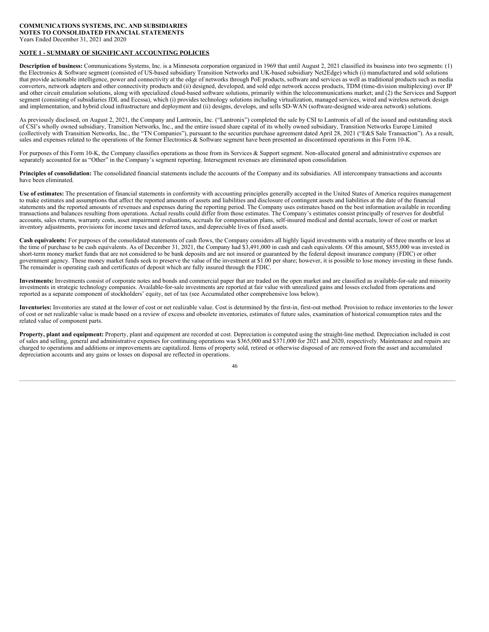### <span id="page-45-0"></span>**COMMUNICATIONS SYSTEMS, INC. AND SUBSIDIARIES NOTES TO CONSOLIDATED FINANCIAL STATEMENTS** Years Ended December 31, 2021 and 2020

## **NOTE 1 - SUMMARY OF SIGNIFICANT ACCOUNTING POLICIES**

**Description of business:** Communications Systems, Inc. is a Minnesota corporation organized in 1969 that until August 2, 2021 classified its business into two segments: (1) the Electronics & Software segment (consisted of US-based subsidiary Transition Networks and UK-based subsidiary Net2Edge) which (i) manufactured and sold solutions that provide actionable intelligence, power and connectivity at the edge of networks through PoE products, software and services as well as traditional products such as media converters, network adapters and other connectivity products and (ii) designed, developed, and sold edge network access products, TDM (time-division multiplexing) over IP and other circuit emulation solutions, along with specialized cloud-based software solutions, primarily within the telecommunications market; and (2) the Services and Support segment (consisting of subsidiaries JDL and Ecessa), which (i) provides technology solutions including virtualization, managed services, wired and wireless network design and implementation, and hybrid cloud infrastructure and deployment and (ii) designs, develops, and sells SD-WAN (software-designed wide-area network) solutions.

As previously disclosed, on August 2, 2021, the Company and Lantronix, Inc. ("Lantronix") completed the sale by CSI to Lantronix of all of the issued and outstanding stock of CSI's wholly owned subsidiary, Transition Networks, Inc., and the entire issued share capital of its wholly owned subsidiary, Transition Networks Europe Limited (collectively with Transition Networks, Inc., the "TN Companies"), pursuant to the securities purchase agreement dated April 28, 2021 ("E&S Sale Transaction"). As a result, sales and expenses related to the operations of the former Electronics & Software segment have been presented as discontinued operations in this Form 10-K.

For purposes of this Form 10-K, the Company classifies operations as those from its Services & Support segment. Non-allocated general and administrative expenses are separately accounted for as "Other" in the Company's segment reporting. Intersegment revenues are eliminated upon consolidation.

**Principles of consolidation:** The consolidated financial statements include the accounts of the Company and its subsidiaries. All intercompany transactions and accounts have been eliminated.

**Use of estimates:** The presentation of financial statements in conformity with accounting principles generally accepted in the United States of America requires management to make estimates and assumptions that affect the reported amounts of assets and liabilities and disclosure of contingent assets and liabilities at the date of the financial statements and the reported amounts of revenues and expenses during the reporting period. The Company uses estimates based on the best information available in recording transactions and balances resulting from operations. Actual results could differ from those estimates. The Company's estimates consist principally of reserves for doubtful accounts, sales returns, warranty costs, asset impairment evaluations, accruals for compensation plans, self-insured medical and dental accruals, lower of cost or market inventory adjustments, provisions for income taxes and deferred taxes, and depreciable lives of fixed assets.

**Cash equivalents:** For purposes of the consolidated statements of cash flows, the Company considers all highly liquid investments with a maturity of three months or less at the time of purchase to be cash equivalents. As of December 31, 2021, the Company had \$3,491,000 in cash and cash equivalents. Of this amount, \$855,000 was invested in short-term money market funds that are not considered to be bank deposits and are not insured or guaranteed by the federal deposit insurance company (FDIC) or other government agency. These money market funds seek to preserve the value of the investment at \$1.00 per share; however, it is possible to lose money investing in these funds. The remainder is operating cash and certificates of deposit which are fully insured through the FDIC.

**Investments:** Investments consist of corporate notes and bonds and commercial paper that are traded on the open market and are classified as available-for-sale and minority investments in strategic technology companies. Available-for-sale investments are reported at fair value with unrealized gains and losses excluded from operations and reported as a separate component of stockholders' equity, net of tax (see Accumulated other comprehensive loss below).

**Inventories:** Inventories are stated at the lower of cost or net realizable value. Cost is determined by the first-in, first-out method. Provision to reduce inventories to the lower of cost or net realizable value is made based on a review of excess and obsolete inventories, estimates of future sales, examination of historical consumption rates and the related value of component parts.

**Property, plant and equipment:** Property, plant and equipment are recorded at cost. Depreciation is computed using the straight-line method. Depreciation included in cost of sales and selling, general and administrative expenses for continuing operations was \$365,000 and \$371,000 for 2021 and 2020, respectively. Maintenance and repairs are charged to operations and additions or improvements are capitalized. Items of property sold, retired or otherwise disposed of are removed from the asset and accumulated depreciation accounts and any gains or losses on disposal are reflected in operations.

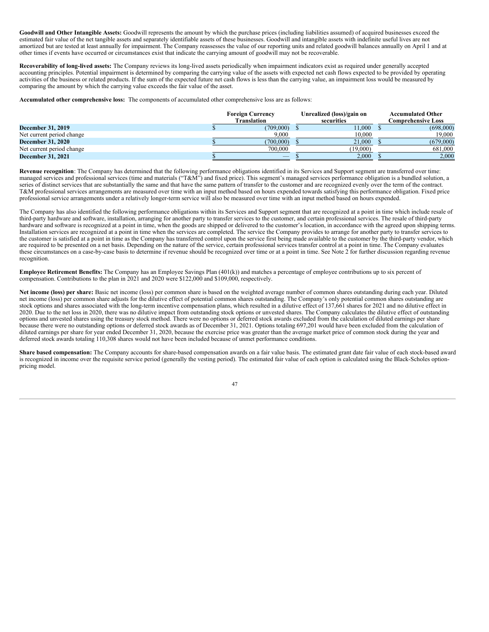**Goodwill and Other Intangible Assets:** Goodwill represents the amount by which the purchase prices (including liabilities assumed) of acquired businesses exceed the estimated fair value of the net tangible assets and separately identifiable assets of these businesses. Goodwill and intangible assets with indefinite useful lives are not amortized but are tested at least annually for impairment. The Company reassesses the value of our reporting units and related goodwill balances annually on April 1 and at other times if events have occurred or circumstances exist that indicate the carrying amount of goodwill may not be recoverable.

**Recoverability of long-lived assets:** The Company reviews its long-lived assets periodically when impairment indicators exist as required under generally accepted accounting principles. Potential impairment is determined by comparing the carrying value of the assets with expected net cash flows expected to be provided by operating activities of the business or related products. If the sum of the expected future net cash flows is less than the carrying value, an impairment loss would be measured by comparing the amount by which the carrying value exceeds the fair value of the asset.

**Accumulated other comprehensive loss:** The components of accumulated other comprehensive loss are as follows:

|                           | <b>Foreign Currency</b><br><b>Translation</b> | Unrealized (loss)/gain on<br>securities | <b>Accumulated Other</b><br>Comprehensive Loss |
|---------------------------|-----------------------------------------------|-----------------------------------------|------------------------------------------------|
| <b>December 31, 2019</b>  | (709,000)                                     | 11.000                                  | (698,000)                                      |
| Net current period change | 9.000                                         | 10.000                                  | 19,000                                         |
| <b>December 31, 2020</b>  | (700,000)                                     | 21,000                                  | (679,000)                                      |
| Net current period change | 700,000                                       | (19,000)                                | 681,000                                        |
| <b>December 31, 2021</b>  | $-$                                           | 2.000                                   | 2,000                                          |

**Revenue recognition**: The Company has determined that the following performance obligations identified in its Services and Support segment are transferred over time: managed services and professional services (time and materials ("T&M") and fixed price). This segment's managed services performance obligation is a bundled solution, a series of distinct services that are substantially the same and that have the same pattern of transfer to the customer and are recognized evenly over the term of the contract. T&M professional services arrangements are measured over time with an input method based on hours expended towards satisfying this performance obligation. Fixed price professional service arrangements under a relatively longer-term service will also be measured over time with an input method based on hours expended.

The Company has also identified the following performance obligations within its Services and Support segment that are recognized at a point in time which include resale of third-party hardware and software, installation, arranging for another party to transfer services to the customer, and certain professional services. The resale of third-party hardware and software is recognized at a point in time, when the goods are shipped or delivered to the customer's location, in accordance with the agreed upon shipping terms. Installation services are recognized at a point in time when the services are completed. The service the Company provides to arrange for another party to transfer services to the customer is satisfied at a point in time as the Company has transferred control upon the service first being made available to the customer by the third-party vendor, which are required to be presented on a net basis. Depending on the nature of the service, certain professional services transfer control at a point in time. The Company evaluates these circumstances on a case-by-case basis to determine if revenue should be recognized over time or at a point in time. See Note 2 for further discussion regarding revenue recognition.

**Employee Retirement Benefits:** The Company has an Employee Savings Plan (401(k)) and matches a percentage of employee contributions up to six percent of compensation. Contributions to the plan in 2021 and 2020 were \$122,000 and \$109,000, respectively.

**Net income (loss) per share:** Basic net income (loss) per common share is based on the weighted average number of common shares outstanding during each year. Diluted net income (loss) per common share adjusts for the dilutive effect of potential common shares outstanding. The Company's only potential common shares outstanding are stock options and shares associated with the long-term incentive compensation plans, which resulted in a dilutive effect of 137,661 shares for 2021 and no dilutive effect in 2020. Due to the net loss in 2020, there was no dilutive impact from outstanding stock options or unvested shares. The Company calculates the dilutive effect of outstanding options and unvested shares using the treasury stock method. There were no options or deferred stock awards excluded from the calculation of diluted earnings per share because there were no outstanding options or deferred stock awards as of December 31, 2021. Options totaling 697,201 would have been excluded from the calculation of diluted earnings per share for year ended December 31, 2020, because the exercise price was greater than the average market price of common stock during the year and deferred stock awards totaling 110,308 shares would not have been included because of unmet performance conditions.

**Share based compensation:** The Company accounts for share-based compensation awards on a fair value basis. The estimated grant date fair value of each stock-based award is recognized in income over the requisite service period (generally the vesting period). The estimated fair value of each option is calculated using the Black-Scholes optionpricing model.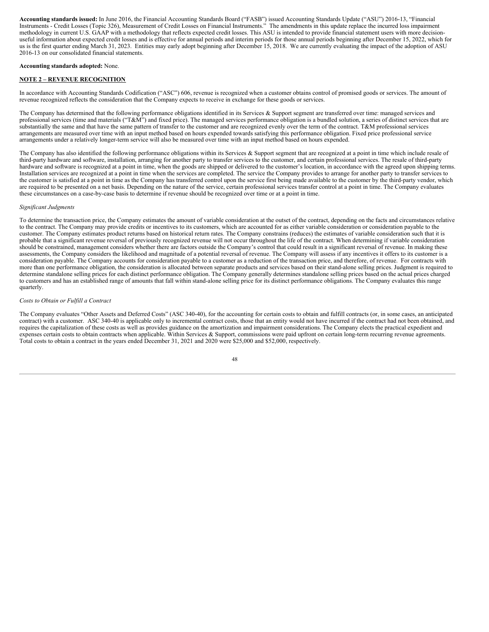**Accounting standards issued:** In June 2016, the Financial Accounting Standards Board ("FASB") issued Accounting Standards Update ("ASU") 2016-13, "Financial Instruments - Credit Losses (Topic 326), Measurement of Credit Losses on Financial Instruments." The amendments in this update replace the incurred loss impairment methodology in current U.S. GAAP with a methodology that reflects expected credit losses. This ASU is intended to provide financial statement users with more decisionuseful information about expected credit losses and is effective for annual periods and interim periods for those annual periods beginning after December 15, 2022, which for us is the first quarter ending March 31, 2023. Entities may early adopt beginning after December 15, 2018. We are currently evaluating the impact of the adoption of ASU 2016-13 on our consolidated financial statements.

### **Accounting standards adopted:** None.

## **NOTE 2 – REVENUE RECOGNITION**

In accordance with Accounting Standards Codification ("ASC") 606, revenue is recognized when a customer obtains control of promised goods or services. The amount of revenue recognized reflects the consideration that the Company expects to receive in exchange for these goods or services.

The Company has determined that the following performance obligations identified in its Services & Support segment are transferred over time: managed services and professional services (time and materials ("T&M") and fixed price). The managed services performance obligation is a bundled solution, a series of distinct services that are substantially the same and that have the same pattern of transfer to the customer and are recognized evenly over the term of the contract. T&M professional services arrangements are measured over time with an input method based on hours expended towards satisfying this performance obligation. Fixed price professional service arrangements under a relatively longer-term service will also be measured over time with an input method based on hours expended.

The Company has also identified the following performance obligations within its Services & Support segment that are recognized at a point in time which include resale of third-party hardware and software, installation, arranging for another party to transfer services to the customer, and certain professional services. The resale of third-party hardware and software is recognized at a point in time, when the goods are shipped or delivered to the customer's location, in accordance with the agreed upon shipping terms. Installation services are recognized at a point in time when the services are completed. The service the Company provides to arrange for another party to transfer services to the customer is satisfied at a point in time as the Company has transferred control upon the service first being made available to the customer by the third-party vendor, which are required to be presented on a net basis. Depending on the nature of the service, certain professional services transfer control at a point in time. The Company evaluates these circumstances on a case-by-case basis to determine if revenue should be recognized over time or at a point in time.

## *Significant Judgments*

To determine the transaction price, the Company estimates the amount of variable consideration at the outset of the contract, depending on the facts and circumstances relative to the contract. The Company may provide credits or incentives to its customers, which are accounted for as either variable consideration or consideration payable to the customer. The Company estimates product returns based on historical return rates. The Company constrains (reduces) the estimates of variable consideration such that it is probable that a significant revenue reversal of previously recognized revenue will not occur throughout the life of the contract. When determining if variable consideration should be constrained, management considers whether there are factors outside the Company's control that could result in a significant reversal of revenue. In making these assessments, the Company considers the likelihood and magnitude of a potential reversal of revenue. The Company will assess if any incentives it offers to its customer is a consideration payable. The Company accounts for consideration payable to a customer as a reduction of the transaction price, and therefore, of revenue. For contracts with more than one performance obligation, the consideration is allocated between separate products and services based on their stand-alone selling prices. Judgment is required to determine standalone selling prices for each distinct performance obligation. The Company generally determines standalone selling prices based on the actual prices charged to customers and has an established range of amounts that fall within stand-alone selling price for its distinct performance obligations. The Company evaluates this range quarterly.

#### *Costs to Obtain or Fulfill a Contract*

The Company evaluates "Other Assets and Deferred Costs" (ASC 340-40), for the accounting for certain costs to obtain and fulfill contracts (or, in some cases, an anticipated contract) with a customer. ASC 340-40 is applicable only to incremental contract costs, those that an entity would not have incurred if the contract had not been obtained, and requires the capitalization of these costs as well as provides guidance on the amortization and impairment considerations. The Company elects the practical expedient and expenses certain costs to obtain contracts when applicable. Within Services & Support, commissions were paid upfront on certain long-term recurring revenue agreements. Total costs to obtain a contract in the years ended December 31, 2021 and 2020 were \$25,000 and \$52,000, respectively.

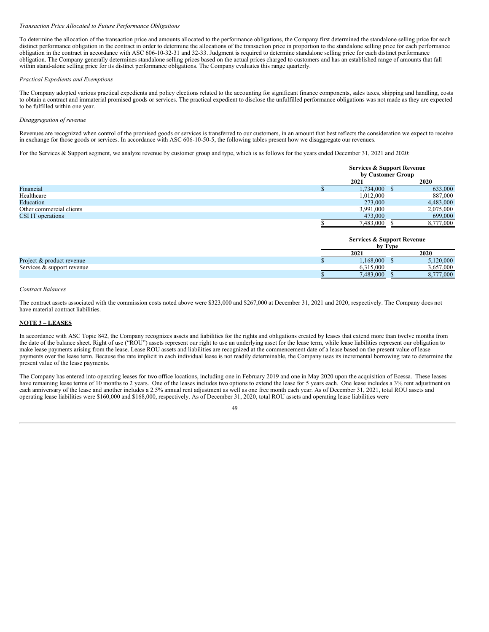## *Transaction Price Allocated to Future Performance Obligations*

To determine the allocation of the transaction price and amounts allocated to the performance obligations, the Company first determined the standalone selling price for each distinct performance obligation in the contract in order to determine the allocations of the transaction price in proportion to the standalone selling price for each performance obligation in the contract in accordance with ASC 606-10-32-31 and 32-33. Judgment is required to determine standalone selling price for each distinct performance obligation. The Company generally determines standalone selling prices based on the actual prices charged to customers and has an established range of amounts that fall within stand-alone selling price for its distinct performance obligations. The Company evaluates this range quarterly.

### *Practical Expedients and Exemptions*

The Company adopted various practical expedients and policy elections related to the accounting for significant finance components, sales taxes, shipping and handling, costs to obtain a contract and immaterial promised goods or services. The practical expedient to disclose the unfulfilled performance obligations was not made as they are expected to be fulfilled within one year.

### *Disaggregation of revenue*

Revenues are recognized when control of the promised goods or services is transferred to our customers, in an amount that best reflects the consideration we expect to receive in exchange for those goods or services. In accordance with ASC 606-10-50-5, the following tables present how we disaggregate our revenues.

For the Services & Support segment, we analyze revenue by customer group and type, which is as follows for the years ended December 31, 2021 and 2020:

|                          |                                       | <b>Services &amp; Support Revenue</b><br>by Customer Group |           |  |  |
|--------------------------|---------------------------------------|------------------------------------------------------------|-----------|--|--|
|                          | 2021                                  |                                                            | 2020      |  |  |
| Financial                | 1,734,000 \$                          |                                                            | 633,000   |  |  |
| Healthcare               | 1,012,000                             |                                                            | 887,000   |  |  |
| Education                | 273,000                               |                                                            | 4,483,000 |  |  |
| Other commercial clients | 3,991,000                             |                                                            | 2,075,000 |  |  |
| CSI IT operations        | 473,000                               |                                                            | 699,000   |  |  |
|                          | 7,483,000                             |                                                            | 8,777,000 |  |  |
|                          | <b>Services &amp; Support Revenue</b> | by Type                                                    |           |  |  |

|                            | DV TVDE  |           |  |  |
|----------------------------|----------|-----------|--|--|
|                            | 2021     | 2020      |  |  |
| Project & product revenue  | 168,000  | 20,000    |  |  |
| Services & support revenue | .315.000 | 3.657.000 |  |  |
|                            | 483,000  | 000<br>ο. |  |  |

## *Contract Balances*

The contract assets associated with the commission costs noted above were \$323,000 and \$267,000 at December 31, 2021 and 2020, respectively. The Company does not have material contract liabilities.

### **NOTE 3 – LEASES**

In accordance with ASC Topic 842, the Company recognizes assets and liabilities for the rights and obligations created by leases that extend more than twelve months from the date of the balance sheet. Right of use ("ROU") assets represent our right to use an underlying asset for the lease term, while lease liabilities represent our obligation to make lease payments arising from the lease. Lease ROU assets and liabilities are recognized at the commencement date of a lease based on the present value of lease payments over the lease term. Because the rate implicit in each individual lease is not readily determinable, the Company uses its incremental borrowing rate to determine the present value of the lease payments.

The Company has entered into operating leases for two office locations, including one in February 2019 and one in May 2020 upon the acquisition of Ecessa. These leases have remaining lease terms of 10 months to 2 years. One of the leases includes two options to extend the lease for 5 years each. One lease includes a 3% rent adjustment on each anniversary of the lease and another includes a 2.5% annual rent adjustment as well as one free month each year. As of December 31, 2021, total ROU assets and operating lease liabilities were \$160,000 and \$168,000, respectively. As of December 31, 2020, total ROU assets and operating lease liabilities were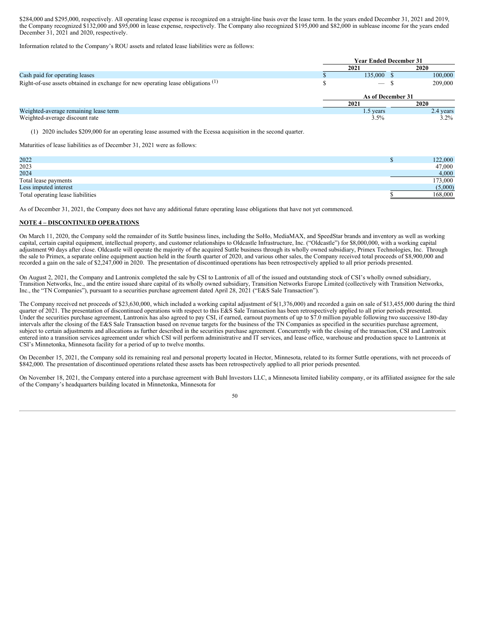\$284,000 and \$295,000, respectively. All operating lease expense is recognized on a straight-line basis over the lease term. In the years ended December 31, 2021 and 2019, the Company recognized \$132,000 and \$95,000 in lease expense, respectively. The Company also recognized \$195,000 and \$82,000 in sublease income for the years ended December 31, 2021 and 2020, respectively.

Information related to the Company's ROU assets and related lease liabilities were as follows:

|                                                                                    | <b>Year Ended December 31</b> |      |           |  |
|------------------------------------------------------------------------------------|-------------------------------|------|-----------|--|
|                                                                                    | 2021                          | 2020 |           |  |
| Cash paid for operating leases                                                     | 135,000 \$                    |      | 100,000   |  |
| Right-of-use assets obtained in exchange for new operating lease obligations $(1)$ | $\overline{\phantom{a}}$      |      | 209,000   |  |
|                                                                                    | As of December 31             |      |           |  |
|                                                                                    | 2021                          | 2020 |           |  |
| Weighted-average remaining lease term                                              | 1.5 years                     |      | 2.4 years |  |
| Weighted-average discount rate                                                     | $3.5\%$                       |      | $3.2\%$   |  |

(1) 2020 includes \$209,000 for an operating lease assumed with the Ecessa acquisition in the second quarter.

Maturities of lease liabilities as of December 31, 2021 were as follows:

| 2022                              | 122,000 |
|-----------------------------------|---------|
| 2023                              | 47,000  |
| 2024                              | 4,000   |
| Total lease payments              | 173,000 |
| Less imputed interest             | (5,000) |
| Total operating lease liabilities | 168,000 |

As of December 31, 2021, the Company does not have any additional future operating lease obligations that have not yet commenced.

## **NOTE 4 – DISCONTINUED OPERATIONS**

On March 11, 2020, the Company sold the remainder of its Suttle business lines, including the SoHo, MediaMAX, and SpeedStar brands and inventory as well as working capital, certain capital equipment, intellectual property, and customer relationships to Oldcastle Infrastructure, Inc. ("Oldcastle") for \$8,000,000, with a working capital adjustment 90 days after close. Oldcastle will operate the majority of the acquired Suttle business through its wholly owned subsidiary, Primex Technologies, Inc. Through the sale to Primex, a separate online equipment auction held in the fourth quarter of 2020, and various other sales, the Company received total proceeds of \$8,900,000 and recorded a gain on the sale of \$2,247,000 in 2020. The presentation of discontinued operations has been retrospectively applied to all prior periods presented.

On August 2, 2021, the Company and Lantronix completed the sale by CSI to Lantronix of all of the issued and outstanding stock of CSI's wholly owned subsidiary, Transition Networks, Inc., and the entire issued share capital of its wholly owned subsidiary, Transition Networks Europe Limited (collectively with Transition Networks, Inc., the "TN Companies"), pursuant to a securities purchase agreement dated April 28, 2021 ("E&S Sale Transaction").

The Company received net proceeds of \$23,630,000, which included a working capital adjustment of \$(1,376,000) and recorded a gain on sale of \$13,455,000 during the third quarter of 2021. The presentation of discontinued operations with respect to this E&S Sale Transaction has been retrospectively applied to all prior periods presented. Under the securities purchase agreement, Lantronix has also agreed to pay CSI, if earned, earnout payments of up to \$7.0 million payable following two successive 180-day intervals after the closing of the E&S Sale Transaction based on revenue targets for the business of the TN Companies as specified in the securities purchase agreement, subject to certain adjustments and allocations as further described in the securities purchase agreement. Concurrently with the closing of the transaction, CSI and Lantronix entered into a transition services agreement under which CSI will perform administrative and IT services, and lease office, warehouse and production space to Lantronix at CSI's Minnetonka, Minnesota facility for a period of up to twelve months.

On December 15, 2021, the Company sold its remaining real and personal property located in Hector, Minnesota, related to its former Suttle operations, with net proceeds of \$842,000. The presentation of discontinued operations related these assets has been retrospectively applied to all prior periods presented.

On November 18, 2021, the Company entered into a purchase agreement with Buhl Investors LLC, a Minnesota limited liability company, or its affiliated assignee for the sale of the Company's headquarters building located in Minnetonka, Minnesota for

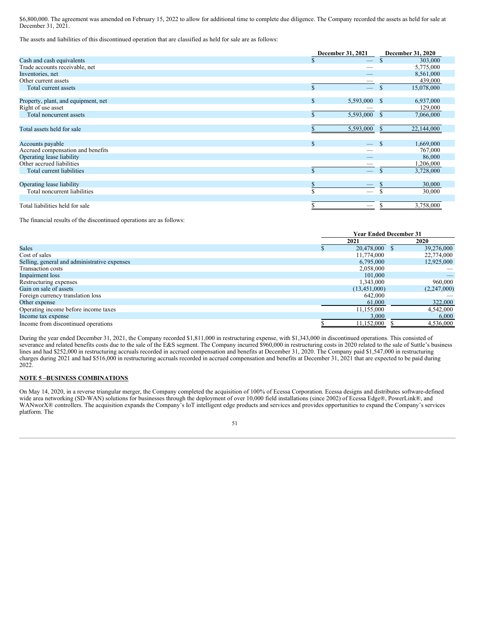\$6,800,000. The agreement was amended on February 15, 2022 to allow for additional time to complete due diligence. The Company recorded the assets as held for sale at December 31, 2021.

The assets and liabilities of this discontinued operation that are classified as held for sale are as follows:

|                                     |              | December 31, 2021        |    | <b>December 31, 2020</b> |
|-------------------------------------|--------------|--------------------------|----|--------------------------|
| Cash and cash equivalents           |              |                          |    | 303,000                  |
| Trade accounts receivable, net      |              |                          |    | 5,775,000                |
| Inventories, net                    |              |                          |    | 8,561,000                |
| Other current assets                |              |                          |    | 439,000                  |
| Total current assets                | \$           | $\overline{\phantom{m}}$ |    | 15,078,000               |
|                                     |              |                          |    |                          |
| Property, plant, and equipment, net | $\mathbf{s}$ | 5,593,000                | S  | 6,937,000                |
| Right of use asset                  |              |                          |    | 129,000                  |
| Total noncurrent assets             |              | 5,593,000                |    | 7,066,000                |
|                                     |              |                          |    |                          |
| Total assets held for sale          |              | 5,593,000                | ж  | 22,144,000               |
|                                     |              |                          |    |                          |
| Accounts payable                    | \$           | $\frac{1}{2}$            | \$ | 1,669,000                |
| Accrued compensation and benefits   |              |                          |    | 767,000                  |
| Operating lease liability           |              |                          |    | 86,000                   |
| Other accrued liabilities           |              |                          |    | 1,206,000                |
| Total current liabilities           |              | $\overline{\phantom{m}}$ |    | 3,728,000                |
|                                     |              |                          |    |                          |
| Operating lease liability           | ъ            |                          |    | 30,000                   |
| Total noncurrent liabilities        | \$           |                          | S  | 30,000                   |
|                                     |              |                          |    |                          |
| Total liabilities held for sale     |              |                          |    | 3,758,000                |

The financial results of the discontinued operations are as follows:

|                                              | <b>Year Ended December 31</b> |  |             |  |
|----------------------------------------------|-------------------------------|--|-------------|--|
|                                              | 2021                          |  | 2020        |  |
| <b>Sales</b>                                 | 20.478,000 \$                 |  | 39,276,000  |  |
| Cost of sales                                | 11,774,000                    |  | 22,774,000  |  |
| Selling, general and administrative expenses | 6,795,000                     |  | 12,925,000  |  |
| Transaction costs                            | 2,058,000                     |  |             |  |
| Impairment loss                              | 101,000                       |  |             |  |
| Restructuring expenses                       | 1,343,000                     |  | 960,000     |  |
| Gain on sale of assets                       | (13, 451, 000)                |  | (2,247,000) |  |
| Foreign currency translation loss            | 642,000                       |  |             |  |
| Other expense                                | 61,000                        |  | 322,000     |  |
| Operating income before income taxes         | 11,155,000                    |  | 4,542,000   |  |
| Income tax expense                           | 3,000                         |  | 6,000       |  |
| Income from discontinued operations          | 11,152,000                    |  | 4,536,000   |  |

During the year ended December 31, 2021, the Company recorded \$1,811,000 in restructuring expense, with \$1,343,000 in discontinued operations. This consisted of severance and related benefits costs due to the sale of the E&S segment. The Company incurred \$960,000 in restructuring costs in 2020 related to the sale of Suttle's business lines and had \$252,000 in restructuring accruals recorded in accrued compensation and benefits at December 31, 2020. The Company paid \$1,547,000 in restructuring charges during 2021 and had \$516,000 in restructuring accruals recorded in accrued compensation and benefits at December 31, 2021 that are expected to be paid during 2022.

## **NOTE 5 –BUSINESS COMBINATIONS**

On May 14, 2020, in a reverse triangular merger, the Company completed the acquisition of 100% of Ecessa Corporation. Ecessa designs and distributes software-defined wide area networking (SD-WAN) solutions for businesses through the deployment of over 10,000 field installations (since 2002) of Ecessa Edge®, PowerLink®, and WANworX® controllers. The acquisition expands the Company's IoT intelligent edge products and services and provides opportunities to expand the Company's services platform. The

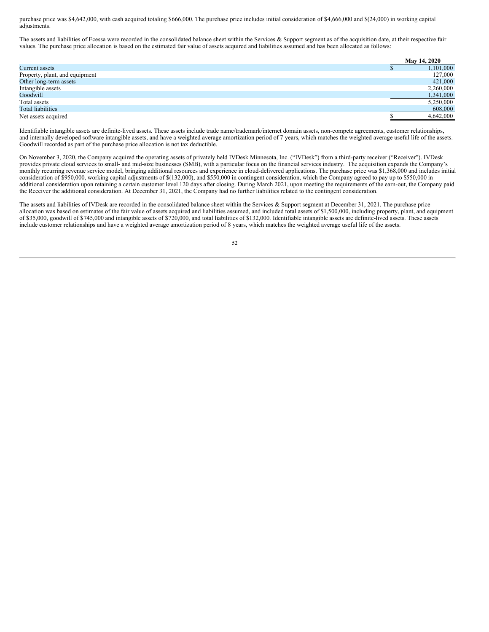purchase price was \$4,642,000, with cash acquired totaling \$666,000. The purchase price includes initial consideration of \$4,666,000 and \$(24,000) in working capital adjustments.

The assets and liabilities of Ecessa were recorded in the consolidated balance sheet within the Services & Support segment as of the acquisition date, at their respective fair values. The purchase price allocation is based on the estimated fair value of assets acquired and liabilities assumed and has been allocated as follows:

|                                | May 14, 2020 |
|--------------------------------|--------------|
| <b>Current</b> assets          | 1,101,000    |
| Property, plant, and equipment | 127,000      |
| Other long-term assets         | 421,000      |
| Intangible assets              | 2,260,000    |
| Goodwill                       | 1,341,000    |
| Total assets                   | 5,250,000    |
| <b>Total liabilities</b>       | 608,000      |
| Net assets acquired            | 4,642,000    |

Identifiable intangible assets are definite-lived assets. These assets include trade name/trademark/internet domain assets, non-compete agreements, customer relationships, and internally developed software intangible assets, and have a weighted average amortization period of 7 years, which matches the weighted average useful life of the assets. Goodwill recorded as part of the purchase price allocation is not tax deductible.

On November 3, 2020, the Company acquired the operating assets of privately held IVDesk Minnesota, Inc. ("IVDesk") from a third-party receiver ("Receiver"). IVDesk provides private cloud services to small- and mid-size businesses (SMB), with a particular focus on the financial services industry. The acquisition expands the Company's monthly recurring revenue service model, bringing additional resources and experience in cloud-delivered applications. The purchase price was \$1,368,000 and includes initial consideration of \$950,000, working capital adjustments of \$(132,000), and \$550,000 in contingent consideration, which the Company agreed to pay up to \$550,000 in additional consideration upon retaining a certain customer level 120 days after closing. During March 2021, upon meeting the requirements of the earn-out, the Company paid the Receiver the additional consideration. At December 31, 2021, the Company had no further liabilities related to the contingent consideration.

The assets and liabilities of IVDesk are recorded in the consolidated balance sheet within the Services & Support segment at December 31, 2021. The purchase price allocation was based on estimates of the fair value of assets acquired and liabilities assumed, and included total assets of \$1,500,000, including property, plant, and equipment of \$35,000, goodwill of \$745,000 and intangible assets of \$720,000, and total liabilities of \$132,000. Identifiable intangible assets are definite-lived assets. These assets include customer relationships and have a weighted average amortization period of 8 years, which matches the weighted average useful life of the assets.

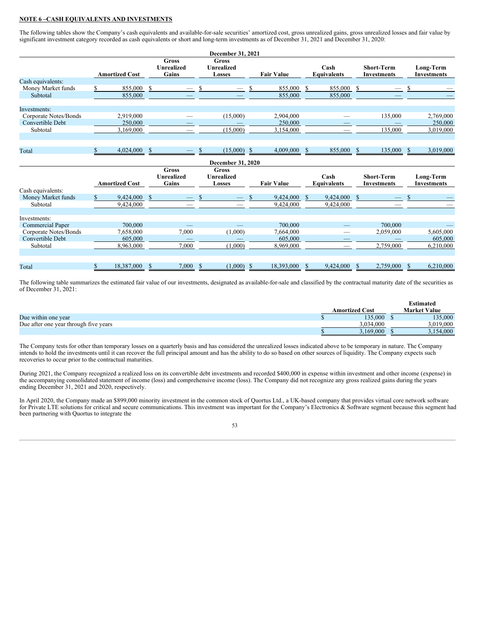## **NOTE 6 –CASH EQUIVALENTS AND INVESTMENTS**

The following tables show the Company's cash equivalents and available-for-sale securities' amortized cost, gross unrealized gains, gross unrealized losses and fair value by significant investment category recorded as cash equivalents or short and long-term investments as of December 31, 2021 and December 31, 2020:

|                                           |                       |                                            | December 31, 2021                                  |                            |                            |                                         |                                        |
|-------------------------------------------|-----------------------|--------------------------------------------|----------------------------------------------------|----------------------------|----------------------------|-----------------------------------------|----------------------------------------|
|                                           | <b>Amortized Cost</b> | <b>Gross</b><br><b>Unrealized</b><br>Gains | <b>Gross</b><br><b>Unrealized</b><br><b>Losses</b> | <b>Fair Value</b>          | Cash<br><b>Equivalents</b> | <b>Short-Term</b><br><b>Investments</b> | Long-Term<br><b>Investments</b>        |
| Cash equivalents:                         |                       |                                            |                                                    |                            |                            |                                         |                                        |
| Money Market funds                        | 855,000<br>\$.        | \$                                         | \$                                                 | 855,000<br>S               | S<br>855,000               | <sup>\$</sup>                           | S                                      |
| Subtotal                                  | 855,000               |                                            |                                                    | 855,000                    | 855,000                    |                                         |                                        |
| Investments:                              |                       |                                            |                                                    |                            |                            |                                         |                                        |
| Corporate Notes/Bonds                     | 2,919,000             |                                            | (15,000)                                           | 2,904,000                  |                            | 135,000                                 | 2,769,000                              |
| Convertible Debt                          | 250,000               |                                            |                                                    | 250,000                    |                            |                                         | 250,000                                |
| Subtotal                                  | 3,169,000             |                                            | (15,000)                                           | 3,154,000                  |                            | 135,000                                 | 3,019,000                              |
| Total                                     | 4,024,000<br>S        | \$                                         | $(15,000)$ \$                                      | 4,009,000                  | $\mathbb{S}$<br>855,000 \$ | 135,000                                 | 3,019,000<br>-S                        |
|                                           |                       |                                            | December 31, 2020                                  |                            |                            |                                         |                                        |
|                                           | <b>Amortized Cost</b> | <b>Gross</b><br><b>Unrealized</b><br>Gains | <b>Gross</b><br><b>Unrealized</b><br><b>Losses</b> | <b>Fair Value</b>          | Cash<br><b>Equivalents</b> | <b>Short-Term</b><br><b>Investments</b> | <b>Long-Term</b><br><b>Investments</b> |
| Cash equivalents:                         |                       |                                            |                                                    |                            |                            |                                         |                                        |
| Money Market funds                        | 9,424,000             | $\mathbb{S}$                               |                                                    | 9,424,000<br><sup>\$</sup> | 9,424,000<br>S             | <sup>S</sup>                            |                                        |
| Subtotal                                  | 9,424,000             |                                            |                                                    | 9,424,000                  | 9,424,000                  |                                         |                                        |
|                                           |                       |                                            |                                                    |                            |                            |                                         |                                        |
| Investments:                              |                       |                                            |                                                    |                            |                            |                                         |                                        |
| Commercial Paper                          | 700,000               |                                            |                                                    | 700,000                    |                            | 700,000                                 |                                        |
| Corporate Notes/Bonds<br>Convertible Debt | 7,658,000<br>605,000  | 7,000                                      | (1,000)                                            | 7,664,000<br>605,000       |                            | 2,059,000                               | 5,605,000<br>605,000                   |
| Subtotal                                  | 8,963,000             | 7,000                                      | (1,000)                                            | 8,969,000                  |                            | 2,759,000                               | 6,210,000                              |
|                                           |                       |                                            |                                                    |                            |                            |                                         |                                        |
| Total                                     | 18,387,000<br>\$      | 7,000<br>\$                                | $(1,000)$ \$<br>\$                                 | 18,393,000                 | 9,424,000<br>S             | 2,759,000                               | 6,210,000<br><sup>\$</sup>             |

The following table summarizes the estimated fair value of our investments, designated as available-for-sale and classified by the contractual maturity date of the securities as of December 31, 2021:

|                                       |                       | Estimated           |
|---------------------------------------|-----------------------|---------------------|
|                                       | <b>Amortized Cost</b> | <b>Market Value</b> |
| Due within one year                   | 135.000               | 135,000             |
| Due after one year through five years | 3.034.000             | 3.019.000           |
|                                       | 3.169,000             | 3,154,000           |

The Company tests for other than temporary losses on a quarterly basis and has considered the unrealized losses indicated above to be temporary in nature. The Company intends to hold the investments until it can recover the full principal amount and has the ability to do so based on other sources of liquidity. The Company expects such recoveries to occur prior to the contractual maturities.

During 2021, the Company recognized a realized loss on its convertible debt investments and recorded \$400,000 in expense within investment and other income (expense) in the accompanying consolidated statement of income (loss) and comprehensive income (loss). The Company did not recognize any gross realized gains during the years ending December 31, 2021 and 2020, respectively.

In April 2020, the Company made an \$899,000 minority investment in the common stock of Quortus Ltd., a UK-based company that provides virtual core network software for Private LTE solutions for critical and secure communications. This investment was important for the Company's Electronics & Software segment because this segment had been partnering with Quortus to integrate the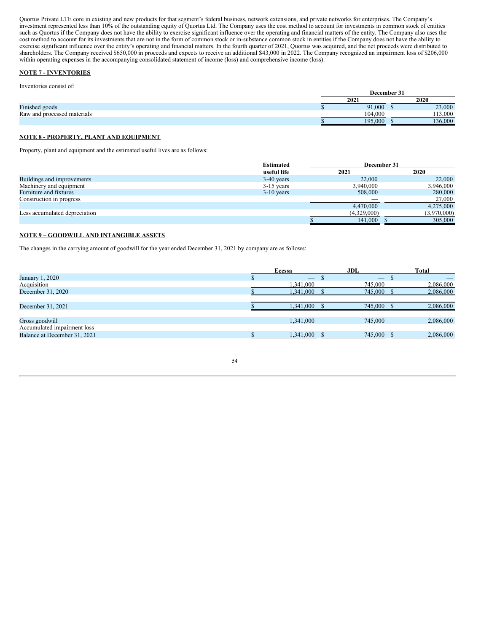Quortus Private LTE core in existing and new products for that segment's federal business, network extensions, and private networks for enterprises. The Company's investment represented less than 10% of the outstanding equity of Quortus Ltd. The Company uses the cost method to account for investments in common stock of entities such as Quortus if the Company does not have the ability to exercise significant influence over the operating and financial matters of the entity. The Company also uses the cost method to account for its investments that are not in the form of common stock or in-substance common stock in entities if the Company does not have the ability to exercise significant influence over the entity's operating and financial matters. In the fourth quarter of 2021, Quortus was acquired, and the net proceeds were distributed to shareholders. The Company received \$650,000 in proceeds and expects to receive an additional \$43,000 in 2022. The Company recognized an impairment loss of \$206,000 within operating expenses in the accompanying consolidated statement of income (loss) and comprehensive income (loss).

## **NOTE 7 - INVENTORIES**

| Inventories consist of: |  |  |
|-------------------------|--|--|
|-------------------------|--|--|

|                             | December<br>м |        |  |
|-----------------------------|---------------|--------|--|
|                             | 2021          | 2020   |  |
| Finished goods              | 91.000        | 23,000 |  |
| Raw and processed materials | 04.000        | 13.000 |  |
|                             | 195,000       | 36,000 |  |

**December 31**

# **NOTE 8 - PROPERTY, PLANT AND EQUIPMENT**

Property, plant and equipment and the estimated useful lives are as follows:

|                               | <b>Estimated</b> |  | December 31 |  |             |  |
|-------------------------------|------------------|--|-------------|--|-------------|--|
|                               | useful life      |  | 2021        |  | 2020        |  |
| Buildings and improvements    | $3-40$ years     |  | 22,000      |  | 22,000      |  |
| Machinery and equipment       | $3-15$ years     |  | 3,940,000   |  | 3,946,000   |  |
| Furniture and fixtures        | $3-10$ years     |  | 508,000     |  | 280,000     |  |
| Construction in progress      |                  |  |             |  | 27,000      |  |
|                               |                  |  | 4,470,000   |  | 4,275,000   |  |
| Less accumulated depreciation |                  |  | (4,329,000) |  | (3,970,000) |  |
|                               |                  |  | 141,000     |  | 305,000     |  |

## **NOTE 9 – GOODWILL AND INTANGIBLE ASSETS**

The changes in the carrying amount of goodwill for the year ended December 31, 2021 by company are as follows:

|                              | Ecessa                          | <b>JDL</b>                      | <b>Total</b> |
|------------------------------|---------------------------------|---------------------------------|--------------|
| January 1, 2020              | $\hspace{0.1mm}-\hspace{0.1mm}$ | $\hspace{0.1mm}-\hspace{0.1mm}$ |              |
| Acquisition                  | 1,341,000                       | 745,000                         | 2,086,000    |
| December 31, 2020            | 1,341,000 \$                    | 745,000 \$                      | 2,086,000    |
|                              |                                 |                                 |              |
| December 31, 2021            | 1,341,000                       | 745,000                         | 2,086,000    |
|                              |                                 |                                 |              |
| Gross goodwill               | 1,341,000                       | 745,000                         | 2,086,000    |
| Accumulated impairment loss  |                                 |                                 |              |
| Balance at December 31, 2021 | 1,341,000                       | 745,000                         | 2.086.000    |
|                              |                                 |                                 |              |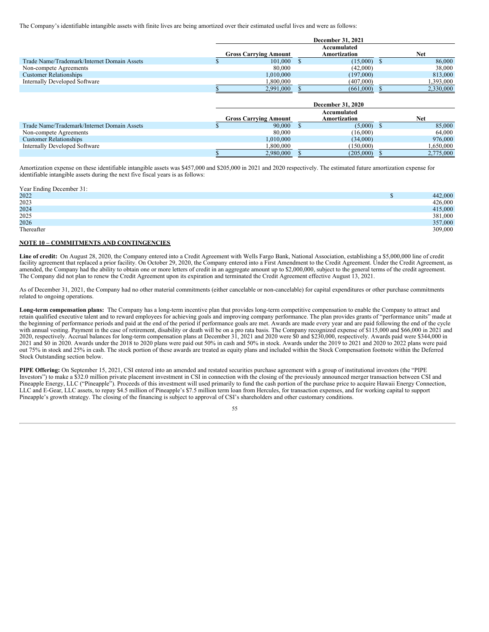The Company's identifiable intangible assets with finite lives are being amortized over their estimated useful lives and were as follows:

|                                             |                              | <b>December 31, 2021</b> |            |
|---------------------------------------------|------------------------------|--------------------------|------------|
|                                             |                              | Accumulated              |            |
|                                             | <b>Gross Carrying Amount</b> | Amortization             | <b>Net</b> |
| Trade Name/Trademark/Internet Domain Assets | 101,000                      | (15,000)                 | 86,000     |
| Non-compete Agreements                      | 80,000                       | (42,000)                 | 38,000     |
| <b>Customer Relationships</b>               | 1.010.000                    | (197,000)                | 813,000    |
| <b>Internally Developed Software</b>        | .800,000                     | (407,000)                | .393,000   |
|                                             | 2,991,000                    | (661,000)                | 2,330,000  |

|                                             |                              | <b>December 31, 2020</b> |            |
|---------------------------------------------|------------------------------|--------------------------|------------|
|                                             |                              | Accumulated              |            |
|                                             | <b>Gross Carrying Amount</b> | Amortization             | <b>Net</b> |
| Trade Name/Trademark/Internet Domain Assets | 90,000                       | (5,000)                  | 85,000     |
| Non-compete Agreements                      | 80,000                       | (16,000)                 | 64,000     |
| <b>Customer Relationships</b>               | 1,010,000                    | (34,000)                 | 976,000    |
| <b>Internally Developed Software</b>        | .800.000                     | (150,000)                | 1,650,000  |
|                                             | 2,980,000                    | (205,000)                | 2,775,000  |

Amortization expense on these identifiable intangible assets was \$457,000 and \$205,000 in 2021 and 2020 respectively. The estimated future amortization expense for identifiable intangible assets during the next five fiscal years is as follows:

| Year Ending December 31: |         |
|--------------------------|---------|
| 2022                     | 442,000 |
| 2023                     | 426,000 |
| 2024                     | 415,000 |
| 2025                     | 381,000 |
| 2026                     | 357,000 |
| Thereafter               | 309,000 |

## **NOTE 10 – COMMITMENTS AND CONTINGENCIES**

**Line of credit:** On August 28, 2020, the Company entered into a Credit Agreement with Wells Fargo Bank, National Association, establishing a \$5,000,000 line of credit facility agreement that replaced a prior facility. On October 29, 2020, the Company entered into a First Amendment to the Credit Agreement. Under the Credit Agreement, as amended, the Company had the ability to obtain one or more letters of credit in an aggregate amount up to \$2,000,000, subject to the general terms of the credit agreement. The Company did not plan to renew the Credit Agreement upon its expiration and terminated the Credit Agreement effective August 13, 2021.

As of December 31, 2021, the Company had no other material commitments (either cancelable or non-cancelable) for capital expenditures or other purchase commitments related to ongoing operations.

Long-term compensation plans: The Company has a long-term incentive plan that provides long-term competitive compensation to enable the Company to attract and retain qualified executive talent and to reward employees for achieving goals and improving company performance. The plan provides grants of "performance units" made at the beginning of performance periods and paid at the end of the period if performance goals are met. Awards are made every year and are paid following the end of the cycle with annual vesting. Payment in the case of retirement, disability or death will be on a pro rata basis. The Company recognized expense of \$115,000 and \$66,000 in 2021 and 2020, respectively. Accrual balances for long-term compensation plans at December 31, 2021 and 2020 were \$0 and \$230,000, respectively. Awards paid were \$344,000 in 2021 and \$0 in 2020. Awards under the 2018 to 2020 plans were paid out 50% in cash and 50% in stock. Awards under the 2019 to 2021 and 2020 to 2022 plans were paid out 75% in stock and 25% in cash. The stock portion of these awards are treated as equity plans and included within the Stock Compensation footnote within the Deferred Stock Outstanding section below.

**PIPE Offering:** On September 15, 2021, CSI entered into an amended and restated securities purchase agreement with a group of institutional investors (the "PIPE Investors") to make a \$32.0 million private placement investment in CSI in connection with the closing of the previously announced merger transaction between CSI and Pineapple Energy, LLC ("Pineapple"). Proceeds of this investment will used primarily to fund the cash portion of the purchase price to acquire Hawaii Energy Connection, LLC and E-Gear, LLC assets, to repay \$4.5 million of Pineapple's \$7.5 million term loan from Hercules, for transaction expenses, and for working capital to support Pineapple's growth strategy. The closing of the financing is subject to approval of CSI's shareholders and other customary conditions.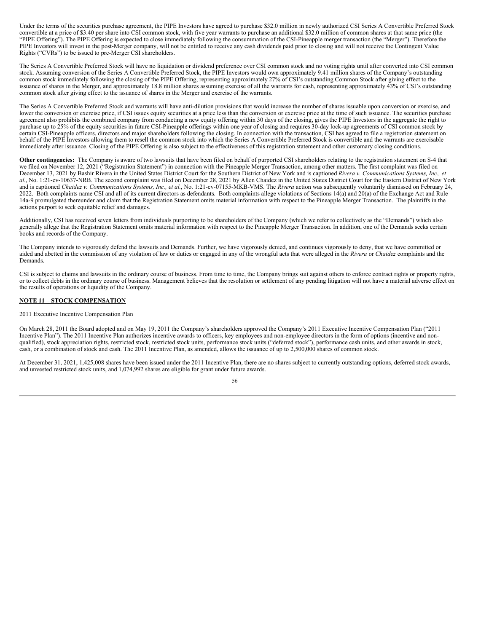Under the terms of the securities purchase agreement, the PIPE Investors have agreed to purchase \$32.0 million in newly authorized CSI Series A Convertible Preferred Stock convertible at a price of \$3.40 per share into CSI common stock, with five year warrants to purchase an additional \$32.0 million of common shares at that same price (the "PIPE Offering"). The PIPE Offering is expected to close immediately following the consummation of the CSI-Pineapple merger transaction (the "Merger"). Therefore the PIPE Investors will invest in the post-Merger company, will not be entitled to receive any cash dividends paid prior to closing and will not receive the Contingent Value Rights ("CVRs") to be issued to pre-Merger CSI shareholders.

The Series A Convertible Preferred Stock will have no liquidation or dividend preference over CSI common stock and no voting rights until after converted into CSI common stock. Assuming conversion of the Series A Convertible Preferred Stock, the PIPE Investors would own approximately 9.41 million shares of the Company's outstanding common stock immediately following the closing of the PIPE Offering, representing approximately 27% of CSI's outstanding Common Stock after giving effect to the issuance of shares in the Merger, and approximately 18.8 million shares assuming exercise of all the warrants for cash, representing approximately 43% of CSI's outstanding common stock after giving effect to the issuance of shares in the Merger and exercise of the warrants.

The Series A Convertible Preferred Stock and warrants will have anti-dilution provisions that would increase the number of shares issuable upon conversion or exercise, and lower the conversion or exercise price, if CSI issues equity securities at a price less than the conversion or exercise price at the time of such issuance. The securities purchase agreement also prohibits the combined company from conducting a new equity offering within 30 days of the closing, gives the PIPE Investors in the aggregate the right to purchase up to 25% of the equity securities in future CSI-Pineapple offerings within one year of closing and requires 30-day lock-up agreements of CSI common stock by certain CSI-Pineapple officers, directors and major shareholders following the closing. In connection with the transaction, CSI has agreed to file a registration statement on behalf of the PIPE Investors allowing them to resell the common stock into which the Series A Convertible Preferred Stock is convertible and the warrants are exercisable immediately after issuance. Closing of the PIPE Offering is also subject to the effectiveness of this registration statement and other customary closing conditions.

**Other contingencies:** The Company is aware of two lawsuits that have been filed on behalf of purported CSI shareholders relating to the registration statement on S-4 that we filed on November 12, 2021 ("Registration Statement") in connection with the Pineapple Merger Transaction, among other matters. The first complaint was filed on December 13, 2021 by Bashir Rivera in the United States District Court for the Southern District of New York and is captioned *Rivera v. Communications Systems, Inc., et al.*, No. 1:21-cv-10637-NRB. The second complaint was filed on December 28, 2021 by Allen Chaidez in the United States District Court for the Eastern District of New York and is captioned *Chaidez v. Communications Systems, Inc., et al.*, No. 1:21-cv-07155-MKB-VMS. The *Rivera* action was subsequently voluntarily dismissed on February 24, 2022. Both complaints name CSI and all of its current directors as defendants. Both complaints allege violations of Sections 14(a) and 20(a) of the Exchange Act and Rule 14a-9 promulgated thereunder and claim that the Registration Statement omits material information with respect to the Pineapple Merger Transaction. The plaintiffs in the actions purport to seek equitable relief and damages.

Additionally, CSI has received seven letters from individuals purporting to be shareholders of the Company (which we refer to collectively as the "Demands") which also generally allege that the Registration Statement omits material information with respect to the Pineapple Merger Transaction. In addition, one of the Demands seeks certain books and records of the Company.

The Company intends to vigorously defend the lawsuits and Demands. Further, we have vigorously denied, and continues vigorously to deny, that we have committed or aided and abetted in the commission of any violation of law or duties or engaged in any of the wrongful acts that were alleged in the *Rivera* or *Chaidez* complaints and the Demands.

CSI is subject to claims and lawsuits in the ordinary course of business. From time to time, the Company brings suit against others to enforce contract rights or property rights, or to collect debts in the ordinary course of business. Management believes that the resolution or settlement of any pending litigation will not have a material adverse effect on the results of operations or liquidity of the Company.

### **NOTE 11 – STOCK COMPENSATION**

### 2011 Executive Incentive Compensation Plan

On March 28, 2011 the Board adopted and on May 19, 2011 the Company's shareholders approved the Company's 2011 Executive Incentive Compensation Plan ("2011 Incentive Plan"). The 2011 Incentive Plan authorizes incentive awards to officers, key employees and non-employee directors in the form of options (incentive and nonqualified), stock appreciation rights, restricted stock, restricted stock units, performance stock units ("deferred stock"), performance cash units, and other awards in stock, cash, or a combination of stock and cash. The 2011 Incentive Plan, as amended, allows the issuance of up to 2,500,000 shares of common stock.

At December 31, 2021, 1,425,008 shares have been issued under the 2011 Incentive Plan, there are no shares subject to currently outstanding options, deferred stock awards, and unvested restricted stock units, and 1,074,992 shares are eligible for grant under future awards.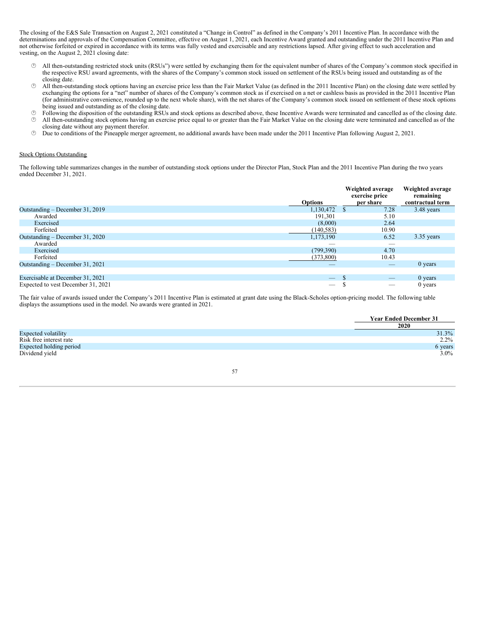The closing of the E&S Sale Transaction on August 2, 2021 constituted a "Change in Control" as defined in the Company's 2011 Incentive Plan. In accordance with the determinations and approvals of the Compensation Committee, effective on August 1, 2021, each Incentive Award granted and outstanding under the 2011 Incentive Plan and not otherwise forfeited or expired in accordance with its terms was fully vested and exercisable and any restrictions lapsed. After giving effect to such acceleration and vesting, on the August 2, 2021 closing date:

- · All then-outstanding restricted stock units (RSUs") were settled by exchanging them for the equivalent number of shares of the Company's common stock specified in the respective RSU award agreements, with the shares of the Company's common stock issued on settlement of the RSUs being issued and outstanding as of the closing date.
- · All then-outstanding stock options having an exercise price less than the Fair Market Value (as defined in the 2011 Incentive Plan) on the closing date were settled by exchanging the options for a "net" number of shares of the Company's common stock as if exercised on a net or cashless basis as provided in the 2011 Incentive Plan (for administrative convenience, rounded up to the next whole share), with the net shares of the Company's common stock issued on settlement of these stock options being issued and outstanding as of the closing date.
- · Following the disposition of the outstanding RSUs and stock options as described above, these Incentive Awards were terminated and cancelled as of the closing date.
- · All then-outstanding stock options having an exercise price equal to or greater than the Fair Market Value on the closing date were terminated and cancelled as of the closing date without any payment therefor.
- · Due to conditions of the Pineapple merger agreement, no additional awards have been made under the 2011 Incentive Plan following August 2, 2021.

## Stock Options Outstanding

The following table summarizes changes in the number of outstanding stock options under the Director Plan, Stock Plan and the 2011 Incentive Plan during the two years ended December 31, 2021.

|                                    | <b>Options</b>           | Weighted average<br>exercise price<br>per share                                                                                                                                                                                                                                                                                                                                               | Weighted average<br>remaining<br>contractual term |
|------------------------------------|--------------------------|-----------------------------------------------------------------------------------------------------------------------------------------------------------------------------------------------------------------------------------------------------------------------------------------------------------------------------------------------------------------------------------------------|---------------------------------------------------|
| Outstanding – December 31, 2019    | 1,130,472 \$             | 7.28                                                                                                                                                                                                                                                                                                                                                                                          | 3.48 years                                        |
| Awarded                            | 191,301                  | 5.10                                                                                                                                                                                                                                                                                                                                                                                          |                                                   |
| Exercised                          | (8,000)                  | 2.64                                                                                                                                                                                                                                                                                                                                                                                          |                                                   |
| Forfeited                          | (140, 583)               | 10.90                                                                                                                                                                                                                                                                                                                                                                                         |                                                   |
| Outstanding – December 31, 2020    | 1,173,190                | 6.52                                                                                                                                                                                                                                                                                                                                                                                          | $3.35$ years                                      |
| Awarded                            |                          | $-$                                                                                                                                                                                                                                                                                                                                                                                           |                                                   |
| Exercised                          | (799, 390)               | 4.70                                                                                                                                                                                                                                                                                                                                                                                          |                                                   |
| Forfeited                          | (373,800)                | 10.43                                                                                                                                                                                                                                                                                                                                                                                         |                                                   |
| Outstanding – December 31, 2021    |                          | $-$                                                                                                                                                                                                                                                                                                                                                                                           | $0$ years                                         |
|                                    |                          |                                                                                                                                                                                                                                                                                                                                                                                               |                                                   |
| Exercisable at December 31, 2021   |                          | $\hspace{1.0cm} \overline{\hspace{1.0cm} \hspace{1.0cm} \hspace{1.0cm} } \hspace{1.0cm} \hspace{1.0cm} \overline{\hspace{1.0cm} \hspace{1.0cm} \hspace{1.0cm} } \hspace{1.0cm} \hspace{1.0cm} \overline{\hspace{1.0cm} \hspace{1.0cm} \hspace{1.0cm} } \hspace{1.0cm} \hspace{1.0cm} \overline{\hspace{1.0cm} \hspace{1.0cm} \hspace{1.0cm} } \hspace{1.0cm} \hspace{1.0cm} \hspace{1.0cm} }$ | 0 years                                           |
| Expected to vest December 31, 2021 | $\overline{\phantom{a}}$ |                                                                                                                                                                                                                                                                                                                                                                                               | 0 years                                           |

The fair value of awards issued under the Company's 2011 Incentive Plan is estimated at grant date using the Black-Scholes option-pricing model. The following table displays the assumptions used in the model. No awards were granted in 2021.

|                            | <b>Year Ended December 31</b> |
|----------------------------|-------------------------------|
|                            | 2020                          |
| <b>Expected volatility</b> | 31.3%                         |
| Risk free interest rate    | $2.2\%$                       |
| Expected holding period    | 6 years                       |
| Dividend yield             | $3.0\%$                       |

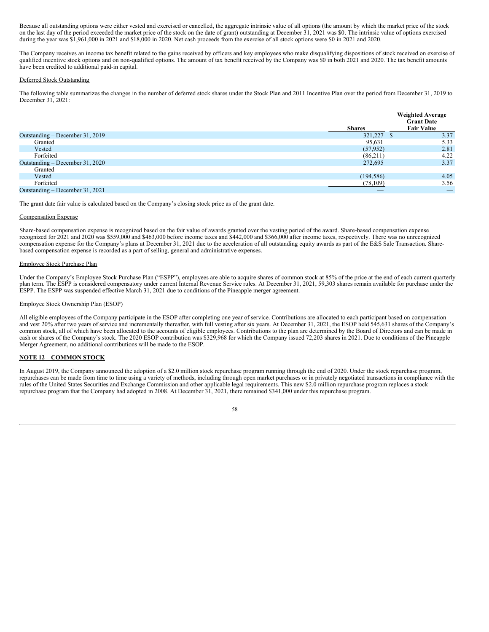Because all outstanding options were either vested and exercised or cancelled, the aggregate intrinsic value of all options (the amount by which the market price of the stock on the last day of the period exceeded the market price of the stock on the date of grant) outstanding at December 31, 2021 was \$0. The intrinsic value of options exercised during the year was \$1,961,000 in 2021 and \$18,000 in 2020. Net cash proceeds from the exercise of all stock options were \$0 in 2021 and 2020.

The Company receives an income tax benefit related to the gains received by officers and key employees who make disqualifying dispositions of stock received on exercise of qualified incentive stock options and on non-qualified options. The amount of tax benefit received by the Company was \$0 in both 2021 and 2020. The tax benefit amounts have been credited to additional paid-in capital.

### Deferred Stock Outstanding

The following table summarizes the changes in the number of deferred stock shares under the Stock Plan and 2011 Incentive Plan over the period from December 31, 2019 to December 31, 2021:

|                                 |               | <b>Weighted Average</b> |
|---------------------------------|---------------|-------------------------|
|                                 |               | <b>Grant Date</b>       |
|                                 | <b>Shares</b> | <b>Fair Value</b>       |
| Outstanding – December 31, 2019 | 321,227 \$    | 3.37                    |
| Granted                         | 95,631        | 5.33                    |
| Vested                          | (57, 952)     | 2.81                    |
| Forfeited                       | (86,211)      | 4.22                    |
| Outstanding – December 31, 2020 | 272,695       | 3.37                    |
| Granted                         | _             | -                       |
| Vested                          | (194, 586)    | 4.05                    |
| Forfeited                       | (78, 109)     | 3.56                    |
| Outstanding – December 31, 2021 |               | _                       |

The grant date fair value is calculated based on the Company's closing stock price as of the grant date.

## Compensation Expense

Share-based compensation expense is recognized based on the fair value of awards granted over the vesting period of the award. Share-based compensation expense recognized for 2021 and 2020 was \$559,000 and \$463,000 before income taxes and \$442,000 and \$366,000 after income taxes, respectively. There was no unrecognized compensation expense for the Company's plans at December 31, 2021 due to the acceleration of all outstanding equity awards as part of the E&S Sale Transaction. Sharebased compensation expense is recorded as a part of selling, general and administrative expenses.

## Employee Stock Purchase Plan

Under the Company's Employee Stock Purchase Plan ("ESPP"), employees are able to acquire shares of common stock at 85% of the price at the end of each current quarterly plan term. The ESPP is considered compensatory under current Internal Revenue Service rules. At December 31, 2021, 59,303 shares remain available for purchase under the ESPP. The ESPP was suspended effective March 31, 2021 due to conditions of the Pineapple merger agreement.

### Employee Stock Ownership Plan (ESOP)

All eligible employees of the Company participate in the ESOP after completing one year of service. Contributions are allocated to each participant based on compensation and vest 20% after two years of service and incrementally thereafter, with full vesting after six years. At December 31, 2021, the ESOP held 545,631 shares of the Company's common stock, all of which have been allocated to the accounts of eligible employees. Contributions to the plan are determined by the Board of Directors and can be made in cash or shares of the Company's stock. The 2020 ESOP contribution was \$329,968 for which the Company issued 72,203 shares in 2021. Due to conditions of the Pineapple Merger Agreement, no additional contributions will be made to the ESOP.

## **NOTE 12 – COMMON STOCK**

In August 2019, the Company announced the adoption of a \$2.0 million stock repurchase program running through the end of 2020. Under the stock repurchase program, repurchases can be made from time to time using a variety of methods, including through open market purchases or in privately negotiated transactions in compliance with the rules of the United States Securities and Exchange Commission and other applicable legal requirements. This new \$2.0 million repurchase program replaces a stock repurchase program that the Company had adopted in 2008. At December 31, 2021, there remained \$341,000 under this repurchase program.

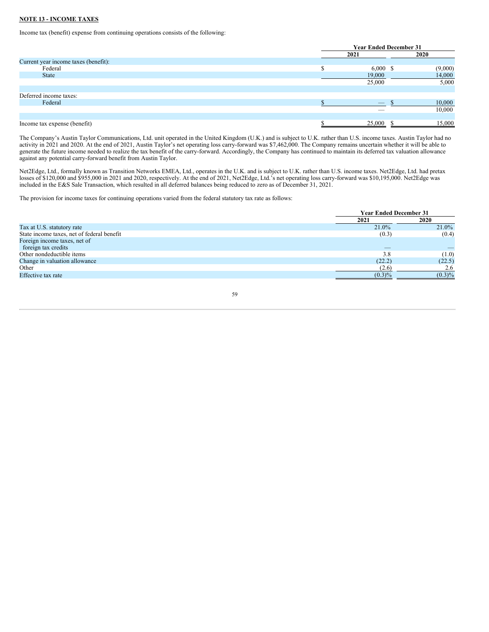# **NOTE 13 - INCOME TAXES**

Income tax (benefit) expense from continuing operations consists of the following:

|                                      | <b>Year Ended December 31</b> |         |  |  |
|--------------------------------------|-------------------------------|---------|--|--|
|                                      | 2021                          | 2020    |  |  |
| Current year income taxes (benefit): |                               |         |  |  |
| Federal                              | $6,000 \text{ }$ \$           | (9,000) |  |  |
| State                                | 19,000                        | 14,000  |  |  |
|                                      | 25,000                        | 5,000   |  |  |
|                                      |                               |         |  |  |
| Deferred income taxes:               |                               |         |  |  |
| Federal                              |                               | 10,000  |  |  |
|                                      | __                            | 10,000  |  |  |
|                                      |                               |         |  |  |
| Income tax expense (benefit)         | 25,000                        | 15,000  |  |  |

The Company's Austin Taylor Communications, Ltd. unit operated in the United Kingdom (U.K.) and is subject to U.K. rather than U.S. income taxes. Austin Taylor had no activity in 2021 and 2020. At the end of 2021, Austin Taylor's net operating loss carry-forward was \$7,462,000. The Company remains uncertain whether it will be able to generate the future income needed to realize the tax benefit of the carry-forward. Accordingly, the Company has continued to maintain its deferred tax valuation allowance against any potential carry-forward benefit from Austin Taylor.

Net2Edge, Ltd., formally known as Transition Networks EMEA, Ltd., operates in the U.K. and is subject to U.K. rather than U.S. income taxes. Net2Edge, Ltd. had pretax losses of \$120,000 and \$955,000 in 2021 and 2020, respectively. At the end of 2021, Net2Edge, Ltd.'s net operating loss carry-forward was \$10,195,000. Net2Edge was included in the E&S Sale Transaction, which resulted in all deferred balances being reduced to zero as of December 31, 2021.

The provision for income taxes for continuing operations varied from the federal statutory tax rate as follows:

|                                            | <b>Year Ended December 31</b> |           |  |
|--------------------------------------------|-------------------------------|-----------|--|
|                                            | 2021                          | 2020      |  |
| Tax at U.S. statutory rate                 | 21.0%                         | 21.0%     |  |
| State income taxes, net of federal benefit | (0.3)                         | (0.4)     |  |
| Foreign income taxes, net of               |                               |           |  |
| foreign tax credits                        |                               |           |  |
| Other nondeductible items                  | 3.8                           | (1.0)     |  |
| Change in valuation allowance              | (22.2)                        | (22.5)    |  |
| Other                                      | (2.6)                         | 2.6       |  |
| Effective tax rate                         | $(0.3)\%$                     | $(0.3)\%$ |  |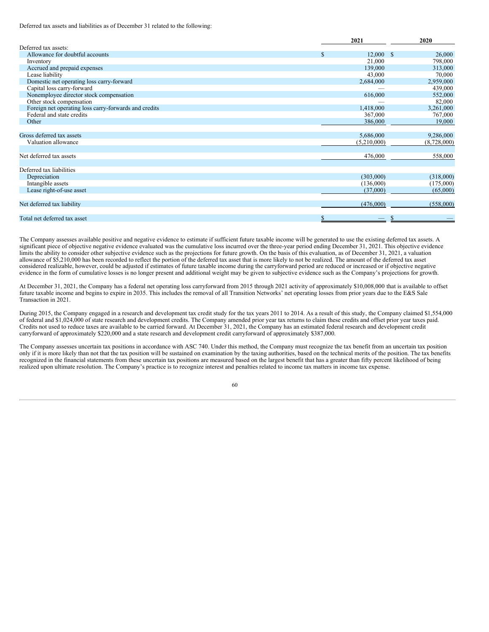Deferred tax assets and liabilities as of December 31 related to the following:

|                                                       |     | 2021        | 2020        |
|-------------------------------------------------------|-----|-------------|-------------|
| Deferred tax assets:                                  |     |             |             |
| Allowance for doubtful accounts                       | \$. | $12,000$ \$ | 26,000      |
| Inventory                                             |     | 21,000      | 798,000     |
| Accrued and prepaid expenses                          |     | 139,000     | 313,000     |
| Lease liability                                       |     | 43,000      | 70,000      |
| Domestic net operating loss carry-forward             |     | 2,684,000   | 2,959,000   |
| Capital loss carry-forward                            |     |             | 439,000     |
| Nonemployee director stock compensation               |     | 616,000     | 552,000     |
| Other stock compensation                              |     |             | 82,000      |
| Foreign net operating loss carry-forwards and credits |     | 1,418,000   | 3,261,000   |
| Federal and state credits                             |     | 367,000     | 767,000     |
| Other                                                 |     | 386,000     | 19,000      |
|                                                       |     |             |             |
| Gross deferred tax assets                             |     | 5,686,000   | 9,286,000   |
| Valuation allowance                                   |     | (5,210,000) | (8,728,000) |
|                                                       |     |             |             |
| Net deferred tax assets                               |     | 476,000     | 558,000     |
|                                                       |     |             |             |
| Deferred tax liabilities                              |     |             |             |
| Depreciation                                          |     | (303,000)   | (318,000)   |
| Intangible assets                                     |     | (136,000)   | (175,000)   |
| Lease right-of-use asset                              |     | (37,000)    | (65,000)    |
|                                                       |     |             |             |
| Net deferred tax liability                            |     | (476,000)   | (558,000)   |
|                                                       |     |             |             |
| Total net deferred tax asset                          | \$  |             |             |

The Company assesses available positive and negative evidence to estimate if sufficient future taxable income will be generated to use the existing deferred tax assets. A significant piece of objective negative evidence evaluated was the cumulative loss incurred over the three-year period ending December 31, 2021. This objective evidence limits the ability to consider other subjective evidence such as the projections for future growth. On the basis of this evaluation, as of December 31, 2021, a valuation allowance of \$5,210,000 has been recorded to reflect the portion of the deferred tax asset that is more likely to not be realized. The amount of the deferred tax asset considered realizable, however, could be adjusted if estimates of future taxable income during the carryforward period are reduced or increased or if objective negative evidence in the form of cumulative losses is no longer present and additional weight may be given to subjective evidence such as the Company's projections for growth.

At December 31, 2021, the Company has a federal net operating loss carryforward from 2015 through 2021 activity of approximately \$10,008,000 that is available to offset future taxable income and begins to expire in 2035. This includes the removal of all Transition Networks' net operating losses from prior years due to the E&S Sale Transaction in 2021.

During 2015, the Company engaged in a research and development tax credit study for the tax years 2011 to 2014. As a result of this study, the Company claimed \$1,554,000 of federal and \$1,024,000 of state research and development credits. The Company amended prior year tax returns to claim these credits and offset prior year taxes paid. Credits not used to reduce taxes are available to be carried forward. At December 31, 2021, the Company has an estimated federal research and development credit carryforward of approximately \$220,000 and a state research and development credit carryforward of approximately \$387,000.

The Company assesses uncertain tax positions in accordance with ASC 740. Under this method, the Company must recognize the tax benefit from an uncertain tax position only if it is more likely than not that the tax position will be sustained on examination by the taxing authorities, based on the technical merits of the position. The tax benefits recognized in the financial statements from these uncertain tax positions are measured based on the largest benefit that has a greater than fifty percent likelihood of being realized upon ultimate resolution. The Company's practice is to recognize interest and penalties related to income tax matters in income tax expense.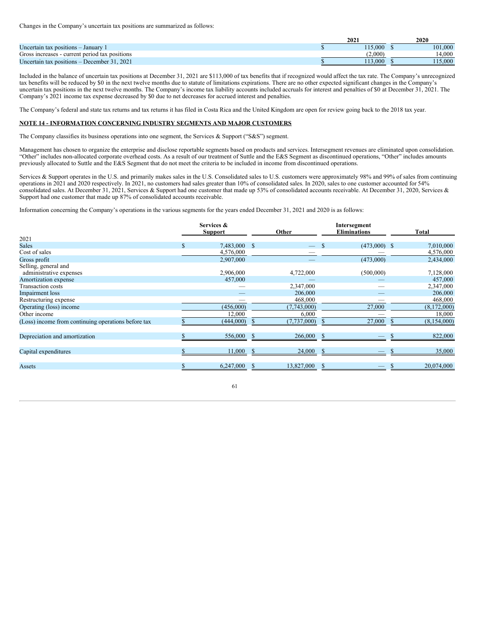|                                                | 2021    | 2020    |
|------------------------------------------------|---------|---------|
| Uncertain tax positions $-$ January            | 115.000 | 101.000 |
| Gross increases - current period tax positions | (2.000) | 4.000   |
| Uncertain tax positions – December 31, 2021    | 13,000  | 15,000  |

Included in the balance of uncertain tax positions at December 31, 2021 are \$113,000 of tax benefits that if recognized would affect the tax rate. The Company's unrecognized tax benefits will be reduced by \$0 in the next twelve months due to statute of limitations expirations. There are no other expected significant changes in the Company's uncertain tax positions in the next twelve months. The Company's income tax liability accounts included accruals for interest and penalties of \$0 at December 31, 2021. The Company's 2021 income tax expense decreased by \$0 due to net decreases for accrued interest and penalties.

The Company's federal and state tax returns and tax returns it has filed in Costa Rica and the United Kingdom are open for review going back to the 2018 tax year.

## **NOTE 14 - INFORMATION CONCERNING INDUSTRY SEGMENTS AND MAJOR CUSTOMERS**

The Company classifies its business operations into one segment, the Services & Support ("S&S") segment.

Management has chosen to organize the enterprise and disclose reportable segments based on products and services. Intersegment revenues are eliminated upon consolidation. "Other" includes non-allocated corporate overhead costs. As a result of our treatment of Suttle and the E&S Segment as discontinued operations, "Other" includes amounts previously allocated to Suttle and the E&S Segment that do not meet the criteria to be included in income from discontinued operations.

Services & Support operates in the U.S. and primarily makes sales in the U.S. Consolidated sales to U.S. customers were approximately 98% and 99% of sales from continuing operations in 2021 and 2020 respectively. In 2021, no customers had sales greater than 10% of consolidated sales. In 2020, sales to one customer accounted for 54% consolidated sales. At December 31, 2021, Services & Support had one customer that made up 53% of consolidated accounts receivable. At December 31, 2020, Services & Support had one customer that made up 87% of consolidated accounts receivable.

Information concerning the Company's operations in the various segments for the years ended December 31, 2021 and 2020 is as follows:

|                                                     | Services &<br><b>Support</b> | Other       |               | Intersegment<br><b>Eliminations</b> | <b>Total</b> |
|-----------------------------------------------------|------------------------------|-------------|---------------|-------------------------------------|--------------|
| 2021                                                |                              |             |               |                                     |              |
| <b>Sales</b>                                        | 7,483,000 \$                 |             |               | $(473,000)$ \$                      | 7,010,000    |
| Cost of sales                                       | 4,576,000                    |             |               |                                     | 4,576,000    |
| Gross profit                                        | 2,907,000                    |             |               | (473,000)                           | 2,434,000    |
| Selling, general and                                |                              |             |               |                                     |              |
| administrative expenses                             | 2,906,000                    | 4,722,000   |               | (500,000)                           | 7,128,000    |
| Amortization expense                                | 457,000                      |             |               |                                     | 457,000      |
| Transaction costs                                   |                              | 2,347,000   |               |                                     | 2,347,000    |
| <b>Impairment</b> loss                              |                              | 206,000     |               |                                     | 206,000      |
| Restructuring expense                               |                              | 468,000     |               |                                     | 468,000      |
| Operating (loss) income                             | (456,000)                    | (7,743,000) |               | 27,000                              | (8,172,000)  |
| Other income                                        | 12,000                       | 6,000       |               |                                     | 18,000       |
| (Loss) income from continuing operations before tax | (444,000)                    | (7,737,000) |               | 27,000                              | (8,154,000)  |
| Depreciation and amortization                       | 556,000                      | 266,000     |               |                                     | 822,000      |
|                                                     |                              |             |               |                                     |              |
| Capital expenditures                                | 11,000                       | 24,000      |               |                                     | 35,000       |
| Assets                                              | 6,247,000                    | 13,827,000  | <sup>\$</sup> |                                     | 20,074,000   |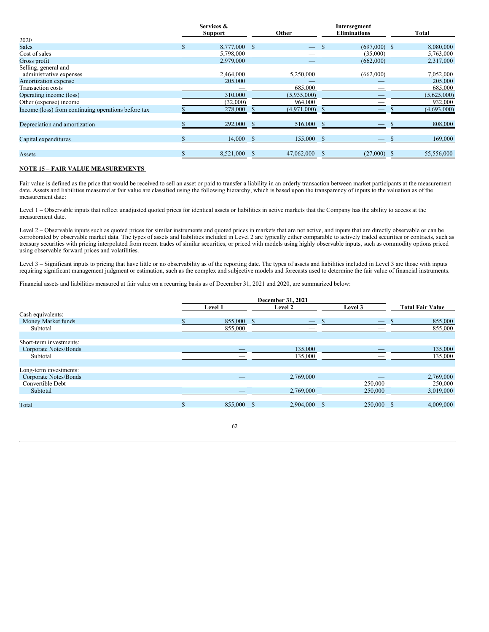|                                                     | Services &     |             | Intersegment        |              |
|-----------------------------------------------------|----------------|-------------|---------------------|--------------|
|                                                     | <b>Support</b> | Other       | <b>Eliminations</b> | <b>Total</b> |
| 2020                                                |                |             |                     |              |
| <b>Sales</b>                                        | 8,777,000 \$   |             | $(697,000)$ \$      | 8,080,000    |
| Cost of sales                                       | 5,798,000      |             | (35,000)            | 5,763,000    |
| Gross profit                                        | 2,979,000      |             | (662,000)           | 2,317,000    |
| Selling, general and                                |                |             |                     |              |
| administrative expenses                             | 2,464,000      | 5,250,000   | (662,000)           | 7,052,000    |
| Amortization expense                                | 205,000        |             |                     | 205,000      |
| Transaction costs                                   |                | 685,000     |                     | 685,000      |
| Operating income (loss)                             | 310,000        | (5,935,000) |                     | (5,625,000)  |
| Other (expense) income                              | (32,000)       | 964,000     |                     | 932,000      |
| Income (loss) from continuing operations before tax | 278,000        | (4,971,000) |                     | (4,693,000)  |
|                                                     |                |             |                     |              |
| Depreciation and amortization                       | 292,000        | 516,000     |                     | 808,000      |
|                                                     |                |             |                     |              |
| Capital expenditures                                | 14,000         | 155,000     |                     | 169,000      |
|                                                     |                |             |                     |              |
| Assets                                              | 8,521,000      | 47,062,000  | (27,000)            | 55,556,000   |

## **NOTE 15 – FAIR VALUE MEASUREMENTS**

Fair value is defined as the price that would be received to sell an asset or paid to transfer a liability in an orderly transaction between market participants at the measurement date. Assets and liabilities measured at fair value are classified using the following hierarchy, which is based upon the transparency of inputs to the valuation as of the measurement date:

Level 1 – Observable inputs that reflect unadjusted quoted prices for identical assets or liabilities in active markets that the Company has the ability to access at the measurement date.

Level 2 – Observable inputs such as quoted prices for similar instruments and quoted prices in markets that are not active, and inputs that are directly observable or can be corroborated by observable market data. The types of assets and liabilities included in Level 2 are typically either comparable to actively traded securities or contracts, such as treasury securities with pricing interpolated from recent trades of similar securities, or priced with models using highly observable inputs, such as commodity options priced using observable forward prices and volatilities.

Level 3 – Significant inputs to pricing that have little or no observability as of the reporting date. The types of assets and liabilities included in Level 3 are those with inputs requiring significant management judgment or estimation, such as the complex and subjective models and forecasts used to determine the fair value of financial instruments.

Financial assets and liabilities measured at fair value on a recurring basis as of December 31, 2021 and 2020, are summarized below:

|                         | December 31, 2021 |           |         |                         |  |
|-------------------------|-------------------|-----------|---------|-------------------------|--|
|                         | Level 1           | Level 2   | Level 3 | <b>Total Fair Value</b> |  |
| Cash equivalents:       |                   |           |         |                         |  |
| Money Market funds      | 855,000           |           |         | 855,000                 |  |
| Subtotal                | 855,000           |           |         | 855,000                 |  |
|                         |                   |           |         |                         |  |
| Short-term investments: |                   |           |         |                         |  |
| Corporate Notes/Bonds   |                   | 135,000   |         | 135,000                 |  |
| Subtotal                |                   | 135,000   |         | 135,000                 |  |
|                         |                   |           |         |                         |  |
| Long-term investments:  |                   |           |         |                         |  |
| Corporate Notes/Bonds   |                   | 2,769,000 |         | 2,769,000               |  |
| Convertible Debt        |                   |           | 250,000 | 250,000                 |  |
| Subtotal                |                   | 2,769,000 | 250,000 | 3,019,000               |  |
|                         |                   |           |         |                         |  |
| Total                   | 855,000           | 2,904,000 | 250,000 | 4,009,000               |  |
|                         |                   |           |         |                         |  |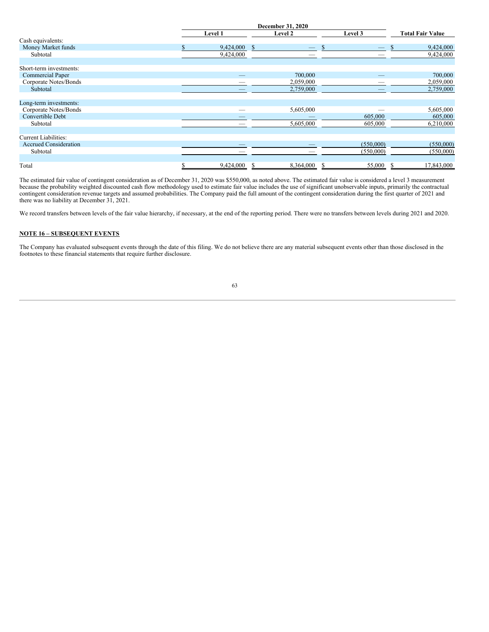|                              | December 31, 2020 |           |               |           |                         |
|------------------------------|-------------------|-----------|---------------|-----------|-------------------------|
|                              |                   | Level 1   | Level 2       | Level 3   | <b>Total Fair Value</b> |
| Cash equivalents:            |                   |           |               |           |                         |
| Money Market funds           |                   | 9,424,000 | <sup>\$</sup> |           | 9,424,000               |
| Subtotal                     |                   | 9,424,000 |               |           | 9,424,000               |
|                              |                   |           |               |           |                         |
| Short-term investments:      |                   |           |               |           |                         |
| <b>Commercial Paper</b>      |                   |           | 700,000       |           | 700,000                 |
| Corporate Notes/Bonds        |                   | __        | 2,059,000     | --        | 2,059,000               |
| Subtotal                     |                   |           | 2,759,000     |           | 2,759,000               |
|                              |                   |           |               |           |                         |
| Long-term investments:       |                   |           |               |           |                         |
| Corporate Notes/Bonds        |                   |           | 5,605,000     |           | 5,605,000               |
| Convertible Debt             |                   |           |               | 605,000   | 605,000                 |
| Subtotal                     |                   |           | 5,605,000     | 605,000   | 6,210,000               |
|                              |                   |           |               |           |                         |
| Current Liabilities:         |                   |           |               |           |                         |
| <b>Accrued Consideration</b> |                   |           |               | (550,000) | (550,000)               |
| Subtotal                     |                   |           |               | (550,000) | (550,000)               |
|                              |                   |           |               |           |                         |
| Total                        |                   | 9,424,000 | 8,364,000     | 55,000    | 17,843,000              |

The estimated fair value of contingent consideration as of December 31, 2020 was \$550,000, as noted above. The estimated fair value is considered a level 3 measurement because the probability weighted discounted cash flow methodology used to estimate fair value includes the use of significant unobservable inputs, primarily the contractual contingent consideration revenue targets and assumed probabilities. The Company paid the full amount of the contingent consideration during the first quarter of 2021 and there was no liability at December 31, 2021.

We record transfers between levels of the fair value hierarchy, if necessary, at the end of the reporting period. There were no transfers between levels during 2021 and 2020.

# **NOTE 16 – SUBSEQUENT EVENTS**

The Company has evaluated subsequent events through the date of this filing. We do not believe there are any material subsequent events other than those disclosed in the footnotes to these financial statements that require further disclosure.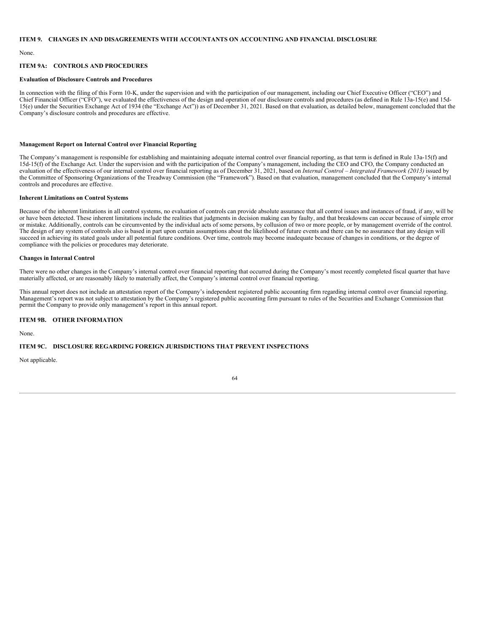## **ITEM 9. CHANGES IN AND DISAGREEMENTS WITH ACCOUNTANTS ON ACCOUNTING AND FINANCIAL DISCLOSURE**

### None.

# **ITEM 9A: CONTROLS AND PROCEDURES**

### **Evaluation of Disclosure Controls and Procedures**

In connection with the filing of this Form 10-K, under the supervision and with the participation of our management, including our Chief Executive Officer ("CEO") and Chief Financial Officer ("CFO"), we evaluated the effectiveness of the design and operation of our disclosure controls and procedures (as defined in Rule 13a-15(e) and 15d-15(e) under the Securities Exchange Act of 1934 (the "Exchange Act")) as of December 31, 2021. Based on that evaluation, as detailed below, management concluded that the Company's disclosure controls and procedures are effective.

### **Management Report on Internal Control over Financial Reporting**

The Company's management is responsible for establishing and maintaining adequate internal control over financial reporting, as that term is defined in Rule 13a-15(f) and  $15d-15(f)$  of the Exchange Act. Under the supervision and with the participation of the Company's management, including the CEO and CFO, the Company conducted an evaluation of the effectiveness of our internal control over financial reporting as of December 31, 2021, based on *Internal Control – Integrated Framework (2013)* issued by the Committee of Sponsoring Organizations of the Treadway Commission (the "Framework"). Based on that evaluation, management concluded that the Company's internal controls and procedures are effective.

### **Inherent Limitations on Control Systems**

Because of the inherent limitations in all control systems, no evaluation of controls can provide absolute assurance that all control issues and instances of fraud, if any, will be or have been detected. These inherent limitations include the realities that judgments in decision making can by faulty, and that breakdowns can occur because of simple error or mistake. Additionally, controls can be circumvented by the individual acts of some persons, by collusion of two or more people, or by management override of the control. The design of any system of controls also is based in part upon certain assumptions about the likelihood of future events and there can be no assurance that any design will succeed in achieving its stated goals under all potential future conditions. Over time, controls may become inadequate because of changes in conditions, or the degree of compliance with the policies or procedures may deteriorate.

#### **Changes in Internal Control**

There were no other changes in the Company's internal control over financial reporting that occurred during the Company's most recently completed fiscal quarter that have materially affected, or are reasonably likely to materially affect, the Company's internal control over financial reporting.

This annual report does not include an attestation report of the Company's independent registered public accounting firm regarding internal control over financial reporting. Management's report was not subject to attestation by the Company's registered public accounting firm pursuant to rules of the Securities and Exchange Commission that permit the Company to provide only management's report in this annual report.

## **ITEM 9B. OTHER INFORMATION**

None.

# **ITEM 9C. DISCLOSURE REGARDING FOREIGN JURISDICTIONS THAT PREVENT INSPECTIONS**

Not applicable.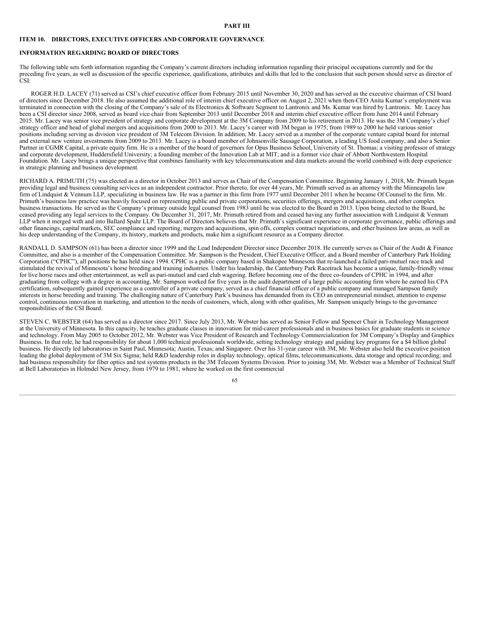## **PART III**

## **ITEM 10. DIRECTORS, EXECUTIVE OFFICERS AND CORPORATE GOVERNANCE**

### **INFORMATION REGARDING BOARD OF DIRECTORS**

The following table sets forth information regarding the Company's current directors including information regarding their principal occupations currently and for the preceding five years, as well as discussion of the specific experience, qualifications, attributes and skills that led to the conclusion that such person should serve as director of CSI:

ROGER H.D. LACEY (71) served as CSI's chief executive officer from February 2015 until November 30, 2020 and has served as the executive chairman of CSI board of directors since December 2018. He also assumed the additional role of interim chief executive officer on August 2, 2021 when then-CEO Anita Kumar's employment was terminated in connection with the closing of the Company's sale of its Electronics & Software Segment to Lantronix and Ms. Kumar was hired by Lantronix. Mr. Lacey has been a CSI director since 2008, served as board vice chair from September 2013 until December 2018 and interim chief executive officer from June 2014 until February 2015. Mr. Lacey was senior vice president of strategy and corporate development at the 3M Company from 2009 to his retirement in 2013. He was the 3M Company's chief strategy officer and head of global mergers and acquisitions from 2000 to 2013. Mr. Lacey's career with 3M began in 1975; from 1989 to 2000 he held various senior positions including serving as division vice president of 3M Telecom Division. In addition, Mr. Lacey served as a member of the corporate venture capital board for internal and external new venture investments from 2009 to 2013. Mr. Lacey is a board member of Johnsonville Sausage Corporation, a leading US food company, and also a Senior Partner in CGMR Capital, a private equity firm. He is a member of the board of governors for Opus Business School, University of St. Thomas; a visiting professor of strategy and corporate development, Huddersfield University; a founding member of the Innovation Lab at MIT; and is a former vice chair of Abbott Northwestern Hospital Foundation. Mr. Lacey brings a unique perspective that combines familiarity with key telecommunication and data markets around the world combined with deep experience in strategic planning and business development.

RICHARD A. PRIMUTH (75) was elected as a director in October 2013 and serves as Chair of the Compensation Committee. Beginning January 1, 2018, Mr. Primuth began providing legal and business consulting services as an independent contractor. Prior thereto, for over 44 years, Mr. Primuth served as an attorney with the Minneapolis law firm of Lindquist & Vennum LLP, specializing in business law. He was a partner in this firm from 1977 until December 2011 when he became Of Counsel to the firm. Mr. Primuth's business law practice was heavily focused on representing public and private corporations, securities offerings, mergers and acquisitions, and other complex business transactions. He served as the Company's primary outside legal counsel from 1983 until he was elected to the Board in 2013. Upon being elected to the Board, he ceased providing any legal services to the Company. On December 31, 2017, Mr. Primuth retired from and ceased having any further association with Lindquist & Vennum LLP when it merged with and into Ballard Spahr LLP. The Board of Directors believes that Mr. Primuth's significant experience in corporate governance, public offerings and other financings, capital markets, SEC compliance and reporting, mergers and acquisitions, spin offs, complex contract negotiations, and other business law areas, as well as his deep understanding of the Company, its history, markets and products, make him a significant resource as a Company director.

RANDALL D. SAMPSON (61) has been a director since 1999 and the Lead Independent Director since December 2018. He currently serves as Chair of the Audit & Finance Committee, and also is a member of the Compensation Committee. Mr. Sampson is the President, Chief Executive Officer, and a Board member of Canterbury Park Holding Corporation ("CPHC"), all positions he has held since 1994. CPHC is a public company based in Shakopee Minnesota that re-launched a failed pari-mutuel race track and stimulated the revival of Minnesota's horse breeding and training industries. Under his leadership, the Canterbury Park Racetrack has become a unique, family-friendly venue for live horse races and other entertainment, as well as pari-mutuel and card club wagering. Before becoming one of the three co-founders of CPHC in 1994, and after graduating from college with a degree in accounting, Mr. Sampson worked for five years in the audit department of a large public accounting firm where he earned his CPA certification, subsequently gained experience as a controller of a private company, served as a chief financial officer of a public company and managed Sampson family interests in horse breeding and training. The challenging nature of Canterbury Park's business has demanded from its CEO an entrepreneurial mindset, attention to expense control, continuous innovation in marketing, and attention to the needs of customers, which, along with other qualities, Mr. Sampson uniquely brings to the governance responsibilities of the CSI Board.

STEVEN C. WEBSTER (64) has served as a director since 2017. Since July 2013, Mr. Webster has served as Senior Fellow and Spencer Chair in Technology Management at the University of Minnesota. In this capacity, he teaches graduate classes in innovation for mid-career professionals and in business basics for graduate students in science and technology. From May 2005 to October 2012, Mr. Webster was Vice President of Research and Technology Commercialization for 3M Company's Display and Graphics Business. In that role, he had responsibility for about 1,000 technical professionals worldwide, setting technology strategy and guiding key programs for a \$4 billion global business. He directly led laboratories in Saint Paul, Minnesota; Austin, Texas; and Singapore. Over his 31-year career with 3M, Mr. Webster also held the executive position leading the global deployment of 3M Six Sigma; held R&D leadership roles in display technology, optical films, telecommunications, data storage and optical recording; and had business responsibility for fiber optics and test systems products in the 3M Telecom Systems Division. Prior to joining 3M, Mr. Webster was a Member of Technical Staff at Bell Laboratories in Holmdel New Jersey, from 1979 to 1981, where he worked on the first commercial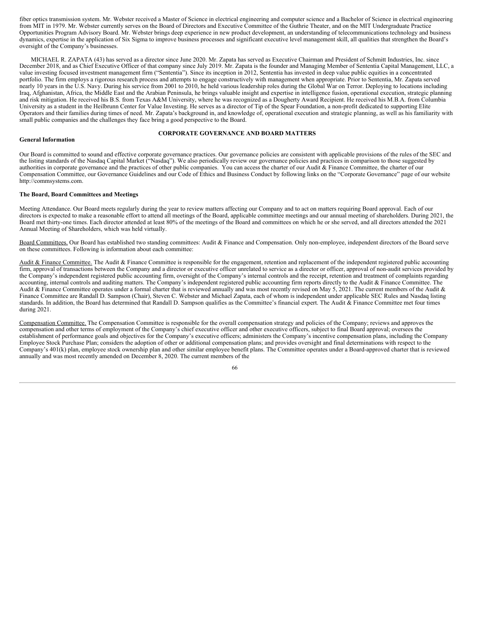fiber optics transmission system. Mr. Webster received a Master of Science in electrical engineering and computer science and a Bachelor of Science in electrical engineering from MIT in 1979. Mr. Webster currently serves on the Board of Directors and Executive Committee of the Guthrie Theater, and on the MIT Undergraduate Practice Opportunities Program Advisory Board. Mr. Webster brings deep experience in new product development, an understanding of telecommunications technology and business dynamics, expertise in the application of Six Sigma to improve business processes and significant executive level management skill, all qualities that strengthen the Board's oversight of the Company's businesses.

MICHAEL R. ZAPATA (43) has served as a director since June 2020. Mr. Zapata has served as Executive Chairman and President of Schmitt Industries, Inc. since December 2018, and as Chief Executive Officer of that company since July 2019. Mr. Zapata is the founder and Managing Member of Sententia Capital Management, LLC, a value investing focused investment management firm ("Sententia"). Since its inception in 2012, Sententia has invested in deep value public equities in a concentrated portfolio. The firm employs a rigorous research process and attempts to engage constructively with management when appropriate. Prior to Sententia, Mr. Zapata served nearly 10 years in the U.S. Navy. During his service from 2001 to 2010, he held various leadership roles during the Global War on Terror. Deploying to locations including Iraq, Afghanistan, Africa, the Middle East and the Arabian Peninsula, he brings valuable insight and expertise in intelligence fusion, operational execution, strategic planning and risk mitigation. He received his B.S. from Texas A&M University, where he was recognized as a Dougherty Award Recipient. He received his M.B.A. from Columbia University as a student in the Heilbrunn Center for Value Investing. He serves as a director of Tip of the Spear Foundation, a non-profit dedicated to supporting Elite Operators and their families during times of need. Mr. Zapata's background in, and knowledge of, operational execution and strategic planning, as well as his familiarity with small public companies and the challenges they face bring a good perspective to the Board.

### **CORPORATE GOVERNANCE AND BOARD MATTERS**

## **General Information**

Our Board is committed to sound and effective corporate governance practices. Our governance policies are consistent with applicable provisions of the rules of the SEC and the listing standards of the Nasdaq Capital Market ("Nasdaq"). We also periodically review our governance policies and practices in comparison to those suggested by authorities in corporate governance and the practices of other public companies. You can access the charter of our Audit & Finance Committee, the charter of our Compensation Committee, our Governance Guidelines and our Code of Ethics and Business Conduct by following links on the "Corporate Governance" page of our website http://commsystems.com.

### **The Board, Board Committees and Meetings**

Meeting Attendance. Our Board meets regularly during the year to review matters affecting our Company and to act on matters requiring Board approval. Each of our directors is expected to make a reasonable effort to attend all meetings of the Board, applicable committee meetings and our annual meeting of shareholders. During 2021, the Board met thirty-one times. Each director attended at least 80% of the meetings of the Board and committees on which he or she served, and all directors attended the 2021 Annual Meeting of Shareholders, which was held virtually.

Board Committees. Our Board has established two standing committees: Audit & Finance and Compensation. Only non-employee, independent directors of the Board serve on these committees. Following is information about each committee:

Audit & Finance Committee. The Audit & Finance Committee is responsible for the engagement, retention and replacement of the independent registered public accounting firm, approval of transactions between the Company and a director or executive officer unrelated to service as a director or officer, approval of non-audit services provided by the Company's independent registered public accounting firm, oversight of the Company's internal controls and the receipt, retention and treatment of complaints regarding accounting, internal controls and auditing matters. The Company's independent registered public accounting firm reports directly to the Audit & Finance Committee. The Audit & Finance Committee operates under a formal charter that is reviewed annually and was most recently revised on May 5, 2021. The current members of the Audit & Finance Committee are Randall D. Sampson (Chair), Steven C. Webster and Michael Zapata, each of whom is independent under applicable SEC Rules and Nasdaq listing standards. In addition, the Board has determined that Randall D. Sampson qualifies as the Committee's financial expert. The Audit & Finance Committee met four times during 2021.

Compensation Committee. The Compensation Committee is responsible for the overall compensation strategy and policies of the Company; reviews and approves the compensation and other terms of employment of the Company's chief executive officer and other executive officers, subject to final Board approval; oversees the establishment of performance goals and objectives for the Company's executive officers; administers the Company's incentive compensation plans, including the Company Employee Stock Purchase Plan; considers the adoption of other or additional compensation plans; and provides oversight and final determinations with respect to the Company's 401(k) plan, employee stock ownership plan and other similar employee benefit plans. The Committee operates under a Board-approved charter that is reviewed annually and was most recently amended on December 8, 2020. The current members of the

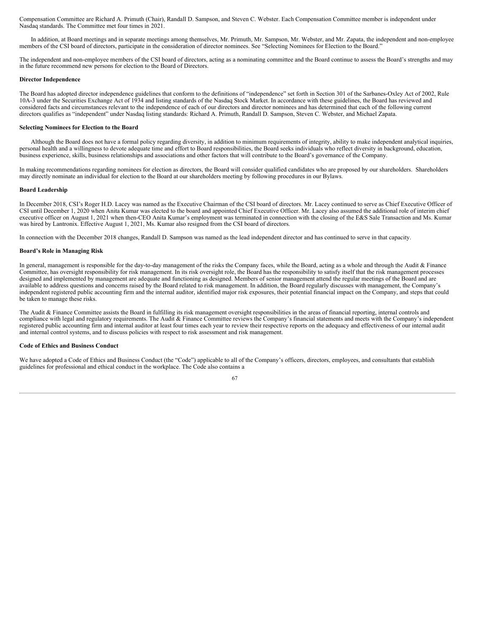Compensation Committee are Richard A. Primuth (Chair), Randall D. Sampson, and Steven C. Webster. Each Compensation Committee member is independent under Nasdaq standards. The Committee met four times in 2021.

In addition, at Board meetings and in separate meetings among themselves, Mr. Primuth, Mr. Sampson, Mr. Webster, and Mr. Zapata, the independent and non-employee members of the CSI board of directors, participate in the consideration of director nominees. See "Selecting Nominees for Election to the Board."

The independent and non-employee members of the CSI board of directors, acting as a nominating committee and the Board continue to assess the Board's strengths and may in the future recommend new persons for election to the Board of Directors.

### **Director Independence**

The Board has adopted director independence guidelines that conform to the definitions of "independence" set forth in Section 301 of the Sarbanes-Oxley Act of 2002, Rule 10A-3 under the Securities Exchange Act of 1934 and listing standards of the Nasdaq Stock Market. In accordance with these guidelines, the Board has reviewed and considered facts and circumstances relevant to the independence of each of our directors and director nominees and has determined that each of the following current directors qualifies as "independent" under Nasdaq listing standards: Richard A. Primuth, Randall D. Sampson, Steven C. Webster, and Michael Zapata.

### **Selecting Nominees for Election to the Board**

Although the Board does not have a formal policy regarding diversity, in addition to minimum requirements of integrity, ability to make independent analytical inquiries, personal health and a willingness to devote adequate time and effort to Board responsibilities, the Board seeks individuals who reflect diversity in background, education, business experience, skills, business relationships and associations and other factors that will contribute to the Board's governance of the Company.

In making recommendations regarding nominees for election as directors, the Board will consider qualified candidates who are proposed by our shareholders. Shareholders may directly nominate an individual for election to the Board at our shareholders meeting by following procedures in our Bylaws.

### **Board Leadership**

In December 2018, CSI's Roger H.D. Lacey was named as the Executive Chairman of the CSI board of directors. Mr. Lacey continued to serve as Chief Executive Officer of CSI until December 1, 2020 when Anita Kumar was elected to the board and appointed Chief Executive Officer. Mr. Lacey also assumed the additional role of interim chief executive officer on August 1, 2021 when then-CEO Anita Kumar's employment was terminated in connection with the closing of the E&S Sale Transaction and Ms. Kumar was hired by Lantronix. Effective August 1, 2021, Ms. Kumar also resigned from the CSI board of directors.

In connection with the December 2018 changes, Randall D. Sampson was named as the lead independent director and has continued to serve in that capacity.

### **Board's Role in Managing Risk**

In general, management is responsible for the day-to-day management of the risks the Company faces, while the Board, acting as a whole and through the Audit & Finance Committee, has oversight responsibility for risk management. In its risk oversight role, the Board has the responsibility to satisfy itself that the risk management processes designed and implemented by management are adequate and functioning as designed. Members of senior management attend the regular meetings of the Board and are available to address questions and concerns raised by the Board related to risk management. In addition, the Board regularly discusses with management, the Company's independent registered public accounting firm and the internal auditor, identified major risk exposures, their potential financial impact on the Company, and steps that could be taken to manage these risks.

The Audit  $&$  Finance Committee assists the Board in fulfilling its risk management oversight responsibilities in the areas of financial reporting, internal controls and compliance with legal and regulatory requirements. The Audit & Finance Committee reviews the Company's financial statements and meets with the Company's independent registered public accounting firm and internal auditor at least four times each year to review their respective reports on the adequacy and effectiveness of our internal audit and internal control systems, and to discuss policies with respect to risk assessment and risk management.

## **Code of Ethics and Business Conduct**

We have adopted a Code of Ethics and Business Conduct (the "Code") applicable to all of the Company's officers, directors, employees, and consultants that establish guidelines for professional and ethical conduct in the workplace. The Code also contains a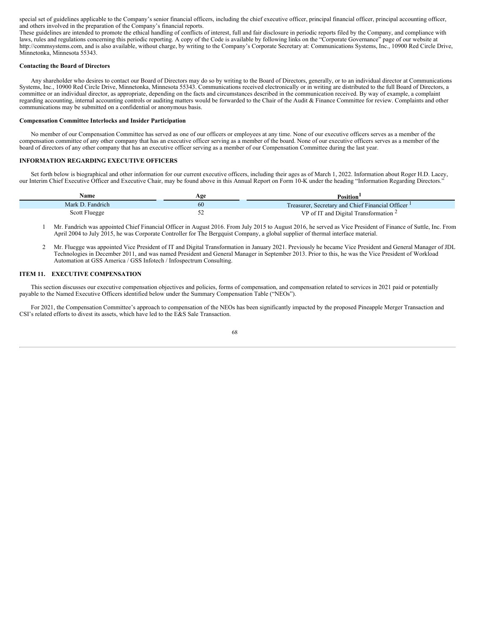special set of guidelines applicable to the Company's senior financial officers, including the chief executive officer, principal financial officer, principal accounting officer, and others involved in the preparation of the Company's financial reports.

These guidelines are intended to promote the ethical handling of conflicts of interest, full and fair disclosure in periodic reports filed by the Company, and compliance with laws, rules and regulations concerning this periodic reporting. A copy of the Code is available by following links on the "Corporate Governance" page of our website at http://commsystems.com, and is also available, without charge, by writing to the Company's Corporate Secretary at: Communications Systems, Inc., 10900 Red Circle Drive, Minnetonka, Minnesota 55343.

### **Contacting the Board of Directors**

Any shareholder who desires to contact our Board of Directors may do so by writing to the Board of Directors, generally, or to an individual director at Communications Systems, Inc., 10900 Red Circle Drive, Minnetonka, Minnesota 55343. Communications received electronically or in writing are distributed to the full Board of Directors, a committee or an individual director, as appropriate, depending on the facts and circumstances described in the communication received. By way of example, a complaint regarding accounting, internal accounting controls or auditing matters would be forwarded to the Chair of the Audit & Finance Committee for review. Complaints and other communications may be submitted on a confidential or anonymous basis.

#### **Compensation Committee Interlocks and Insider Participation**

No member of our Compensation Committee has served as one of our officers or employees at any time. None of our executive officers serves as a member of the compensation committee of any other company that has an executive officer serving as a member of the board. None of our executive officers serves as a member of the board of directors of any other company that has an executive officer serving as a member of our Compensation Committee during the last year.

## **INFORMATION REGARDING EXECUTIVE OFFICERS**

Set forth below is biographical and other information for our current executive officers, including their ages as of March 1, 2022. Information about Roger H.D. Lacey, our Interim Chief Executive Officer and Executive Chair, may be found above in this Annual Report on Form 10-K under the heading "Information Regarding Directors."

| Name             | Age | Position <sup>1</sup>                             |  |  |  |  |
|------------------|-----|---------------------------------------------------|--|--|--|--|
| Mark D. Fandrich | 60  | Treasurer, Secretary and Chief Financial Officer  |  |  |  |  |
| Scott Fluegge    | ◡   | VP of IT and Digital Transformation $\frac{2}{3}$ |  |  |  |  |

- 1 Mr. Fandrich was appointed Chief Financial Officer in August 2016. From July 2015 to August 2016, he served as Vice President of Finance of Suttle, Inc. From April 2004 to July 2015, he was Corporate Controller for The Bergquist Company, a global supplier of thermal interface material.
- 2 Mr. Fluegge was appointed Vice President of IT and Digital Transformation in January 2021. Previously he became Vice President and General Manager of JDL Technologies in December 2011, and was named President and General Manager in September 2013. Prior to this, he was the Vice President of Workload Automation at GSS America / GSS Infotech / Infospectrum Consulting.

### **ITEM 11. EXECUTIVE COMPENSATION**

This section discusses our executive compensation objectives and policies, forms of compensation, and compensation related to services in 2021 paid or potentially payable to the Named Executive Officers identified below under the Summary Compensation Table ("NEOs").

For 2021, the Compensation Committee's approach to compensation of the NEOs has been significantly impacted by the proposed Pineapple Merger Transaction and CSI's related efforts to divest its assets, which have led to the E&S Sale Transaction.

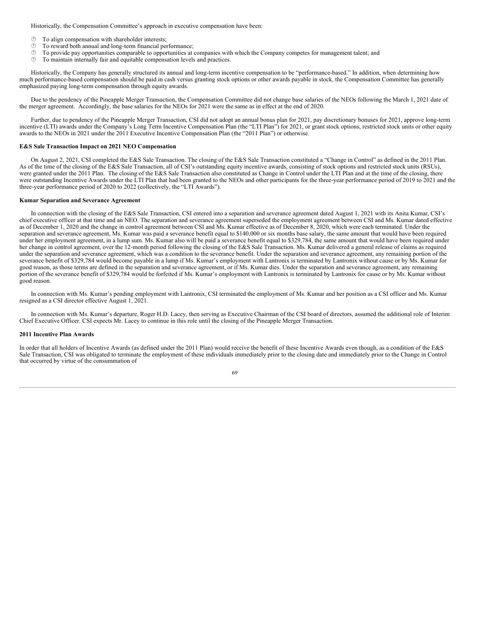Historically, the Compensation Committee's approach in executive compensation have been:

- $\circled{r}$  To align compensation with shareholder interests;<br> $\circled{r}$  To reward both annual and long-term financial net
- $\circled{?}$  To reward both annual and long-term financial performance;<br> $\circled{>}$  To provide pay opportunities comparable to opportunities at
- $\circled{?}$  To provide pay opportunities comparable to opportunities at companies with which the Company competes for management talent; and  $\circled{>}$  To maintain internally fair and equitable compensation levels and practices
- · To maintain internally fair and equitable compensation levels and practices.

Historically, the Company has generally structured its annual and long-term incentive compensation to be "performance-based." In addition, when determining how much performance-based compensation should be paid in cash versus granting stock options or other awards payable in stock, the Compensation Committee has generally emphasized paying long-term compensation through equity awards.

Due to the pendency of the Pineapple Merger Transaction, the Compensation Committee did not change base salaries of the NEOs following the March 1, 2021 date of the merger agreement. Accordingly, the base salaries for the NEOs for 2021 were the same as in effect at the end of 2020.

Further, due to pendency of the Pineapple Merger Transaction, CSI did not adopt an annual bonus plan for 2021, pay discretionary bonuses for 2021, approve long-term incentive (LTI) awards under the Company's Long Term Incentive Compensation Plan (the "LTI Plan") for 2021, or grant stock options, restricted stock units or other equity awards to the NEOs in 2021 under the 2011 Executive Incentive Compensation Plan (the "2011 Plan") or otherwise.

#### **E&S Sale Transaction Impact on 2021 NEO Compensation**

On August 2, 2021, CSI completed the E&S Sale Transaction. The closing of the E&S Sale Transaction constituted a "Change in Control" as defined in the 2011 Plan. As of the time of the closing of the E&S Sale Transaction, all of CSI's outstanding equity incentive awards, consisting of stock options and restricted stock units (RSUs), were granted under the 2011 Plan. The closing of the E&S Sale Transaction also constituted as Change in Control under the LTI Plan and at the time of the closing, there were outstanding Incentive Awards under the LTI Plan that had been granted to the NEOs and other participants for the three-year performance period of 2019 to 2021 and the three-year performance period of 2020 to 2022 (collectively, the "LTI Awards").

## **Kumar Separation and Severance Agreement**

In connection with the closing of the E&S Sale Transaction, CSI entered into a separation and severance agreement dated August 1, 2021 with its Anita Kumar, CSI's chief executive officer at that time and an NEO. The separation and severance agreement superseded the employment agreement between CSI and Ms. Kumar dated effective as of December 1, 2020 and the change in control agreement between CSI and Ms. Kumar effective as of December 8, 2020, which were each terminated. Under the separation and severance agreement, Ms. Kumar was paid a severance benefit equal to \$140,000 or six months base salary, the same amount that would have been required under her employment agreement, in a lump sum. Ms. Kumar also will be paid a severance benefit equal to \$329,784, the same amount that would have been required under her change in control agreement, over the 12-month period following the closing of the E&S Sale Transaction. Ms. Kumar delivered a general release of claims as required under the separation and severance agreement, which was a condition to the severance benefit. Under the separation and severance agreement, any remaining portion of the severance benefit of \$329,784 would become payable in a lump if Ms. Kumar's employment with Lantronix is terminated by Lantronix without cause or by Ms. Kumar for good reason, as those terms are defined in the separation and severance agreement, or if Ms. Kumar dies. Under the separation and severance agreement, any remaining portion of the severance benefit of \$329,784 would be forfeited if Ms. Kumar's employment with Lantronix is terminated by Lantronix for cause or by Ms. Kumar without good reason.

In connection with Ms. Kumar's pending employment with Lantronix, CSI terminated the employment of Ms. Kumar and her position as a CSI officer and Ms. Kumar resigned as a CSI director effective August 1, 2021.

In connection with Ms. Kumar's departure, Roger H.D. Lacey, then serving as Executive Chairman of the CSI board of directors, assumed the additional role of Interim Chief Executive Officer. CSI expects Mr. Lacey to continue in this role until the closing of the Pineapple Merger Transaction.

#### **2011 Incentive Plan Awards**

In order that all holders of Incentive Awards (as defined under the 2011 Plan) would receive the benefit of these Incentive Awards even though, as a condition of the E&S Sale Transaction, CSI was obligated to terminate the employment of these individuals immediately prior to the closing date and immediately prior to the Change in Control that occurred by virtue of the consummation of

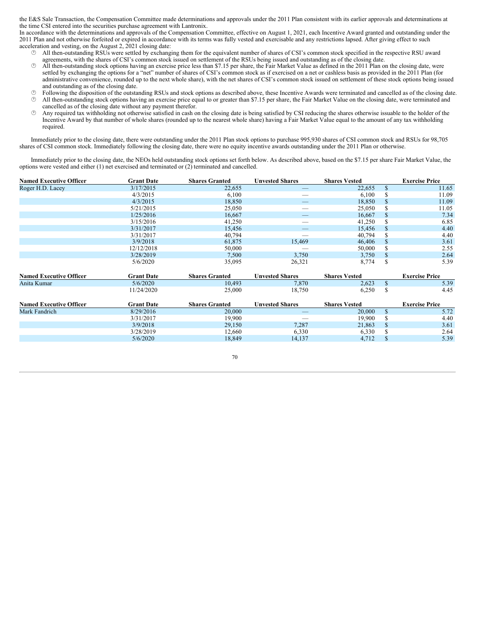the E&S Sale Transaction, the Compensation Committee made determinations and approvals under the 2011 Plan consistent with its earlier approvals and determinations at the time CSI entered into the securities purchase agreement with Lantronix.

In accordance with the determinations and approvals of the Compensation Committee, effective on August 1, 2021, each Incentive Award granted and outstanding under the 2011 Plan and not otherwise forfeited or expired in accordance with its terms was fully vested and exercisable and any restrictions lapsed. After giving effect to such acceleration and vesting, on the August 2, 2021 closing date:

- · All then-outstanding RSUs were settled by exchanging them for the equivalent number of shares of CSI's common stock specified in the respective RSU award agreements, with the shares of CSI's common stock issued on settlement of the RSUs being issued and outstanding as of the closing date.
- · All then-outstanding stock options having an exercise price less than \$7.15 per share, the Fair Market Value as defined in the 2011 Plan on the closing date, were settled by exchanging the options for a "net" number of shares of CSI's common stock as if exercised on a net or cashless basis as provided in the 2011 Plan (for administrative convenience, rounded up to the next whole share), with the net shares of CSI's common stock issued on settlement of these stock options being issued and outstanding as of the closing date.
- $\degree$  Following the disposition of the outstanding RSUs and stock options as described above, these Incentive Awards were terminated and cancelled as of the closing date.<br> $\degree$  All then outstanding stock options having an e
- All then-outstanding stock options having an exercise price equal to or greater than \$7.15 per share, the Fair Market Value on the closing date, were terminated and cancelled as of the closing date without any payment therefor.
- · Any required tax withholding not otherwise satisfied in cash on the closing date is being satisfied by CSI reducing the shares otherwise issuable to the holder of the Incentive Award by that number of whole shares (rounded up to the nearest whole share) having a Fair Market Value equal to the amount of any tax withholding required.

Immediately prior to the closing date, there were outstanding under the 2011 Plan stock options to purchase 995,930 shares of CSI common stock and RSUs for 98,705 shares of CSI common stock. Immediately following the closing date, there were no equity incentive awards outstanding under the 2011 Plan or otherwise.

Immediately prior to the closing date, the NEOs held outstanding stock options set forth below. As described above, based on the \$7.15 per share Fair Market Value, the options were vested and either (1) net exercised and terminated or (2) terminated and cancelled.

| <b>Named Executive Officer</b> | <b>Grant Date</b> | <b>Shares Granted</b> | <b>Unvested Shares</b> | <b>Shares Vested</b> |    | <b>Exercise Price</b> |
|--------------------------------|-------------------|-----------------------|------------------------|----------------------|----|-----------------------|
| Roger H.D. Lacey               | 3/17/2015         | 22,655                | _                      | 22,655               |    | 11.65                 |
|                                | 4/3/2015          | 6,100                 | _                      | 6,100                |    | 11.09                 |
|                                | 4/3/2015          | 18,850                |                        | 18,850               |    | 11.09                 |
|                                | 5/21/2015         | 25,050                | _                      | 25,050               |    | 11.05                 |
|                                | 1/25/2016         | 16.667                | _                      | 16.667               |    | 7.34                  |
|                                | 3/15/2016         | 41,250                | _                      | 41,250               |    | 6.85                  |
|                                | 3/31/2017         | 15,456                | __                     | 15,456               |    | 4.40                  |
|                                | 3/31/2017         | 40.794                |                        | 40.794               |    | 4.40                  |
|                                | 3/9/2018          | 61.875                | 15.469                 | 46,406               |    | 3.61                  |
|                                | 12/12/2018        | 50,000                | __                     | 50,000               |    | 2.55                  |
|                                | 3/28/2019         | 7.500                 | 3.750                  | 3.750                | a. | 2.64                  |
|                                | 5/6/2020          | 35,095                | 26,321                 | 8,774                |    | 5.39                  |

| <b>Named Executive Officer</b> | <b>Grant Date</b> | <b>Shares Granted</b> | <b>Unvested Shares</b> | <b>Shares Vested</b> | Exercise Price |
|--------------------------------|-------------------|-----------------------|------------------------|----------------------|----------------|
| Anita Kumar                    | 5/6/2020          | 10,493                | 7.870                  | 2,623                | 5.39           |
|                                | 1/24/2020         | 25,000                | 18,750                 | 0.250                | 4.45           |

| <b>Named Executive Officer</b> | <b>Grant Date</b> | <b>Shares Granted</b> | <b>Unvested Shares</b>   | <b>Shares Vested</b> | <b>Exercise Price</b> |
|--------------------------------|-------------------|-----------------------|--------------------------|----------------------|-----------------------|
| Mark Fandrich                  | 8/29/2016         | 20.000                | $\overline{\phantom{a}}$ | 20,000               | 5.72                  |
|                                | 3/31/2017         | 19.900                | $\overline{\phantom{a}}$ | 19.900               | 4.40                  |
|                                | 3/9/2018          | 29.150                | 7.287                    | 21,863               | 3.61                  |
|                                | 3/28/2019         | 12.660                | 6,330                    | 6.330                | 2.64                  |
|                                | 5/6/2020          | 18.849                | 14.137                   | 4,712                | 5.39                  |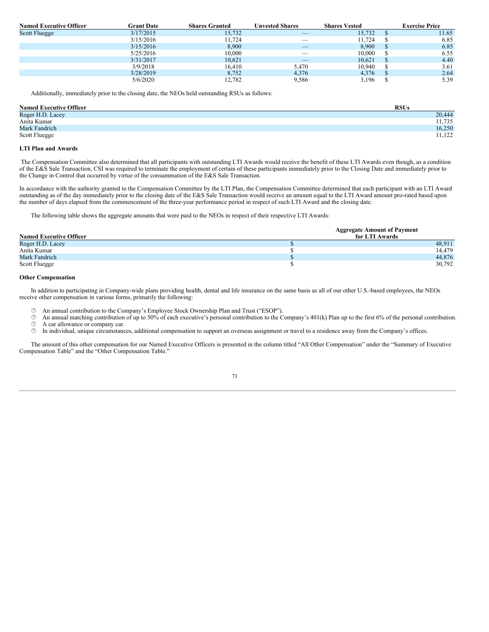| <b>Named Executive Officer</b> | <b>Grant Date</b> | <b>Shares Granted</b> | <b>Unvested Shares</b>   | <b>Shares Vested</b> | <b>Exercise Price</b> |
|--------------------------------|-------------------|-----------------------|--------------------------|----------------------|-----------------------|
| Scott Fluegge                  | 3/17/2015         | 15.732                |                          | 15.732               | 11.65                 |
|                                | 3/15/2016         | 11.724                | $\overline{\phantom{a}}$ | 11.724               | 6.85                  |
|                                | 3/15/2016         | 8,900                 | $-$                      | 8.900                | 6.85                  |
|                                | 5/25/2016         | 10.000                |                          | 10.000               | 6.55                  |
|                                | 3/31/2017         | 10.621                | $\overline{\phantom{a}}$ | 10.621               | 4.40                  |
|                                | 3/9/2018          | 16.410                | 5.470                    | 10.940               | 3.61                  |
|                                | 3/28/2019         | 8.752                 | 4.376                    | 4.376                | 2.64                  |
|                                | 5/6/2020          | 12.782                | 9.586                    | 3,196                | 5.39                  |

Additionally, immediately prior to the closing date, the NEOs held outstanding RSUs as follows:

| <b>Named Executive Officer</b> | <b>RSUs</b> |
|--------------------------------|-------------|
| Roger H.D. Lacey               | 20,444      |
| Anita Kumar                    | 11,735      |
| Mark Fandrich                  | 16,250      |
| Scott Fluegge                  | 11,122      |

## **LTI Plan and Awards**

The Compensation Committee also determined that all participants with outstanding LTI Awards would receive the benefit of these LTI Awards even though, as a condition of the E&S Sale Transaction, CSI was required to terminate the employment of certain of these participants immediately prior to the Closing Date and immediately prior to the Change in Control that occurred by virtue of the consummation of the E&S Sale Transaction.

In accordance with the authority granted to the Compensation Committee by the LTI Plan, the Compensation Committee determined that each participant with an LTI Award outstanding as of the day immediately prior to the closing date of the E&S Sale Transaction would receive an amount equal to the LTI Award amount pro-rated based upon the number of days elapsed from the commencement of the three-year performance period in respect of such LTI Award and the closing date.

The following table shows the aggregate amounts that were paid to the NEOs in respect of their respective LTI Awards:

|                                | <b>Aggregate Amount of Payment</b> |                |  |  |
|--------------------------------|------------------------------------|----------------|--|--|
| <b>Named Executive Officer</b> |                                    | for LTI Awards |  |  |
| Roger H.D. Lacey               |                                    | 48.911         |  |  |
| Anita Kumar                    |                                    | 14.479         |  |  |
| Mark Fandrich                  |                                    | 44,876         |  |  |
| Scott Fluegge                  |                                    | 30,792         |  |  |

## **Other Compensation**

In addition to participating in Company-wide plans providing health, dental and life insurance on the same basis as all of our other U.S.-based employees, the NEOs receive other compensation in various forms, primarily the following:

 $\circled{?}$  An annual contribution to the Company's Employee Stock Ownership Plan and Trust ("ESOP").<br> $\circled{?}$  An annual matching contribution of up to 50% of each executive's personal contribution to the C

 $\circled{b}$  An annual matching contribution of up to 50% of each executive's personal contribution to the Company's 401(k) Plan up to the first 6% of the personal contribution.

 $\circled{r}$  A car allowance or company car.<br> $\circled{r}$  In individual unique circumstance

In individual, unique circumstances, additional compensation to support an overseas assignment or travel to a residence away from the Company's offices.

The amount of this other compensation for our Named Executive Officers is presented in the column titled "All Other Compensation" under the "Summary of Executive Compensation Table" and the "Other Compensation Table."

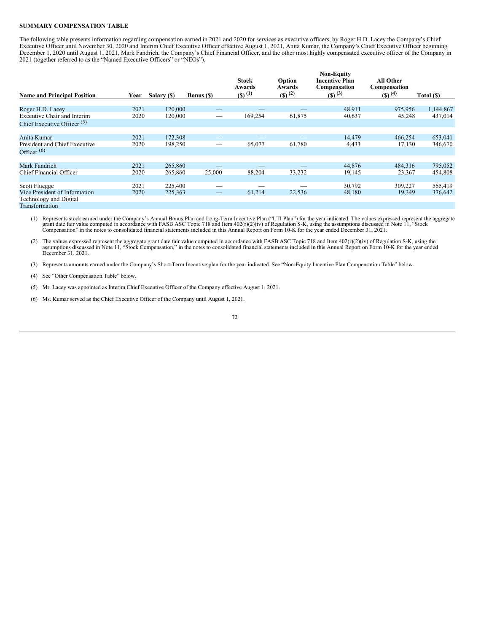## **SUMMARY COMPENSATION TABLE**

The following table presents information regarding compensation earned in 2021 and 2020 for services as executive officers, by Roger H.D. Lacey the Company's Chief Executive Officer until November 30, 2020 and Interim Chief Executive Officer effective August 1, 2021, Anita Kumar, the Company's Chief Executive Officer beginning December 1, 2020 until August 1, 2021, Mark Fandrich, the Company's Chief Financial Officer, and the other most highly compensated executive officer of the Company in 2021 (together referred to as the "Named Executive Officers" or "NEOs").

| <b>Name and Principal Position</b>                  | Year | Salary (\$) | <b>Bonus</b> (\$) | <b>Stock</b><br>Awards<br>$(5)$ <sup>(1)</sup> | Option<br>Awards<br>$(5)^{(2)}$ | <b>Non-Equity</b><br><b>Incentive Plan</b><br>Compensation<br>$(5)^{(3)}$ | All Other<br>Compensation<br>$(5)$ <sup>(4)</sup> | Total (\$) |
|-----------------------------------------------------|------|-------------|-------------------|------------------------------------------------|---------------------------------|---------------------------------------------------------------------------|---------------------------------------------------|------------|
|                                                     |      |             |                   |                                                |                                 |                                                                           |                                                   |            |
| Roger H.D. Lacey                                    | 2021 | 120,000     |                   |                                                |                                 | 48.911                                                                    | 975.956                                           | 1,144,867  |
| <b>Executive Chair and Interim</b>                  | 2020 | 120,000     |                   | 169,254                                        | 61,875                          | 40,637                                                                    | 45,248                                            | 437,014    |
| Chief Executive Officer <sup><math>(5)</math></sup> |      |             |                   |                                                |                                 |                                                                           |                                                   |            |
| Anita Kumar                                         | 2021 | 172,308     |                   |                                                |                                 | 14,479                                                                    | 466,254                                           | 653,041    |
| President and Chief Executive                       | 2020 | 198,250     |                   | 65,077                                         | 61,780                          | 4,433                                                                     | 17,130                                            | 346,670    |
| Officer $(6)$                                       |      |             |                   |                                                |                                 |                                                                           |                                                   |            |
|                                                     |      |             |                   |                                                |                                 |                                                                           |                                                   |            |
| Mark Fandrich                                       | 2021 | 265,860     |                   |                                                |                                 | 44,876                                                                    | 484,316                                           | 795,052    |
| Chief Financial Officer                             | 2020 | 265,860     | 25,000            | 88,204                                         | 33,232                          | 19,145                                                                    | 23,367                                            | 454,808    |
|                                                     |      |             |                   |                                                |                                 |                                                                           |                                                   |            |
| Scott Fluegge                                       | 2021 | 225,400     | _                 |                                                |                                 | 30,792                                                                    | 309.227                                           | 565,419    |
| Vice President of Information                       | 2020 | 225,363     |                   | 61,214                                         | 22,536                          | 48,180                                                                    | 19,349                                            | 376,642    |
| <b>Technology and Digital</b>                       |      |             |                   |                                                |                                 |                                                                           |                                                   |            |
| Transformation                                      |      |             |                   |                                                |                                 |                                                                           |                                                   |            |

(1) Represents stock earned under the Company's Annual Bonus Plan and Long-Term Incentive Plan ("LTI Plan") for the year indicated. The values expressed represent the aggregate grant date fair value computed in accordance with FASB ASC Topic 718 and Item 402(r)(2)(iv) of Regulation S-K, using the assumptions discussed in Note 11, "Stock<br>Compensation" in the notes to consolidated financial stateme

(2) The values expressed represent the aggregate grant date fair value computed in accordance with FASB ASC Topic 718 and Item  $402(r)(2)(iv)$  of Regulation S-K, using the assumptions discussed in Note 11, "Stock Compensation December 31, 2021.

(3) Represents amounts earned under the Company's Short-Term Incentive plan for the year indicated. See "Non-Equity Incentive Plan Compensation Table" below.

(4) See "Other Compensation Table" below.

(5) Mr. Lacey was appointed as Interim Chief Executive Officer of the Company effective August 1, 2021.

(6) Ms. Kumar served as the Chief Executive Officer of the Company until August 1, 2021.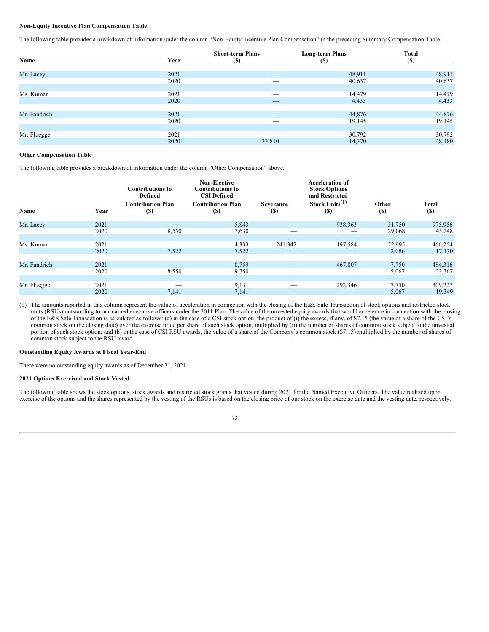# **Non-Equity Incentive Plan Compensation Table**

The following table provides a breakdown of information under the column "Non-Equity Incentive Plan Compensation" in the preceding Summary Compensation Table.

| Name         | Year | <b>Short-term Plans</b> | <b>Long-term Plans</b> | <b>Total</b><br><b>(S)</b> |
|--------------|------|-------------------------|------------------------|----------------------------|
|              |      | <b>(S)</b>              | (S)                    |                            |
| Mr. Lacey    | 2021 | _                       | 48,911                 | 48,911                     |
|              | 2020 |                         | 40,637                 | 40,637                     |
|              |      |                         |                        |                            |
| Ms. Kumar    | 2021 | _                       | 14,479                 | 14,479                     |
|              | 2020 |                         | 4,433                  | 4,433                      |
|              |      |                         |                        |                            |
| Mr. Fandrich | 2021 | $-$                     | 44,876                 | 44,876                     |
|              | 2020 |                         | 19,145                 | 19,145                     |
|              |      |                         |                        |                            |
| Mr. Fluegge  | 2021 | _                       | 30,792                 | 30,792                     |
|              | 2020 | 33,810                  | 14,370                 | 48,180                     |

### **Other Compensation Table**

The following table provides a breakdown of information under the column "Other Compensation" above.

| Name         | Year | <b>Contributions to</b><br><b>Defined</b><br><b>Contribution Plan</b><br>(S) | <b>Non-Elective</b><br><b>Contributions to</b><br><b>CSI Defined</b><br><b>Contribution Plan</b><br><b>(S)</b> | <b>Severance</b><br>(S) | <b>Acceleration of</b><br><b>Stock Options</b><br>and Restricted<br>Stock Units <sup>(1)</sup><br><b>(\$)</b> | Other<br><b>(S)</b> | <b>Total</b><br><b>(S)</b> |
|--------------|------|------------------------------------------------------------------------------|----------------------------------------------------------------------------------------------------------------|-------------------------|---------------------------------------------------------------------------------------------------------------|---------------------|----------------------------|
|              |      |                                                                              |                                                                                                                |                         |                                                                                                               |                     |                            |
| Mr. Lacey    | 2021 | _                                                                            | 5,843                                                                                                          |                         | 938,363                                                                                                       | 31,750              | 975,956                    |
|              | 2020 | 8,550                                                                        | 7,630                                                                                                          | _                       | __                                                                                                            | 29,068              | 45,248                     |
|              |      |                                                                              |                                                                                                                |                         |                                                                                                               |                     |                            |
| Ms. Kumar    | 2021 | _                                                                            | 4,333                                                                                                          | 241,342                 | 197,584                                                                                                       | 22,995              | 466,254                    |
|              | 2020 | 7,522                                                                        | 7,522                                                                                                          |                         | _                                                                                                             | 2,086               | 17,130                     |
|              |      |                                                                              |                                                                                                                |                         |                                                                                                               |                     |                            |
| Mr. Fandrich | 2021 | _                                                                            | 8,759                                                                                                          |                         | 467,807                                                                                                       | 7,750               | 484,316                    |
|              | 2020 | 8,550                                                                        | 9,750                                                                                                          | _                       |                                                                                                               | 5,067               | 23,367                     |
|              |      |                                                                              |                                                                                                                |                         |                                                                                                               |                     |                            |
| Mr. Fluegge  | 2021 | -                                                                            | 9,131                                                                                                          | _                       | 292,346                                                                                                       | 7,750               | 309,227                    |
|              | 2020 | 7,141                                                                        | 7,141                                                                                                          |                         |                                                                                                               | 5,067               | 19,349                     |

(1) The amounts reported in this column represent the value of acceleration in connection with the closing of the E&S Sale Transaction of stock options and restricted stock units (RSUs) outstanding to our named executive officers under the 2011 Plan. The value of the unvested equity awards that would accelerate in connection with the closing of the E&S Sale Transaction is calculated as follows: (a) in the case of a CSI stock option, the product of (i) the excess, if any, of \$7.15 (the value of a share of the CSI's common stock on the closing date) over the exercise price per share of such stock option, multiplied by (ii) the number of shares of common stock subject to the unvested portion of such stock option; and (b) in the case of CSI RSU awards, the value of a share of the Company's common stock (\$7.15) multiplied by the number of shares of common stock subject to the RSU award.

### **Outstanding Equity Awards at Fiscal Year-End**

There were no outstanding equity awards as of December 31, 2021.

#### **2021 Options Exercised and Stock Vested**

The following table shows the stock options, stock awards and restricted stock grants that vested during 2021 for the Named Executive Officers. The value realized upon exercise of the options and the shares represented by the vesting of the RSUs is based on the closing price of our stock on the exercise date and the vesting date, respectively.

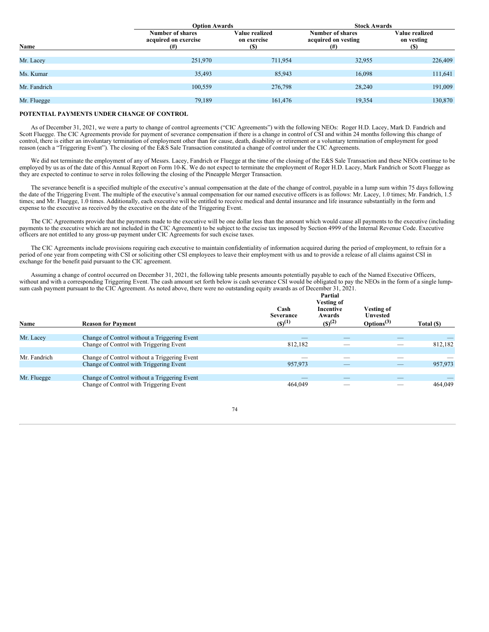|              | <b>Option Awards</b>                                    |                                      | <b>Stock Awards</b>                                        |                                     |  |
|--------------|---------------------------------------------------------|--------------------------------------|------------------------------------------------------------|-------------------------------------|--|
| Name         | <b>Number of shares</b><br>acquired on exercise<br>(# ) | Value realized<br>on exercise<br>(S) | <b>Number of shares</b><br>acquired on vesting<br>$^{(#)}$ | Value realized<br>on vesting<br>(S) |  |
|              |                                                         |                                      |                                                            |                                     |  |
| Mr. Lacey    | 251,970                                                 | 711,954                              | 32,955                                                     | 226,409                             |  |
| Ms. Kumar    | 35,493                                                  | 85,943                               | 16,098                                                     | 111,641                             |  |
| Mr. Fandrich | 100,559                                                 | 276,798                              | 28,240                                                     | 191,009                             |  |
| Mr. Fluegge  | 79,189                                                  | 161,476                              | 19,354                                                     | 130,870                             |  |

# **POTENTIAL PAYMENTS UNDER CHANGE OF CONTROL**

As of December 31, 2021, we were a party to change of control agreements ("CIC Agreements") with the following NEOs: Roger H.D. Lacey, Mark D. Fandrich and Scott Fluegge. The CIC Agreements provide for payment of severance compensation if there is a change in control of CSI and within 24 months following this change of control, there is either an involuntary termination of employment other than for cause, death, disability or retirement or a voluntary termination of employment for good reason (each a "Triggering Event"). The closing of the E&S Sale Transaction constituted a change of control under the CIC Agreements.

We did not terminate the employment of any of Messrs. Lacey, Fandrich or Fluegge at the time of the closing of the E&S Sale Transaction and these NEOs continue to be employed by us as of the date of this Annual Report on Form 10-K. We do not expect to terminate the employment of Roger H.D. Lacey, Mark Fandrich or Scott Fluegge as they are expected to continue to serve in roles following the closing of the Pineapple Merger Transaction.

The severance benefit is a specified multiple of the executive's annual compensation at the date of the change of control, payable in a lump sum within 75 days following the date of the Triggering Event. The multiple of the executive's annual compensation for our named executive officers is as follows: Mr. Lacey, 1.0 times; Mr. Fandrich, 1.5 times; and Mr. Fluegge, 1.0 times. Additionally, each executive will be entitled to receive medical and dental insurance and life insurance substantially in the form and expense to the executive as received by the executive on the date of the Triggering Event.

The CIC Agreements provide that the payments made to the executive will be one dollar less than the amount which would cause all payments to the executive (including payments to the executive which are not included in the CIC Agreement) to be subject to the excise tax imposed by Section 4999 of the Internal Revenue Code. Executive officers are not entitled to any gross-up payment under CIC Agreements for such excise taxes.

The CIC Agreements include provisions requiring each executive to maintain confidentiality of information acquired during the period of employment, to refrain for a period of one year from competing with CSI or soliciting other CSI employees to leave their employment with us and to provide a release of all claims against CSI in exchange for the benefit paid pursuant to the CIC agreement.

Assuming a change of control occurred on December 31, 2021, the following table presents amounts potentially payable to each of the Named Executive Officers, without and with a corresponding Triggering Event. The cash amount set forth below is cash severance CSI would be obligated to pay the NEOs in the form of a single lumpsum cash payment pursuant to the CIC Agreement. As noted above, there were no outstanding equity awards as of December 31, 2021.

| Name         | <b>Reason for Payment</b>                    | Cash<br><b>Severance</b><br>$(S)^{(1)}$ | Partial<br><b>Vesting of</b><br>Incentive<br>Awards<br>$(S)^{(2)}$ | <b>Vesting of</b><br><b>Unvested</b><br>Options <sup>(3)</sup> | Total (\$) |
|--------------|----------------------------------------------|-----------------------------------------|--------------------------------------------------------------------|----------------------------------------------------------------|------------|
|              |                                              |                                         |                                                                    |                                                                |            |
| Mr. Lacey    | Change of Control without a Triggering Event |                                         |                                                                    |                                                                |            |
|              | Change of Control with Triggering Event      | 812,182                                 | $\overline{\phantom{a}}$                                           | _                                                              | 812,182    |
|              |                                              |                                         |                                                                    |                                                                |            |
| Mr. Fandrich | Change of Control without a Triggering Event |                                         | _                                                                  | $\overline{\phantom{a}}$                                       |            |
|              | Change of Control with Triggering Event      | 957,973                                 | $-$                                                                | $-$                                                            | 957,973    |
|              |                                              |                                         |                                                                    |                                                                |            |
| Mr. Fluegge  | Change of Control without a Triggering Event |                                         |                                                                    | _                                                              |            |
|              | Change of Control with Triggering Event      | 464,049                                 | _                                                                  |                                                                | 464,049    |

74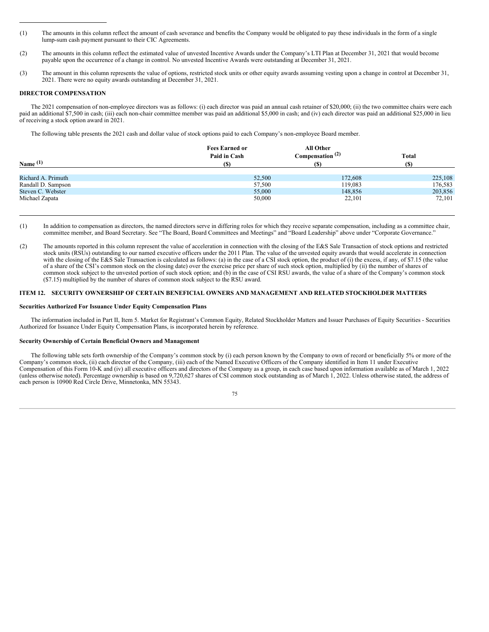- (1) The amounts in this column reflect the amount of cash severance and benefits the Company would be obligated to pay these individuals in the form of a single lump-sum cash payment pursuant to their CIC Agreements.
- (2) The amounts in this column reflect the estimated value of unvested Incentive Awards under the Company's LTI Plan at December 31, 2021 that would become payable upon the occurrence of a change in control. No unvested Incentive Awards were outstanding at December 31, 2021.
- (3) The amount in this column represents the value of options, restricted stock units or other equity awards assuming vesting upon a change in control at December 31, 2021. There were no equity awards outstanding at December 31, 2021.

#### **DIRECTOR COMPENSATION**

The 2021 compensation of non-employee directors was as follows: (i) each director was paid an annual cash retainer of \$20,000; (ii) the two committee chairs were each paid an additional \$7,500 in cash; (iii) each non-chair committee member was paid an additional \$5,000 in cash; and (iv) each director was paid an additional \$25,000 in lieu of receiving a stock option award in 2021.

The following table presents the 2021 cash and dollar value of stock options paid to each Company's non-employee Board member.

|                    | <b>Fees Earned or</b> | All Other          |              |
|--------------------|-----------------------|--------------------|--------------|
|                    | Paid in Cash          | Compensation $(2)$ | <b>Total</b> |
| Name $(1)$         | (S)                   |                    |              |
|                    |                       |                    |              |
| Richard A. Primuth | 52,500                | 172,608            | 225,108      |
| Randall D. Sampson | 57,500                | 119,083            | 176,583      |
| Steven C. Webster  | 55,000                | 148,856            | 203,856      |
| Michael Zapata     | 50,000                | 22,101             | 72,101       |

- (1) In addition to compensation as directors, the named directors serve in differing roles for which they receive separate compensation, including as a committee chair, committee member, and Board Secretary. See "The Board, Board Committees and Meetings" and "Board Leadership" above under "Corporate Governance."
- (2) The amounts reported in this column represent the value of acceleration in connection with the closing of the E&S Sale Transaction of stock options and restricted stock units (RSUs) outstanding to our named executive officers under the 2011 Plan. The value of the unvested equity awards that would accelerate in connection with the closing of the E&S Sale Transaction is calculated as follows: (a) in the case of a CSI stock option, the product of (i) the excess, if any, of \$7.15 (the value of a share of the CSI's common stock on the closing date) over the exercise price per share of such stock option, multiplied by (ii) the number of shares of common stock subject to the unvested portion of such stock option; and (b) in the case of CSI RSU awards, the value of a share of the Company's common stock (\$7.15) multiplied by the number of shares of common stock subject to the RSU award.

# **ITEM 12. SECURITY OWNERSHIP OF CERTAIN BENEFICIAL OWNERS AND MANAGEMENT AND RELATED STOCKHOLDER MATTERS**

#### **Securities Authorized For Issuance Under Equity Compensation Plans**

The information included in Part II, Item 5. Market for Registrant's Common Equity, Related Stockholder Matters and Issuer Purchases of Equity Securities - Securities Authorized for Issuance Under Equity Compensation Plans, is incorporated herein by reference.

### **Security Ownership of Certain Beneficial Owners and Management**

The following table sets forth ownership of the Company's common stock by (i) each person known by the Company to own of record or beneficially 5% or more of the Company's common stock, (ii) each director of the Company, (iii) each of the Named Executive Officers of the Company identified in Item 11 under Executive Compensation of this Form 10-K and (iv) all executive officers and directors of the Company as a group, in each case based upon information available as of March 1, 2022 (unless otherwise noted). Percentage ownership is based on 9,720,627 shares of CSI common stock outstanding as of March 1, 2022. Unless otherwise stated, the address of each person is 10900 Red Circle Drive, Minnetonka, MN 55343.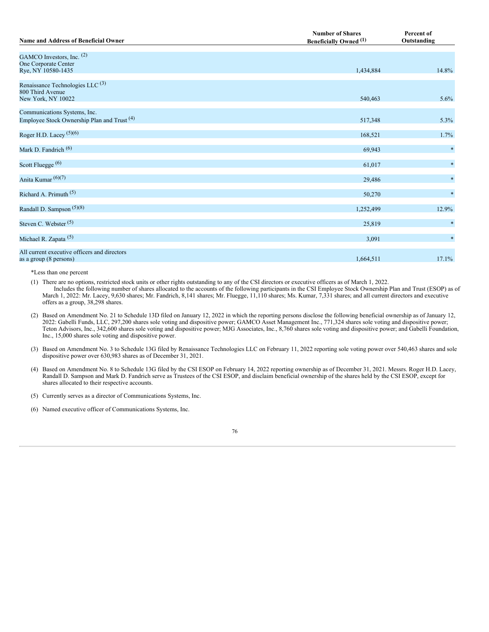| Name and Address of Beneficial Owner                                                   | <b>Number of Shares</b><br><b>Beneficially Owned</b> (1) | Percent of<br>Outstanding |
|----------------------------------------------------------------------------------------|----------------------------------------------------------|---------------------------|
| GAMCO Investors, Inc. (2)<br>One Corporate Center<br>Rye, NY 10580-1435                | 1,434,884                                                | 14.8%                     |
| Renaissance Technologies LLC $(3)$<br>800 Third Avenue<br>New York, NY 10022           | 540,463                                                  | 5.6%                      |
| Communications Systems, Inc.<br>Employee Stock Ownership Plan and Trust <sup>(4)</sup> | 517,348                                                  | 5.3%                      |
| Roger H.D. Lacey (5)(6)                                                                | 168,521                                                  | 1.7%                      |
| Mark D. Fandrich <sup>(6)</sup>                                                        | 69,943                                                   | $\ast$                    |
| Scott Fluegge $(6)$                                                                    | 61,017                                                   | $\ast$                    |
| Anita Kumar <sup>(6)(7)</sup>                                                          | 29,486                                                   | $\ast$                    |
| Richard A. Primuth $(5)$                                                               | 50,270                                                   | $\ast$                    |
| Randall D. Sampson <sup>(5)(8)</sup>                                                   | 1,252,499                                                | 12.9%                     |
| Steven C. Webster <sup>(5)</sup>                                                       | 25,819                                                   | $\ast$                    |
| Michael R. Zapata <sup>(5)</sup>                                                       | 3,091                                                    | $\ast$                    |
| All current executive officers and directors<br>as a group (8 persons)                 | 1,664,511                                                | 17.1%                     |

\*Less than one percent

(1) There are no options, restricted stock units or other rights outstanding to any of the CSI directors or executive officers as of March 1, 2022. Includes the following number of shares allocated to the accounts of the following participants in the CSI Employee Stock Ownership Plan and Trust (ESOP) as of March 1, 2022: Mr. Lacey, 9,630 shares; Mr. Fandrich, 8,141 shares; Mr. Fluegge, 11,110 shares; Ms. Kumar, 7,331 shares; and all current directors and executive offers as a group, 38,298 shares.

- (2) Based on Amendment No. 21 to Schedule 13D filed on January 12, 2022 in which the reporting persons disclose the following beneficial ownership as of January 12, 2022: Gabelli Funds, LLC, 297,200 shares sole voting and dispositive power; GAMCO Asset Management Inc., 771,324 shares sole voting and dispositive power; Teton Advisors, Inc., 342,600 shares sole voting and dispositive power; MJG Associates, Inc., 8,760 shares sole voting and dispositive power; and Gabelli Foundation, Inc., 15,000 shares sole voting and dispositive power.
- (3) Based on Amendment No. 3 to Schedule 13G filed by Renaissance Technologies LLC on February 11, 2022 reporting sole voting power over 540,463 shares and sole dispositive power over 630,983 shares as of December 31, 2021.
- (4) Based on Amendment No. 8 to Schedule 13G filed by the CSI ESOP on February 14, 2022 reporting ownership as of December 31, 2021. Messrs. Roger H.D. Lacey, Randall D. Sampson and Mark D. Fandrich serve as Trustees of the CSI ESOP, and disclaim beneficial ownership of the shares held by the CSI ESOP, except for shares allocated to their respective accounts.
- (5) Currently serves as a director of Communications Systems, Inc.
- (6) Named executive officer of Communications Systems, Inc.

76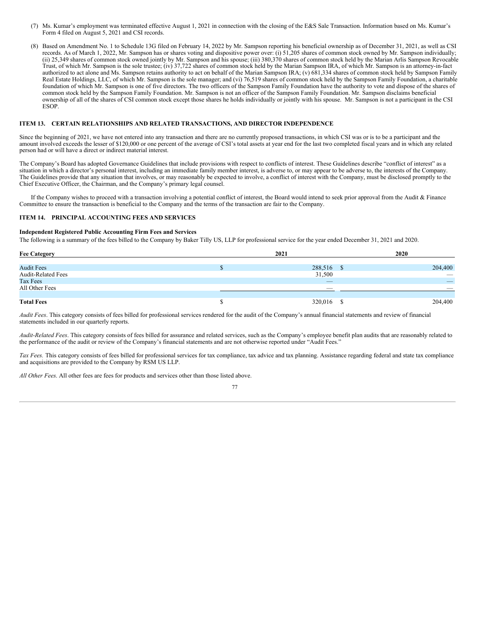- (7) Ms. Kumar's employment was terminated effective August 1, 2021 in connection with the closing of the E&S Sale Transaction. Information based on Ms. Kumar's Form 4 filed on August 5, 2021 and CSI records.
- (8) Based on Amendment No. 1 to Schedule 13G filed on February 14, 2022 by Mr. Sampson reporting his beneficial ownership as of December 31, 2021, as well as CSI records. As of March 1, 2022, Mr. Sampson has or shares voting and dispositive power over: (i) 51,205 shares of common stock owned by Mr. Sampson individually; (ii) 25,349 shares of common stock owned jointly by Mr. Sampson and his spouse; (iii) 380,370 shares of common stock held by the Marian Arlis Sampson Revocable Trust, of which Mr. Sampson is the sole trustee; (iv) 37,722 shares of common stock held by the Marian Sampson IRA, of which Mr. Sampson is an attorney-in-fact authorized to act alone and Ms. Sampson retains authority to act on behalf of the Marian Sampson IRA; (v) 681,334 shares of common stock held by Sampson Family Real Estate Holdings, LLC, of which Mr. Sampson is the sole manager; and (vi) 76,519 shares of common stock held by the Sampson Family Foundation, a charitable foundation of which Mr. Sampson is one of five directors. The two officers of the Sampson Family Foundation have the authority to vote and dispose of the shares of common stock held by the Sampson Family Foundation. Mr. Sampson is not an officer of the Sampson Family Foundation. Mr. Sampson disclaims beneficial ownership of all of the shares of CSI common stock except those shares he holds individually or jointly with his spouse. Mr. Sampson is not a participant in the CSI ESOP.

### **ITEM 13. CERTAIN RELATIONSHIPS AND RELATED TRANSACTIONS, AND DIRECTOR INDEPENDENCE**

Since the beginning of 2021, we have not entered into any transaction and there are no currently proposed transactions, in which CSI was or is to be a participant and the amount involved exceeds the lesser of \$120,000 or one percent of the average of CSI's total assets at year end for the last two completed fiscal years and in which any related person had or will have a direct or indirect material interest.

The Company's Board has adopted Governance Guidelines that include provisions with respect to conflicts of interest. These Guidelines describe "conflict of interest" as a situation in which a director's personal interest, including an immediate family member interest, is adverse to, or may appear to be adverse to, the interests of the Company. The Guidelines provide that any situation that involves, or may reasonably be expected to involve, a conflict of interest with the Company, must be disclosed promptly to the Chief Executive Officer, the Chairman, and the Company's primary legal counsel.

If the Company wishes to proceed with a transaction involving a potential conflict of interest, the Board would intend to seek prior approval from the Audit & Finance Committee to ensure the transaction is beneficial to the Company and the terms of the transaction are fair to the Company.

#### **ITEM 14. PRINCIPAL ACCOUNTING FEES AND SERVICES**

#### **Independent Registered Public Accounting Firm Fees and Services**

The following is a summary of the fees billed to the Company by Baker Tilly US, LLP for professional service for the year ended December 31, 2021 and 2020.

| <b>Fee Category</b>       | 2021                     | 2020                            |
|---------------------------|--------------------------|---------------------------------|
|                           |                          |                                 |
| <b>Audit Fees</b>         | 288,516                  | 204,400                         |
| <b>Audit-Related Fees</b> | 31,500                   | $\overbrace{\hspace{25mm}}^{}$  |
| Tax Fees                  | $\overline{\phantom{a}}$ | $\hspace{0.1mm}-\hspace{0.1mm}$ |
| All Other Fees            | -                        | _                               |
|                           |                          |                                 |
| <b>Total Fees</b>         | 320,016                  | 204,400                         |

*Audit Fees*. This category consists of fees billed for professional services rendered for the audit of the Company's annual financial statements and review of financial statements included in our quarterly reports.

*Audit-Related Fees*. This category consists of fees billed for assurance and related services, such as the Company's employee benefit plan audits that are reasonably related to the performance of the audit or review of the Company's financial statements and are not otherwise reported under "Audit Fees."

*Tax Fees.* This category consists of fees billed for professional services for tax compliance, tax advice and tax planning. Assistance regarding federal and state tax compliance and acquisitions are provided to the Company by RSM US LLP.

77

*All Other Fees*. All other fees are fees for products and services other than those listed above.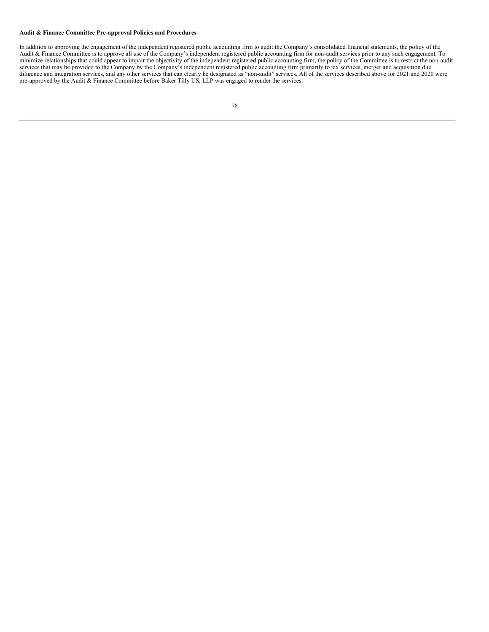### **Audit & Finance Committee Pre-approval Policies and Procedures**

In addition to approving the engagement of the independent registered public accounting firm to audit the Company's consolidated financial statements, the policy of the Audit & Finance Committee is to approve all use of the Company's independent registered public accounting firm for non-audit services prior to any such engagement. To minimize relationships that could appear to impair the objectivity of the independent registered public accounting firm, the policy of the Committee is to restrict the non-audit services that may be provided to the Company by the Company's independent registered public accounting firm primarily to tax services, merger and acquisition due diligence and integration services, and any other services that can clearly be designated as "non-audit" services. All of the services described above for 2021 and 2020 were pre-approved by the Audit & Finance Committee before Baker Tilly US, LLP was engaged to render the services.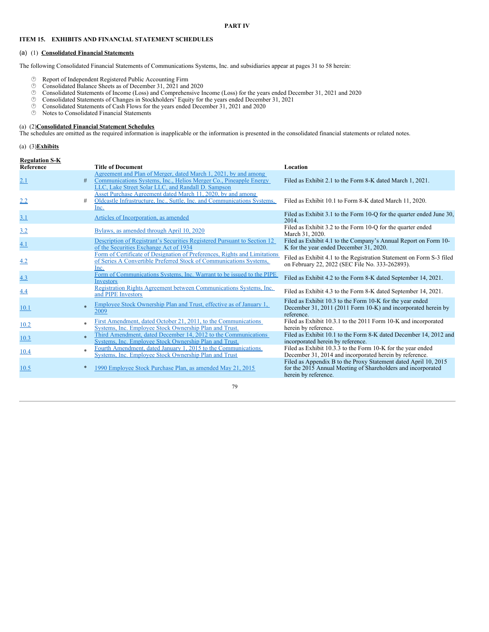# **PART IV**

# **ITEM 15. EXHIBITS AND FINANCIAL STATEMENT SCHEDULES**

# (a) (1) **Consolidated Financial Statements**

The following Consolidated Financial Statements of Communications Systems, Inc. and subsidiaries appear at pages 31 to 58 herein:

- **<sup>** $\circled{b}$ **</sup>** Report of Independent Registered Public Accounting Firm  $\circled{b}$  Consolidated Balance Sheets as of December 31, 2021 and
- $\circled{2}$  Consolidated Balance Sheets as of December 31, 2021 and 2020<br> $\circled{2}$  Consolidated Statements of Income (Loss) and Comprehensive In
- · Consolidated Statements of Income (Loss) and Comprehensive Income (Loss) for the years ended December 31, 2021 and 2020
- · Consolidated Statements of Changes in Stockholders' Equity for the years ended December 31, 2021
- · Consolidated Statements of Cash Flows for the years ended December 31, 2021 and 2020
- · Notes to Consolidated Financial Statements

#### (a) (2)**Consolidated Financial Statement Schedules**

The schedules are omitted as the required information is inapplicable or the information is presented in the consolidated financial statements or related notes.

# (a) (3)**Exhibits**

| <b>Regulation S-K</b> |         |                                                                                                                                                                                            |                                                                                                                                                         |
|-----------------------|---------|--------------------------------------------------------------------------------------------------------------------------------------------------------------------------------------------|---------------------------------------------------------------------------------------------------------------------------------------------------------|
| Reference             |         | <b>Title of Document</b>                                                                                                                                                                   | Location                                                                                                                                                |
| 2.1                   | #       | Agreement and Plan of Merger, dated March 1, 2021, by and among<br>Communications Systems, Inc., Helios Merger Co., Pineapple Energy<br>LLC, Lake Street Solar LLC, and Randall D. Sampson | Filed as Exhibit 2.1 to the Form 8-K dated March 1, 2021.                                                                                               |
| 2.2                   | #       | Asset Purchase Agreement dated March 11, 2020, by and among<br>Oldcastle Infrastructure, Inc., Suttle, Inc. and Communications Systems,<br>Inc.                                            | Filed as Exhibit 10.1 to Form 8-K dated March 11, 2020.                                                                                                 |
| 3.1                   |         | Articles of Incorporation, as amended                                                                                                                                                      | Filed as Exhibit 3.1 to the Form 10-Q for the quarter ended June 30,<br>2014.                                                                           |
| 3.2                   |         | Bylaws, as amended through April 10, 2020                                                                                                                                                  | Filed as Exhibit 3.2 to the Form 10-Q for the quarter ended<br>March 31, 2020.                                                                          |
| 4.1                   |         | Description of Registrant's Securities Registered Pursuant to Section 12<br>of the Securities Exchange Act of 1934                                                                         | Filed as Exhibit 4.1 to the Company's Annual Report on Form 10-<br>K for the year ended December 31, 2020.                                              |
| 4.2                   |         | Form of Certificate of Designation of Preferences, Rights and Limitations<br>of Series A Convertible Preferred Stock of Communications Systems,<br>Inc.                                    | Filed as Exhibit 4.1 to the Registration Statement on Form S-3 filed<br>on February 22, 2022 (SEC File No. 333-262893).                                 |
| 4.3                   |         | Form of Communications Systems, Inc. Warrant to be issued to the PIPE<br><b>Investors</b>                                                                                                  | Filed as Exhibit 4.2 to the Form 8-K dated September 14, 2021.                                                                                          |
| 4.4                   |         | Registration Rights Agreement between Communications Systems, Inc.<br>and PIPE Investors                                                                                                   | Filed as Exhibit 4.3 to the Form 8-K dated September 14, 2021.                                                                                          |
| 10.1                  | $\star$ | Employee Stock Ownership Plan and Trust, effective as of January 1,<br>2009                                                                                                                | Filed as Exhibit 10.3 to the Form 10-K for the year ended<br>December 31, 2011 (2011 Form 10-K) and incorporated herein by<br>reference.                |
| 10.2                  | $\ast$  | First Amendment, dated October 21, 2011, to the Communications<br>Systems, Inc. Employee Stock Ownership Plan and Trust.                                                                   | Filed as Exhibit 10.3.1 to the 2011 Form 10-K and incorporated<br>herein by reference.                                                                  |
| 10.3                  | $\ast$  | Third Amendment, dated December 14, 2012 to the Communications<br>Systems, Inc. Employee Stock Ownership Plan and Trust.                                                                   | Filed as Exhibit 10.1 to the Form 8-K dated December 14, 2012 and<br>incorporated herein by reference.                                                  |
| 10.4                  | $\ast$  | Fourth Amendment, dated January 1, 2015 to the Communications<br>Systems, Inc. Employee Stock Ownership Plan and Trust                                                                     | Filed as Exhibit 10.3.3 to the Form 10-K for the year ended<br>December 31, 2014 and incorporated herein by reference.                                  |
| 10.5                  | $\ast$  | 1990 Employee Stock Purchase Plan, as amended May 21, 2015                                                                                                                                 | Filed as Appendix B to the Proxy Statement dated April 10, 2015<br>for the 2015 Annual Meeting of Shareholders and incorporated<br>herein by reference. |
|                       |         |                                                                                                                                                                                            |                                                                                                                                                         |

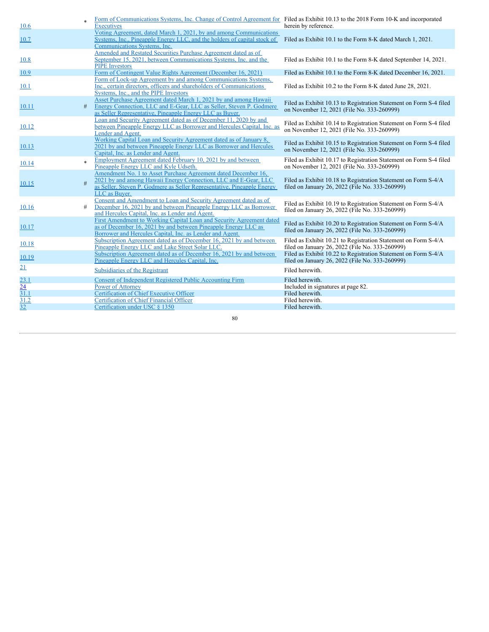| 10.6                                                          | $\ast$ | Form of Communications Systems, Inc. Change of Control Agreement for Filed as Exhibit 10.13 to the 2018 Form 10-K and incorporated<br><b>Executives</b>                                                                       | herein by reference.                                                                                              |
|---------------------------------------------------------------|--------|-------------------------------------------------------------------------------------------------------------------------------------------------------------------------------------------------------------------------------|-------------------------------------------------------------------------------------------------------------------|
| 10.7                                                          |        | Voting Agreement, dated March 1, 2021, by and among Communications<br>Systems, Inc., Pineapple Energy LLC, and the holders of capital stock of<br>Communications Systems, Inc.                                                | Filed as Exhibit 10.1 to the Form 8-K dated March 1, 2021.                                                        |
| 10.8                                                          |        | Amended and Restated Securities Purchase Agreement dated as of<br>September 15, 2021, between Communications Systems, Inc. and the<br><b>PIPE</b> Investors                                                                   | Filed as Exhibit 10.1 to the Form 8-K dated September 14, 2021.                                                   |
| 10.9                                                          |        | Form of Contingent Value Rights Agreement (December 16, 2021)                                                                                                                                                                 | Filed as Exhibit 10.1 to the Form 8-K dated December 16, 2021.                                                    |
| 10.1                                                          |        | Form of Lock-up Agreement by and among Communications Systems,<br>Inc., certain directors, officers and shareholders of Communications<br>Systems, Inc., and the PIPE Investors                                               | Filed as Exhibit 10.2 to the Form 8-K dated June 28, 2021.                                                        |
| 10.11                                                         | #      | Asset Purchase Agreement dated March 1, 2021 by and among Hawaii<br>Energy Connection, LLC and E-Gear, LLC as Seller, Steven P. Godmere<br>as Seller Representative, Pineapple Energy LLC as Buyer.                           | Filed as Exhibit 10.13 to Registration Statement on Form S-4 filed<br>on November 12, 2021 (File No. 333-260999)  |
| 10.12                                                         |        | Loan and Security Agreement dated as of December 11, 2020 by and<br>between Pineapple Energy LLC as Borrower and Hercules Capital, Inc. as<br>Lender and Agent.                                                               | Filed as Exhibit 10.14 to Registration Statement on Form S-4 filed<br>on November 12, 2021 (File No. 333-260999)  |
| 10.13                                                         |        | Working Capital Loan and Security Agreement dated as of January 8,<br>2021 by and between Pineapple Energy LLC as Borrower and Hercules<br>Capital, Inc. as Lender and Agent.                                                 | Filed as Exhibit 10.15 to Registration Statement on Form S-4 filed<br>on November 12, 2021 (File No. 333-260999)  |
| 10.14                                                         | $\ast$ | Employment Agreement dated February 10, 2021 by and between<br>Pineapple Energy LLC and Kyle Udseth.                                                                                                                          | Filed as Exhibit 10.17 to Registration Statement on Form S-4 filed<br>on November 12, 2021 (File No. 333-260999)  |
| 10.15                                                         | #      | Amendment No. 1 to Asset Purchase Agreement dated December 16,<br>2021 by and among Hawaii Energy Connection, LLC and E-Gear, LLC<br>as Seller, Steven P. Godmere as Seller Representative, Pineapple Energy<br>LLC as Buver. | Filed as Exhibit 10.18 to Registration Statement on Form S-4/A<br>filed on January 26, 2022 (File No. 333-260999) |
| 10.16                                                         | #      | Consent and Amendment to Loan and Security Agreement dated as of<br>December 16, 2021 by and between Pineapple Energy LLC as Borrower<br>and Hercules Capital, Inc. as Lender and Agent.                                      | Filed as Exhibit 10.19 to Registration Statement on Form S-4/A<br>filed on January 26, 2022 (File No. 333-260999) |
| 10.17                                                         |        | First Amendment to Working Capital Loan and Security Agreement dated<br>as of December 16, 2021 by and between Pineapple Energy LLC as<br>Borrower and Hercules Capital, Inc. as Lender and Agent.                            | Filed as Exhibit 10.20 to Registration Statement on Form S-4/A<br>filed on January 26, 2022 (File No. 333-260999) |
| 10.18                                                         |        | Subscription Agreement dated as of December 16, 2021 by and between<br>Pineapple Energy LLC and Lake Street Solar LLC.                                                                                                        | Filed as Exhibit 10.21 to Registration Statement on Form S-4/A<br>filed on January 26, 2022 (File No. 333-260999) |
| 10.19                                                         |        | Subscription Agreement dated as of December 16, 2021 by and between<br>Pineapple Energy LLC and Hercules Capital, Inc.                                                                                                        | Filed as Exhibit 10.22 to Registration Statement on Form S-4/A<br>filed on January 26, 2022 (File No. 333-260999) |
| 21                                                            |        | Subsidiaries of the Registrant                                                                                                                                                                                                | Filed herewith.                                                                                                   |
|                                                               |        | Consent of Independent Registered Public Accounting Firm                                                                                                                                                                      | Filed herewith.                                                                                                   |
| $\frac{23.1}{24}$<br>$\frac{31.1}{31.2}$<br>$\frac{31.2}{32}$ |        | <b>Power of Attorney</b>                                                                                                                                                                                                      | Included in signatures at page 82.                                                                                |
|                                                               |        | Certification of Chief Executive Officer                                                                                                                                                                                      | Filed herewith.                                                                                                   |
|                                                               |        | Certification of Chief Financial Officer                                                                                                                                                                                      | Filed herewith.                                                                                                   |
|                                                               |        | Certification under USC § 1350                                                                                                                                                                                                | Filed herewith.                                                                                                   |
|                                                               |        | 80                                                                                                                                                                                                                            |                                                                                                                   |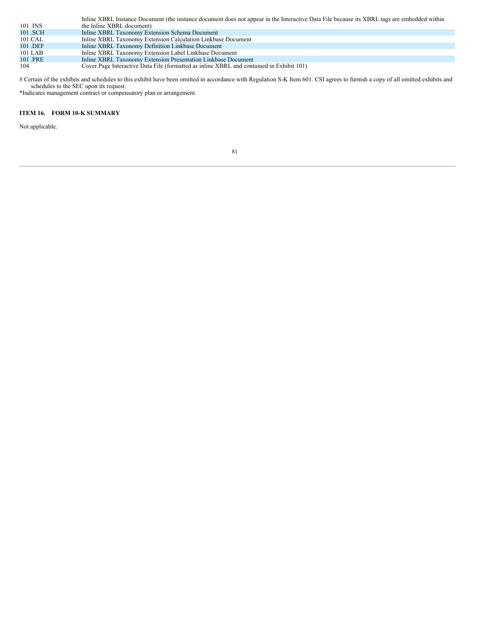|          | Inline XBRL Instance Document (the instance document does not appear in the Interactive Data File because its XBRL tags are embedded within |
|----------|---------------------------------------------------------------------------------------------------------------------------------------------|
| 101 .INS | the Inline XBRL document)                                                                                                                   |
| 101 .SCH | Inline XBRL Taxonomy Extension Schema Document                                                                                              |
| 101.CAL  | Inline XBRL Taxonomy Extension Calculation Linkbase Document                                                                                |
| 101 .DEF | Inline XBRL Taxonomy Definition Linkbase Document                                                                                           |
| 101 LAB  | Inline XBRL Taxonomy Extension Label Linkbase Document                                                                                      |
| 101 PRE  | Inline XBRL Taxonomy Extension Presentation Linkbase Document                                                                               |
| 104      | Cover Page Interactive Data File (formatted as inline XBRL and contained in Exhibit 101)                                                    |

# Certain of the exhibits and schedules to this exhibit have been omitted in accordance with Regulation S-K Item 601. CSI agrees to furnish a copy of all omitted exhibits and schedules to the SEC upon its request.

\*Indicates management contract or compensatory plan or arrangement.

# **ITEM 16. FORM 10-K SUMMARY**

Not applicable.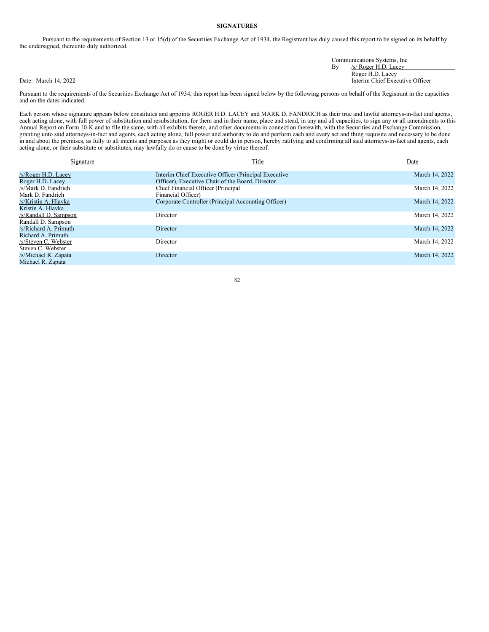# <span id="page-81-0"></span>**SIGNATURES**

Pursuant to the requirements of Section 13 or 15(d) of the Securities Exchange Act of 1934, the Registrant has duly caused this report to be signed on its behalf by the undersigned, thereunto duly authorized.

|    | Communications Systems, Inc.    |
|----|---------------------------------|
| By | /s/ Roger H.D. Lacey            |
|    | Roger H.D. Lacey                |
|    | Interim Chief Executive Officer |

Date: March 14, 2022

Pursuant to the requirements of the Securities Exchange Act of 1934, this report has been signed below by the following persons on behalf of the Registrant in the capacities and on the dates indicated:

Each person whose signature appears below constitutes and appoints ROGER H.D. LACEY and MARK D. FANDRICH as their true and lawful attorneys-in-fact and agents, each acting alone, with full power of substitution and resubstitution, for them and in their name, place and stead, in any and all capacities, to sign any or all amendments to this Annual Report on Form 10-K and to file the same, with all exhibits thereto, and other documents in connection therewith, with the Securities and Exchange Commission, granting unto said attorneys-in-fact and agents, each acting alone, full power and authority to do and perform each and every act and thing requisite and necessary to be done in and about the premises, as fully to all intents and purposes as they might or could do in person, hereby ratifying and confirming all said attorneys-in-fact and agents, each acting alone, or their substitute or substitutes, may lawfully do or cause to be done by virtue thereof.

| Signature                                   | Title                                                                                                    | Date           |
|---------------------------------------------|----------------------------------------------------------------------------------------------------------|----------------|
| /s/Roger H.D. Lacey<br>Roger H.D. Lacey     | Interim Chief Executive Officer (Principal Executive<br>Officer), Executive Chair of the Board, Director | March 14, 2022 |
| /s/Mark D. Fandrich<br>Mark D. Fandrich     | Chief Financial Officer (Principal<br>Financial Officer)                                                 | March 14, 2022 |
| /s/Kristin A. Hlavka<br>Kristin A. Hlavka   | Corporate Controller (Principal Accounting Officer)                                                      | March 14, 2022 |
| /s/Randall D. Sampson<br>Randall D. Sampson | Director                                                                                                 | March 14, 2022 |
| /s/Richard A. Primuth<br>Richard A. Primuth | Director                                                                                                 | March 14, 2022 |
| /s/Steven C. Webster<br>Steven C. Webster   | Director                                                                                                 | March 14, 2022 |
| /s/Michael R. Zapata<br>Michael R. Zapata   | Director                                                                                                 | March 14, 2022 |

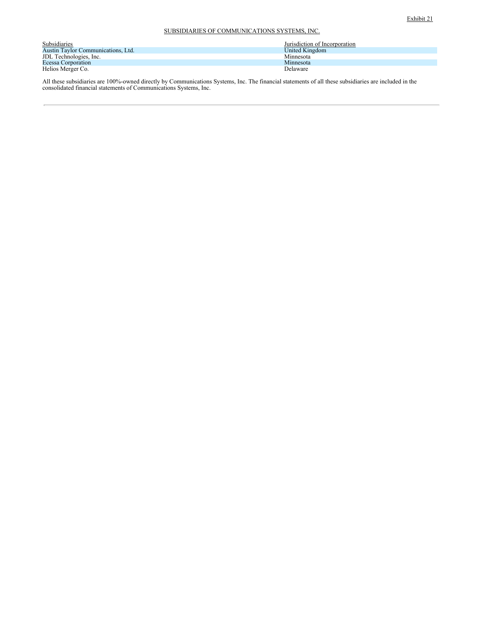# SUBSIDIARIES OF COMMUNICATIONS SYSTEMS, INC.

<span id="page-82-0"></span>

| Subsidiaries                       | Jurisdiction of Incorporation |
|------------------------------------|-------------------------------|
| Austin Taylor Communications, Ltd. | United Kingdom                |
| JDL Technologies, Inc.             | Minnesota                     |
| Ecessa Corporation                 | Minnesota                     |
| Helios Merger Co.                  | Delaware                      |

All these subsidiaries are 100%-owned directly by Communications Systems, Inc. The financial statements of all these subsidiaries are included in the consolidated financial statements of Communications Systems, Inc.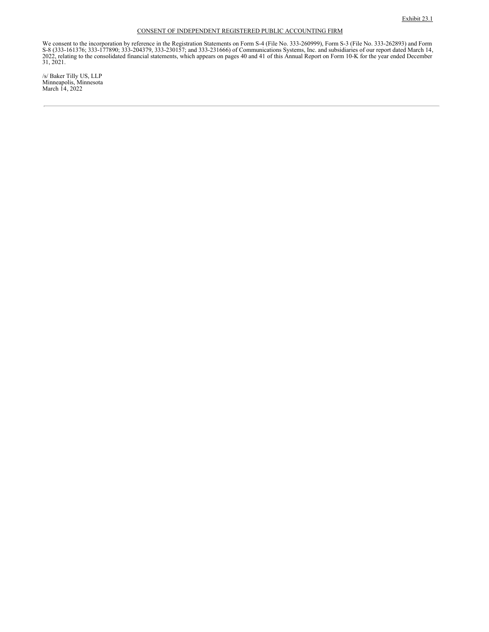# CONSENT OF INDEPENDENT REGISTERED PUBLIC ACCOUNTING FIRM

<span id="page-83-0"></span>We consent to the incorporation by reference in the Registration Statements on Form S-4 (File No. 333-260999), Form S-3 (File No. 333-262893) and Form<br>S-8 (333-161376; 333-177890; 333-204379, 333-230157; and 333-231666) of

/s/ Baker Tilly US, LLP Minneapolis, Minnesota March 14, <sup>2022</sup>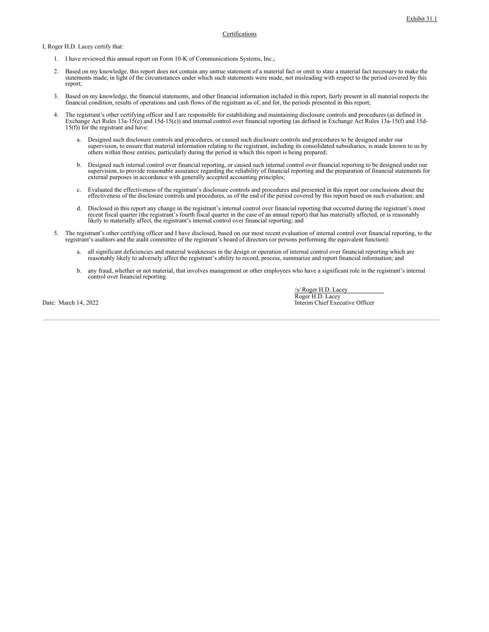### Certifications

<span id="page-84-0"></span>I, Roger H.D. Lacey certify that:

- 1. I have reviewed this annual report on Form 10-K of Communications Systems, Inc.;
- 2. Based on my knowledge, this report does not contain any untrue statement of a material fact or omit to state a material fact necessary to make the statements made, in light of the circumstances under which such statements were made, not misleading with respect to the period covered by this report;
- 3. Based on my knowledge, the financial statements, and other financial information included in this report, fairly present in all material respects the financial condition, results of operations and cash flows of the registrant as of, and for, the periods presented in this report;
- 4. The registrant's other certifying officer and I are responsible for establishing and maintaining disclosure controls and procedures (as defined in Exchange Act Rules 13a-15(e) and 15d-15(e)) and internal control over financial reporting (as defined in Exchange Act Rules 13a-15(f) and 15d-15(f)) for the registrant and have:
	- a. Designed such disclosure controls and procedures, or caused such disclosure controls and procedures to be designed under our supervision, to ensure that material information relating to the registrant, including its consolidated subsidiaries, is made known to us by others within those entities, particularly during the period in which this report is being prepared;
	- b. Designed such internal control over financial reporting, or caused such internal control over financial reporting to be designed under our supervision, to provide reasonable assurance regarding the reliability of financ external purposes in accordance with generally accepted accounting principles;
	- c. Evaluated the effectiveness of the registrant's disclosure controls and procedures and presented in this report our conclusions about the effectiveness of the disclosure controls and procedures, as of the end of the period covered by this report based on such evaluation; and
	- d. Disclosed in this report any change in the registrant's internal control over financial reporting that occurred during the registrant's most recent fiscal quarter (the registrant's fourth fiscal quarter in the case of an annual report) that has materially affected, or is reasonably likely to materially affect, the registrant's internal control over financial reporting; and
- 5. The registrant's other certifying officer and I have disclosed, based on our most recent evaluation of internal control over financial reporting, to the registrant's auditors and the audit committee of the registrant's board of directors (or persons performing the equivalent function):
	- a. all significant deficiencies and material weaknesses in the design or operation of internal control over financial reporting which are reasonably likely to adversely affect the registrant's ability to record, process, summarize and report financial information; and
	- b. any fraud, whether or not material, that involves management or other employees who have a significant role in the registrant's internal control over financial reporting.

/s/ Roger H.D. Lacey Roger H.D. Lacey Date: March 14, 2022 Interim Chief Executive Officer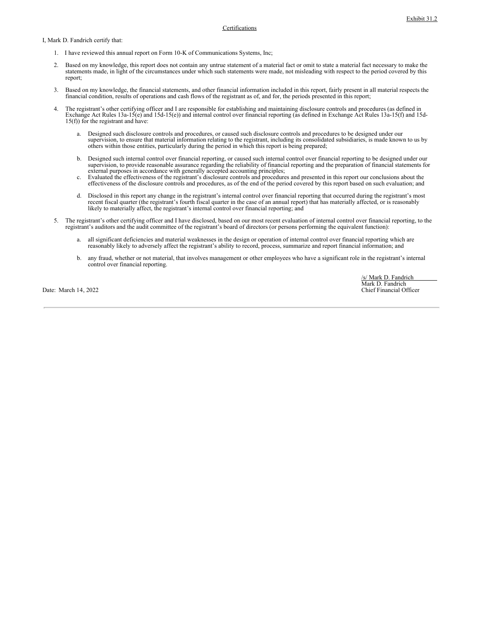### Certifications

### <span id="page-85-0"></span>I, Mark D. Fandrich certify that:

- 1. I have reviewed this annual report on Form 10-K of Communications Systems, Inc;
- 2. Based on my knowledge, this report does not contain any untrue statement of a material fact or omit to state a material fact necessary to make the statements made, in light of the circumstances under which such statements were made, not misleading with respect to the period covered by this report;
- 3. Based on my knowledge, the financial statements, and other financial information included in this report, fairly present in all material respects the financial condition, results of operations and cash flows of the registrant as of, and for, the periods presented in this report;
- 4. The registrant's other certifying officer and I are responsible for establishing and maintaining disclosure controls and procedures (as defined in Exchange Act Rules 13a-15(e) and 15d-15(e)) and internal control over financial reporting (as defined in Exchange Act Rules 13a-15(f) and 15d-15(f)) for the registrant and have:
	- a. Designed such disclosure controls and procedures, or caused such disclosure controls and procedures to be designed under our supervision, to ensure that material information relating to the registrant, including its consolidated subsidiaries, is made known to us by others within those entities, particularly during the period in which this report is being prepared;
	- b. Designed such internal control over financial reporting, or caused such internal control over financial reporting to be designed under our supervision, to provide reasonable assurance regarding the reliability of financial reporting and the preparation of financial statements for external purposes in accordance with generally accepted accounting principles;
	- c. Evaluated the effectiveness of the registrant's disclosure controls and procedures and presented in this report our conclusions about the effectiveness of the disclosure controls and procedures, as of the end of the per
	- d. Disclosed in this report any change in the registrant's internal control over financial reporting that occurred during the registrant's most recent fiscal quarter (the registrant's fourth fiscal quarter in the case of a likely to materially affect, the registrant's internal control over financial reporting; and
- 5. The registrant's other certifying officer and I have disclosed, based on our most recent evaluation of internal control over financial reporting, to the registrant's auditors and the audit committee of the registrant's board of directors (or persons performing the equivalent function):
	- a. all significant deficiencies and material weaknesses in the design or operation of internal control over financial reporting which are reasonably likely to adversely affect the registrant's ability to record, process, summarize and report financial information; and
	- b. any fraud, whether or not material, that involves management or other employees who have a significant role in the registrant's internal control over financial reporting.

/s/ Mark D. Fandrich Mark D. Fandrich Date: March 14, 2022 Chief Financial Officer